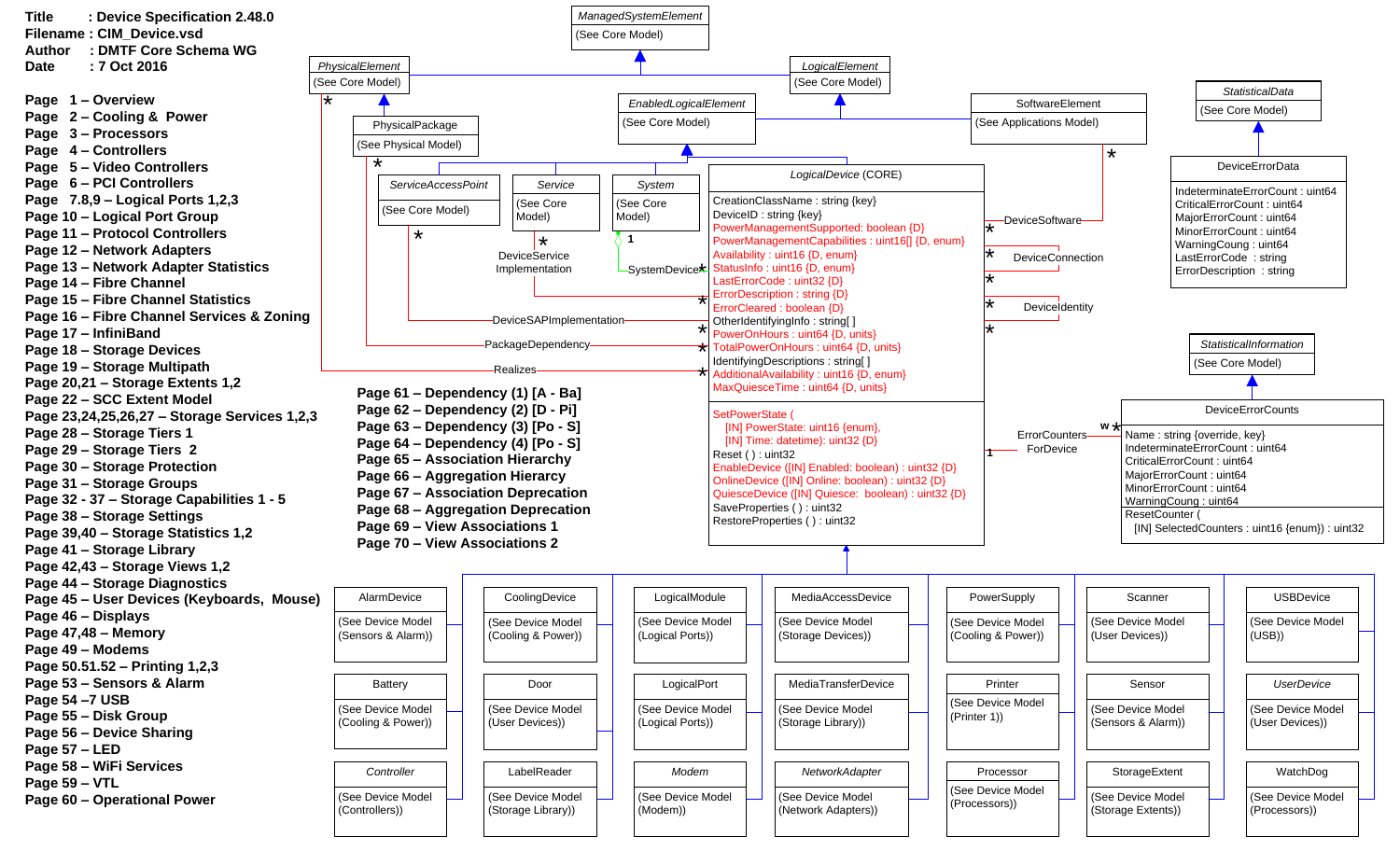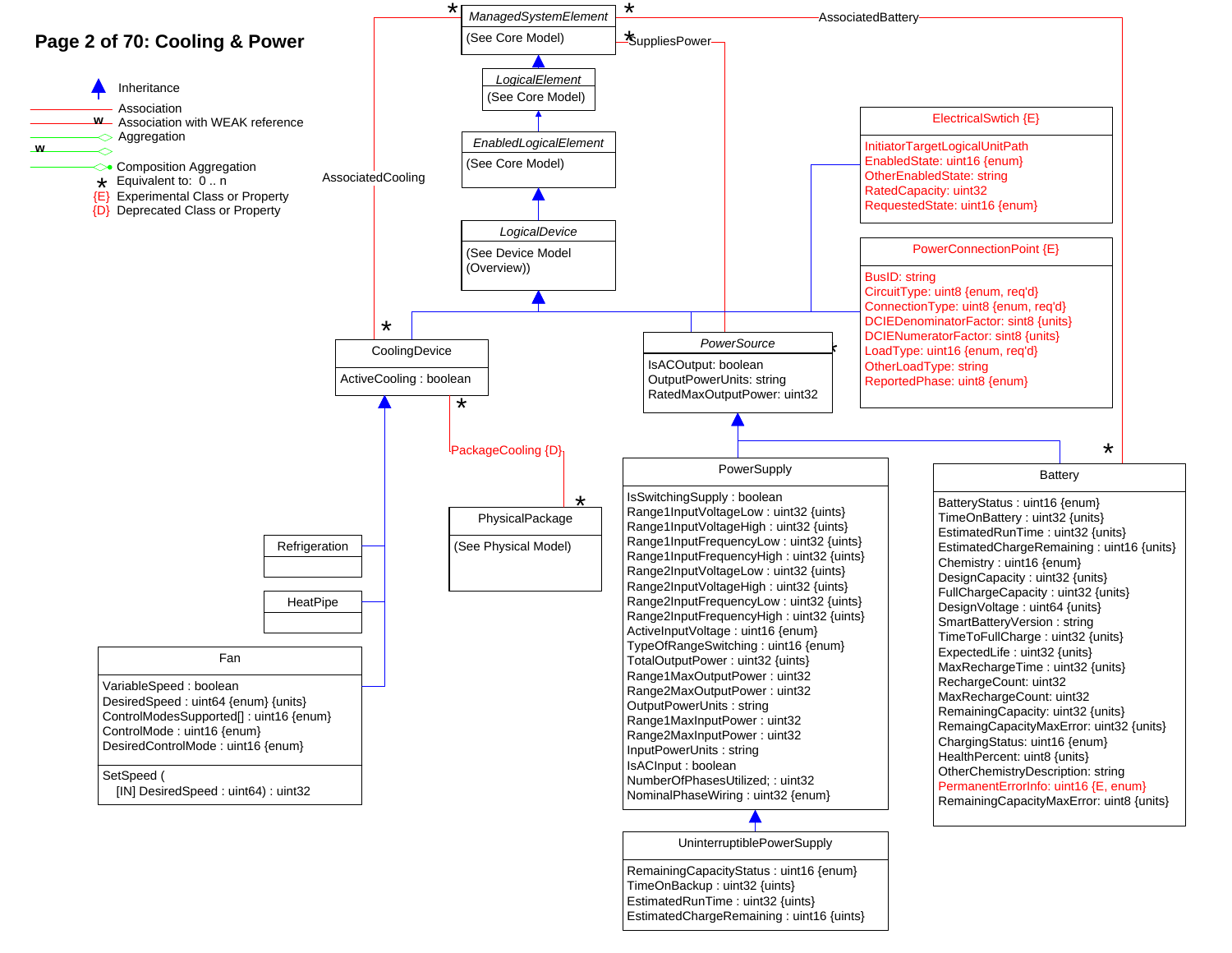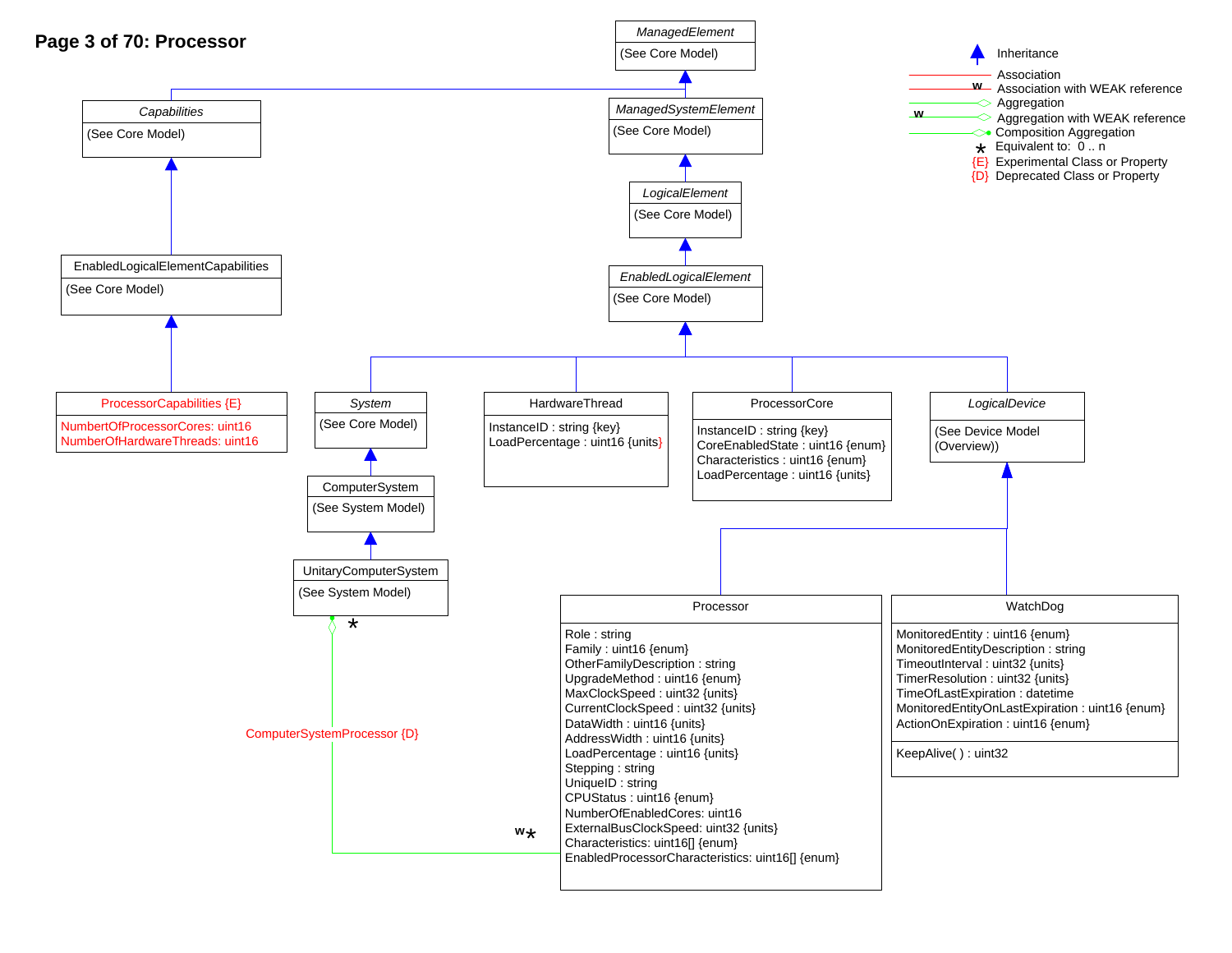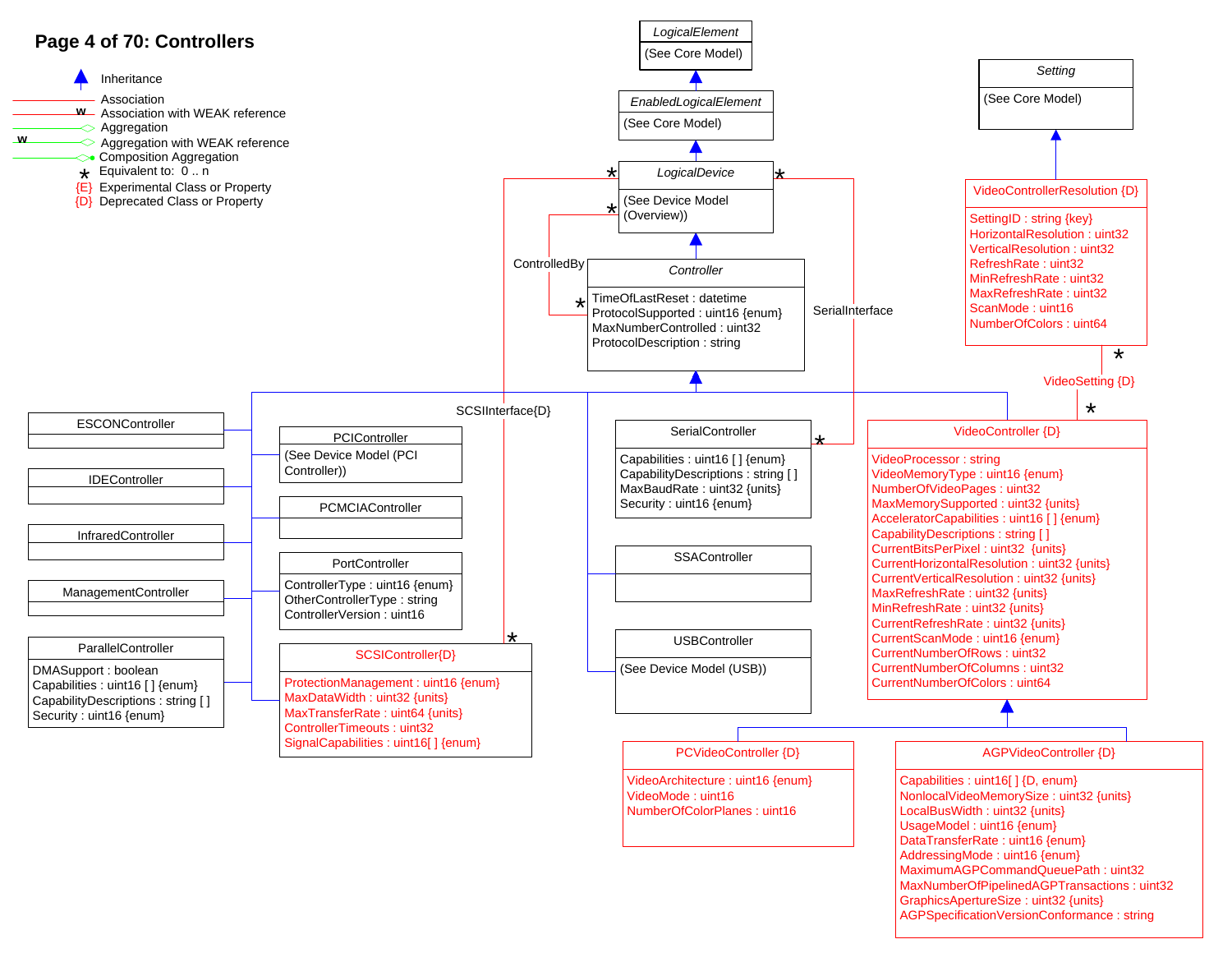

AGPSpecificationVersionConformance : string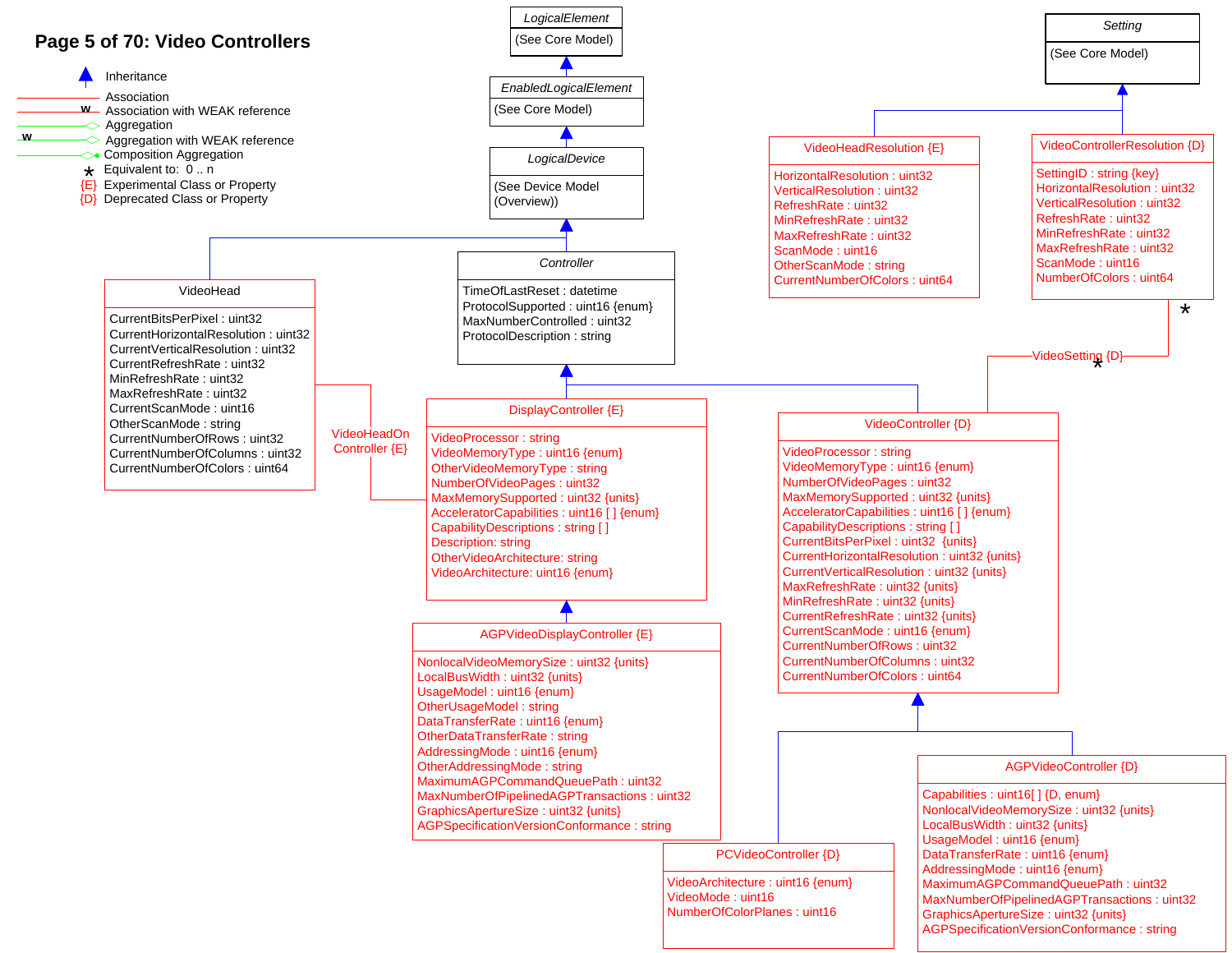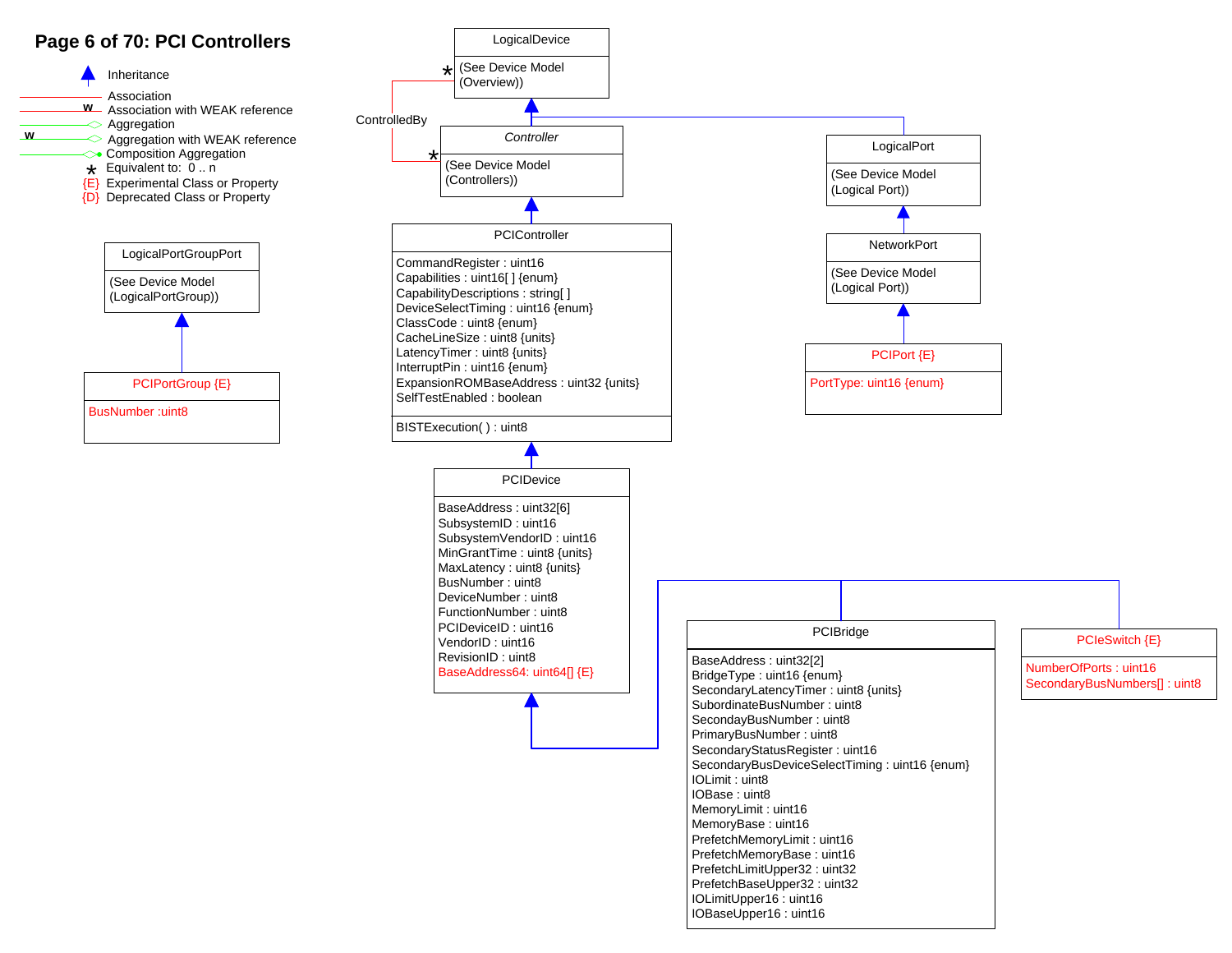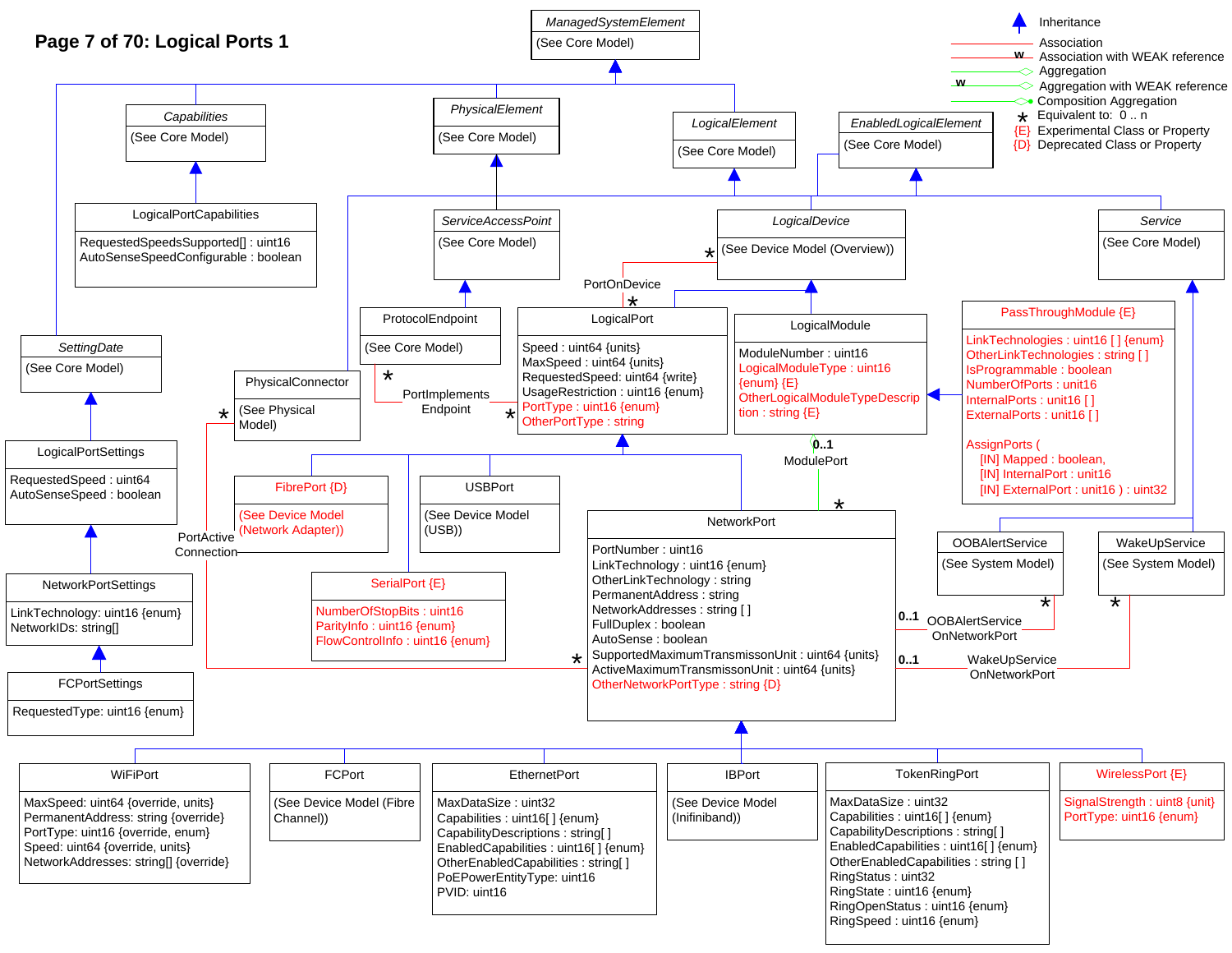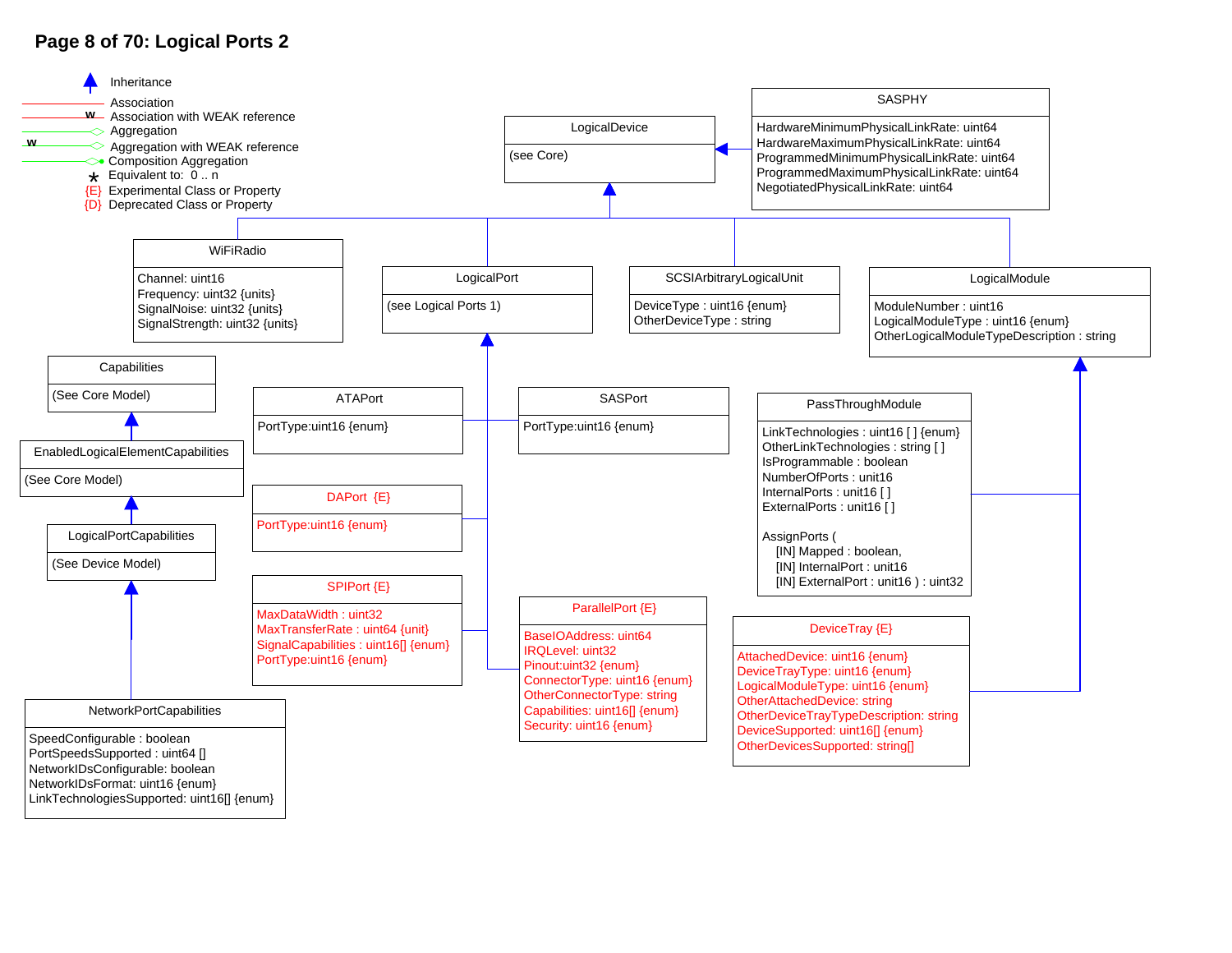## **Page 8 of 70: Logical Ports 2**



LinkTechnologiesSupported: uint16[] {enum}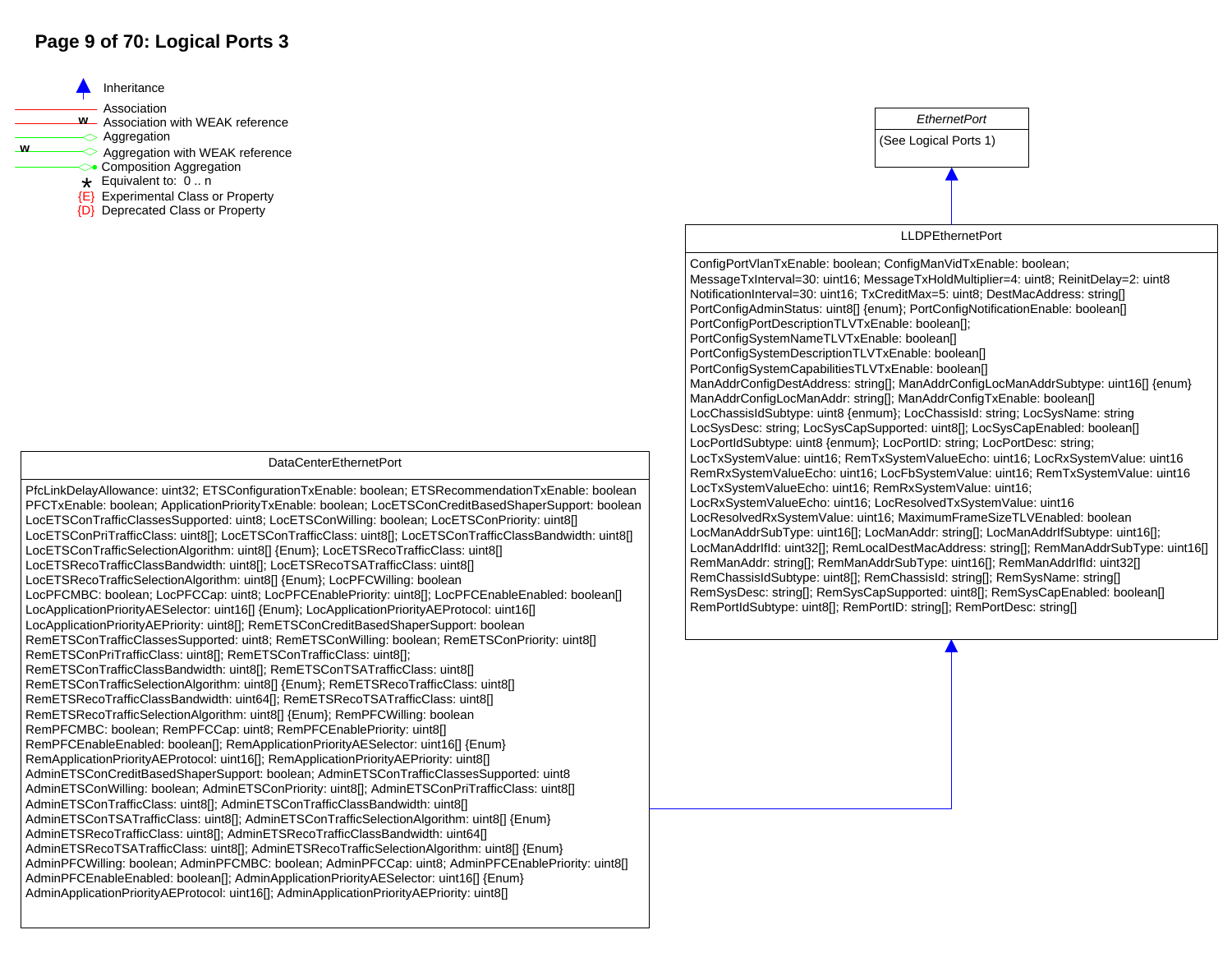## **Page 9 of 70: Logical Ports 3**

Association Inheritance<br>Association<br>Association with WEAK reference<br>Aggregation Aggregation with WEAK reference **<sup>w</sup> <sup>w</sup>**  $\leftrightarrow$  Composition Aggregation<br>  $\star$  Equivalent to: 0 .. n<br>  $\{E\}$  Experimental Class or Property {D} Deprecated Class or Property

#### DataCenterEthernetPort

PfcLinkDelayAllowance: uint32; ETSConfigurationTxEnable: boolean; ETSRecommendationTxEnable: boolean PFCTxEnable: boolean; ApplicationPriorityTxEnable: boolean; LocETSConCreditBasedShaperSupport: boolean LocETSConTrafficClassesSupported: uint8; LocETSConWilling: boolean; LocETSConPriority: uint8[] LocETSConPriTrafficClass: uint8[]; LocETSConTrafficClass: uint8[]; LocETSConTrafficClassBandwidth: uint8[] LocETSConTrafficSelectionAlgorithm: uint8[] {Enum}; LocETSRecoTrafficClass: uint8[] LocETSRecoTrafficClassBandwidth: uint8[]; LocETSRecoTSATrafficClass: uint8[] LocETSRecoTrafficSelectionAlgorithm: uint8[] {Enum}; LocPFCWilling: boolean LocPFCMBC: boolean; LocPFCCap: uint8; LocPFCEnablePriority: uint8[]; LocPFCEnableEnabled: boolean[] LocApplicationPriorityAESelector: uint16[] {Enum}; LocApplicationPriorityAEProtocol: uint16[] LocApplicationPriorityAEPriority: uint8[]; RemETSConCreditBasedShaperSupport: boolean RemETSConTrafficClassesSupported: uint8; RemETSConWilling: boolean; RemETSConPriority: uint8[] RemETSConPriTrafficClass: uint8[]; RemETSConTrafficClass: uint8[]; RemETSConTrafficClassBandwidth: uint8[]; RemETSConTSATrafficClass: uint8[] RemETSConTrafficSelectionAlgorithm: uint8[] {Enum}; RemETSRecoTrafficClass: uint8[] RemETSRecoTrafficClassBandwidth: uint64[]; RemETSRecoTSATrafficClass: uint8[] RemETSRecoTrafficSelectionAlgorithm: uint8[] {Enum}; RemPFCWilling: boolean RemPFCMBC: boolean; RemPFCCap: uint8; RemPFCEnablePriority: uint8[] RemPFCEnableEnabled: boolean[]; RemApplicationPriorityAESelector: uint16[] {Enum} RemApplicationPriorityAEProtocol: uint16[]; RemApplicationPriorityAEPriority: uint8[] AdminETSConCreditBasedShaperSupport: boolean; AdminETSConTrafficClassesSupported: uint8 AdminETSConWilling: boolean; AdminETSConPriority: uint8[]; AdminETSConPriTrafficClass: uint8[] AdminETSConTrafficClass: uint8[]; AdminETSConTrafficClassBandwidth: uint8[] AdminETSConTSATrafficClass: uint8[]; AdminETSConTrafficSelectionAlgorithm: uint8[] {Enum} AdminETSRecoTrafficClass: uint8[]; AdminETSRecoTrafficClassBandwidth: uint64[] AdminETSRecoTSATrafficClass: uint8[]; AdminETSRecoTrafficSelectionAlgorithm: uint8[] {Enum} AdminPFCWilling: boolean; AdminPFCMBC: boolean; AdminPFCCap: uint8; AdminPFCEnablePriority: uint8[] AdminPFCEnableEnabled: boolean[]; AdminApplicationPriorityAESelector: uint16[] {Enum} AdminApplicationPriorityAEProtocol: uint16[]; AdminApplicationPriorityAEPriority: uint8[]

*EthernetPort*

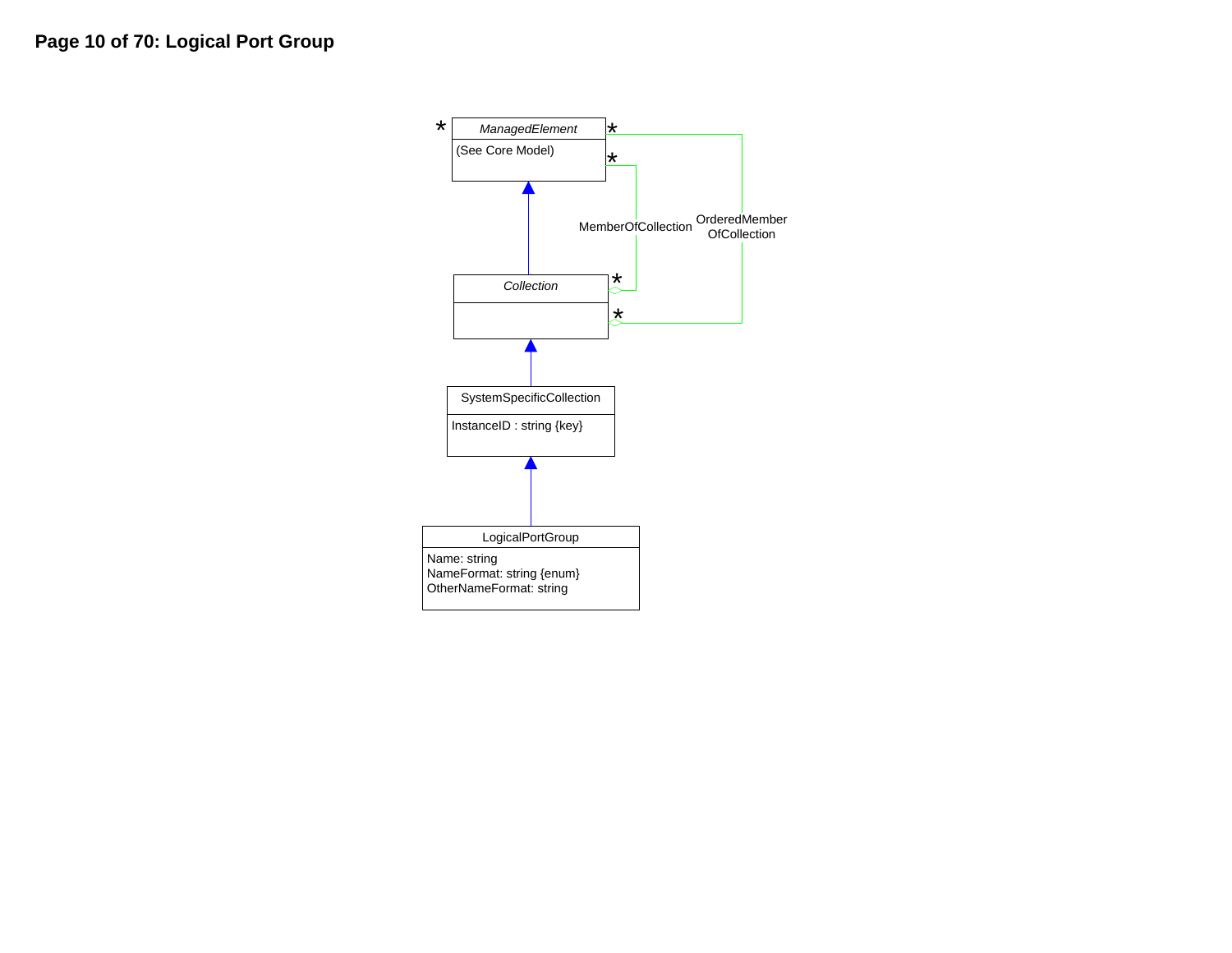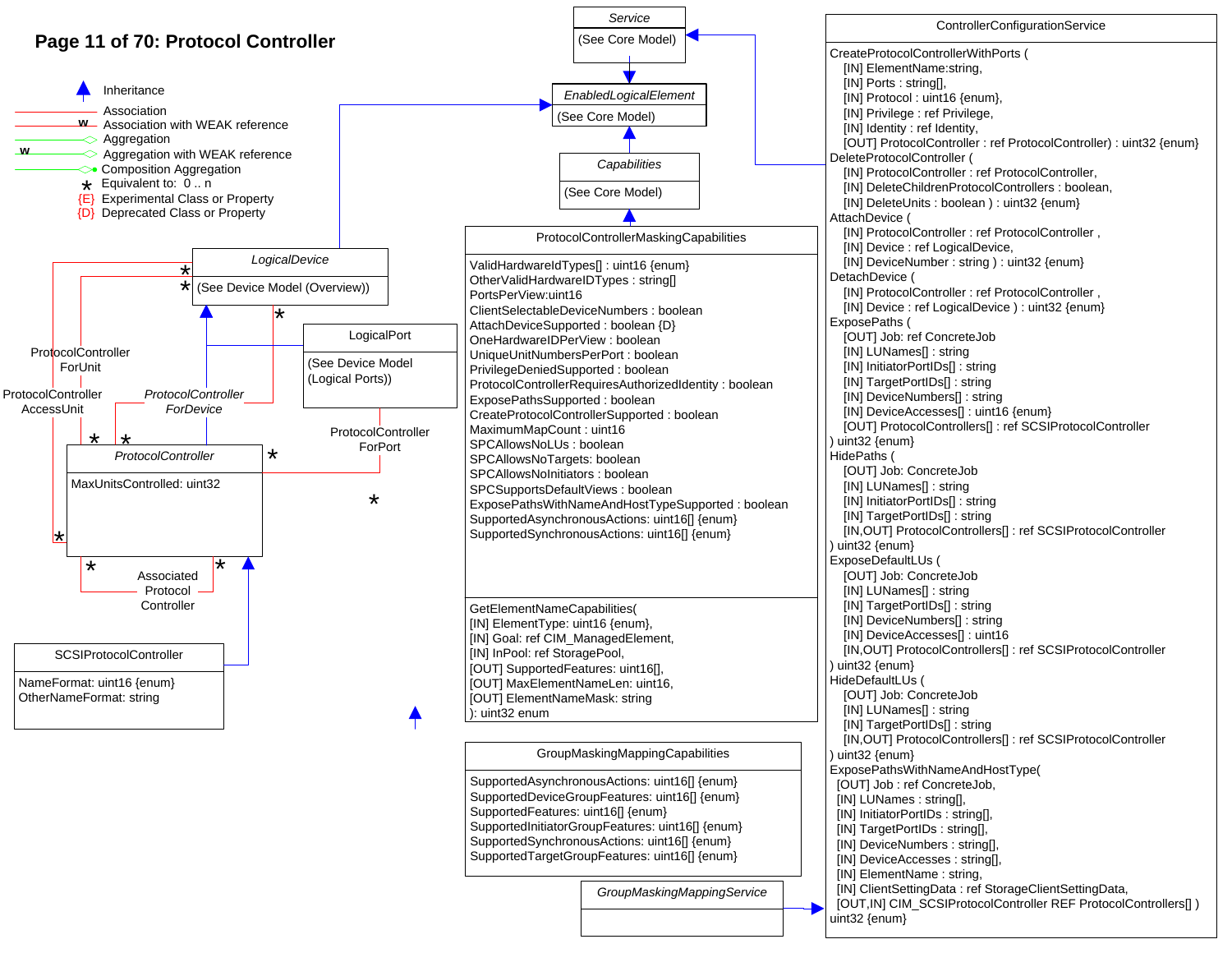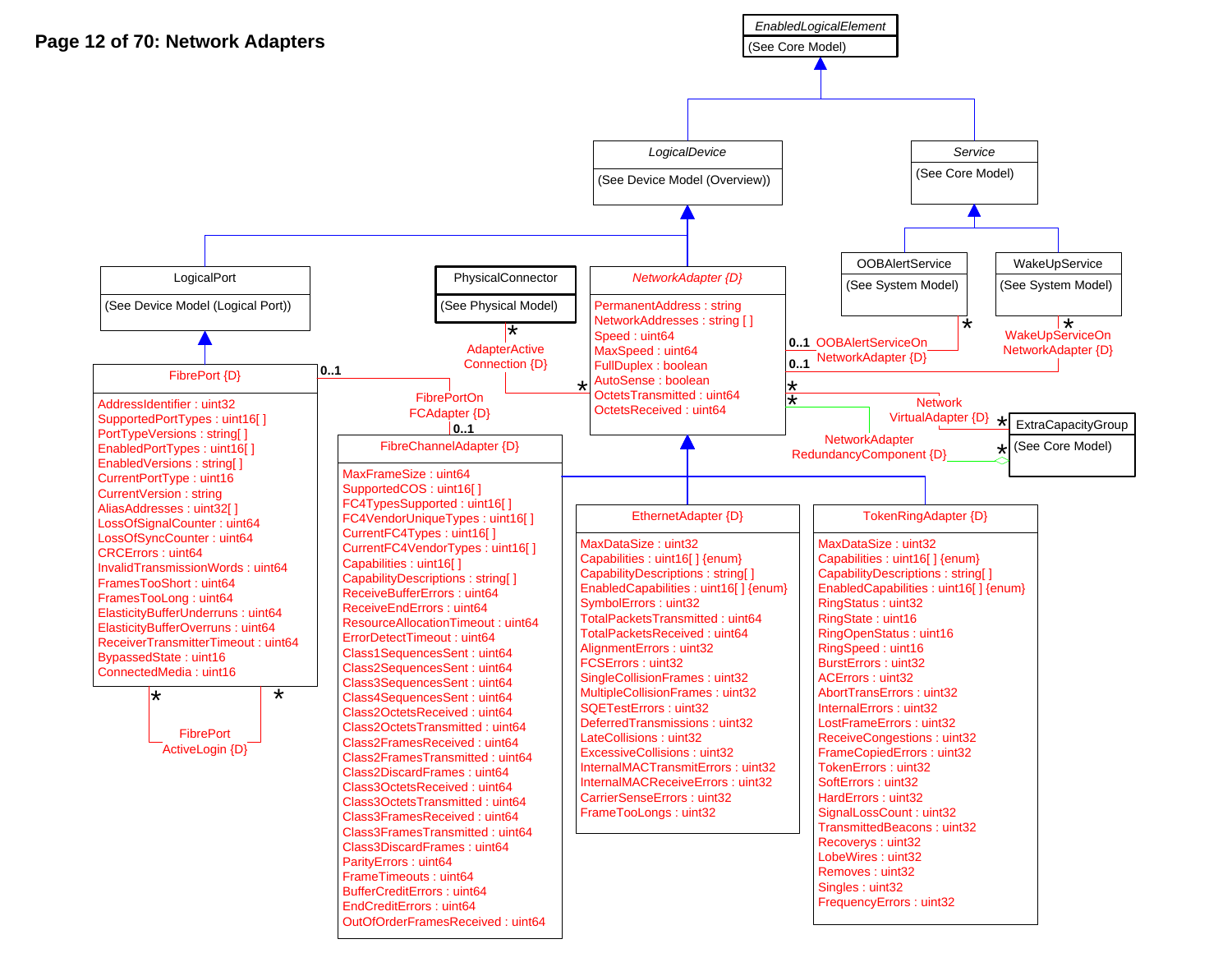

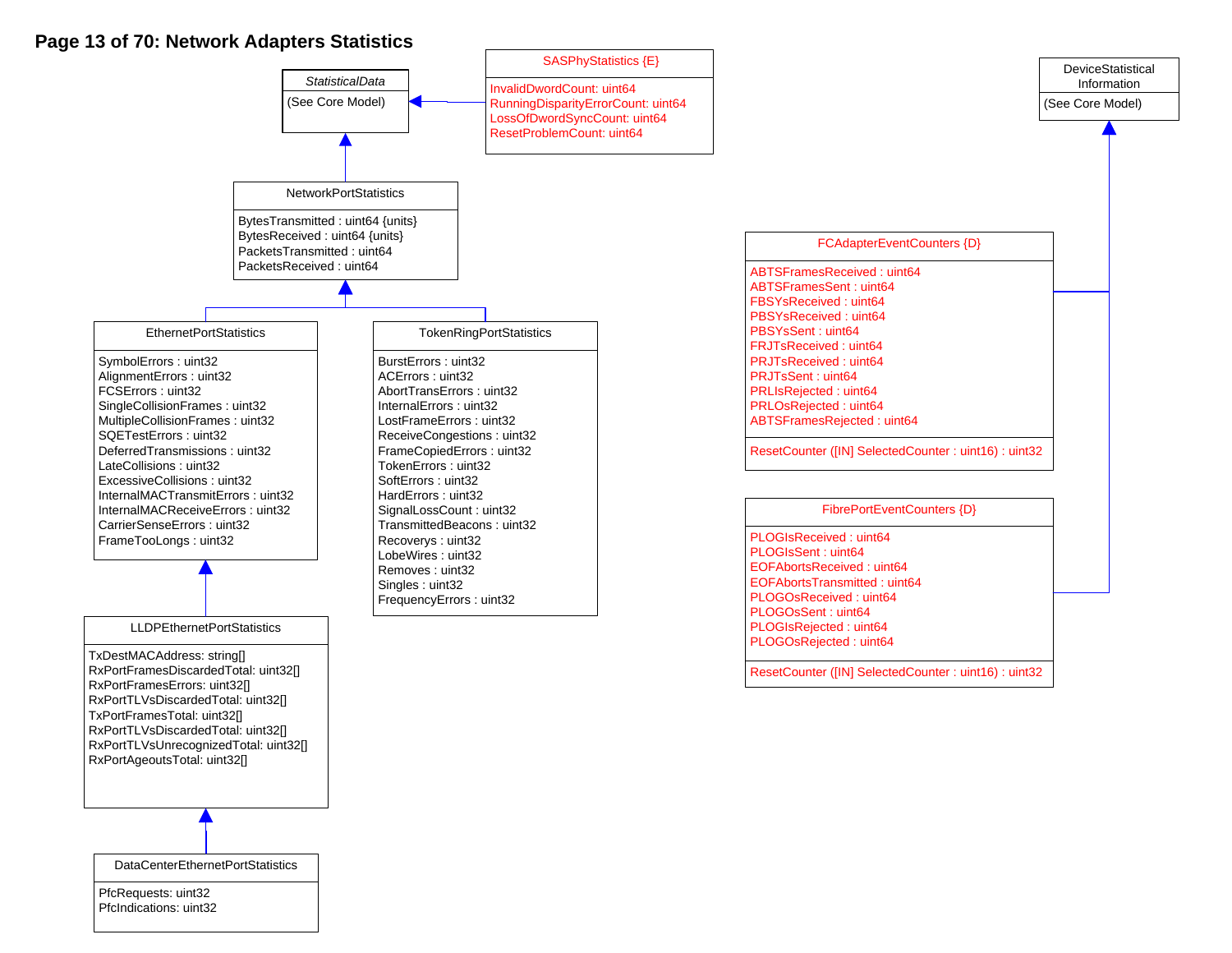### **Page 13 of 70: Network Adapters Statistics**

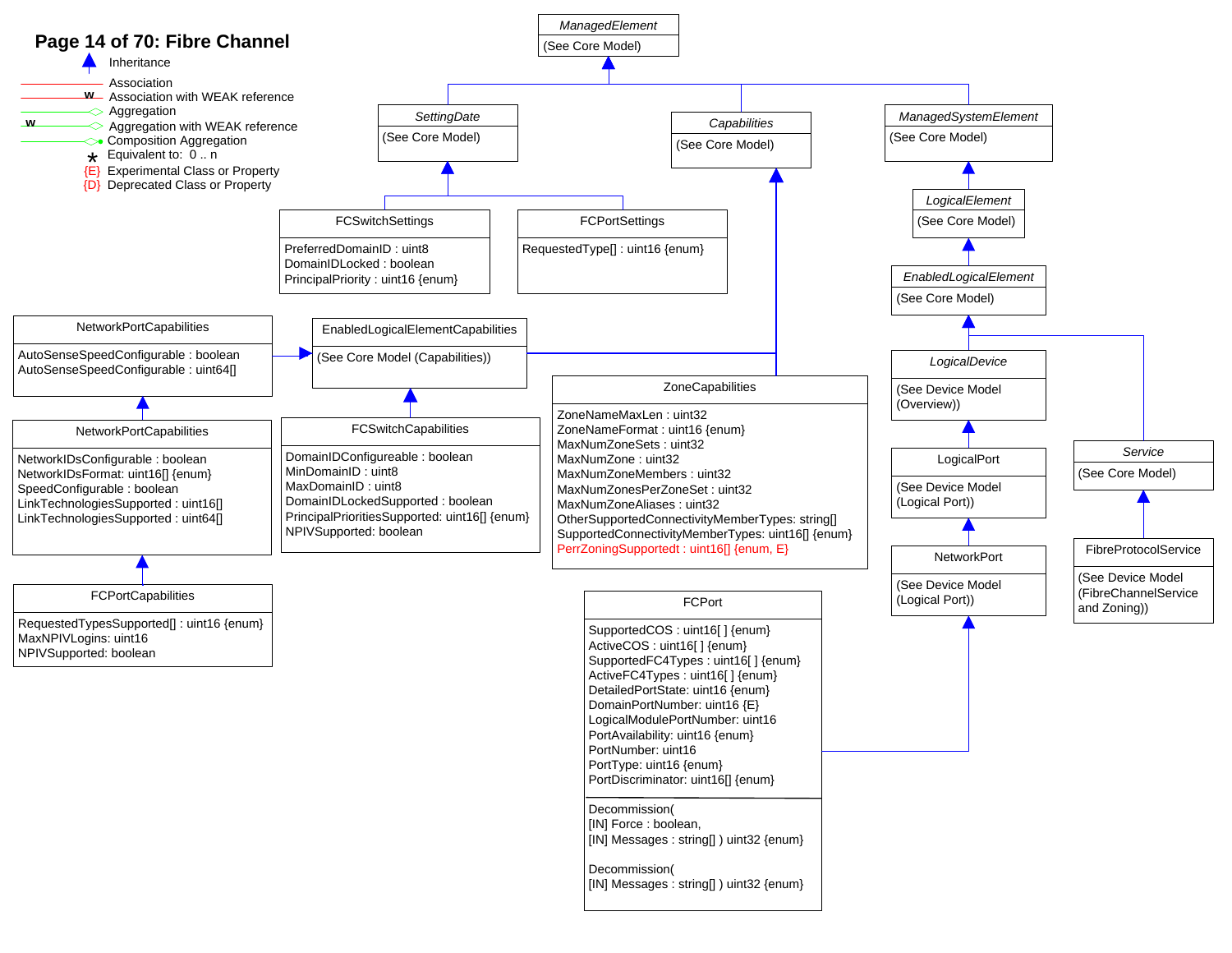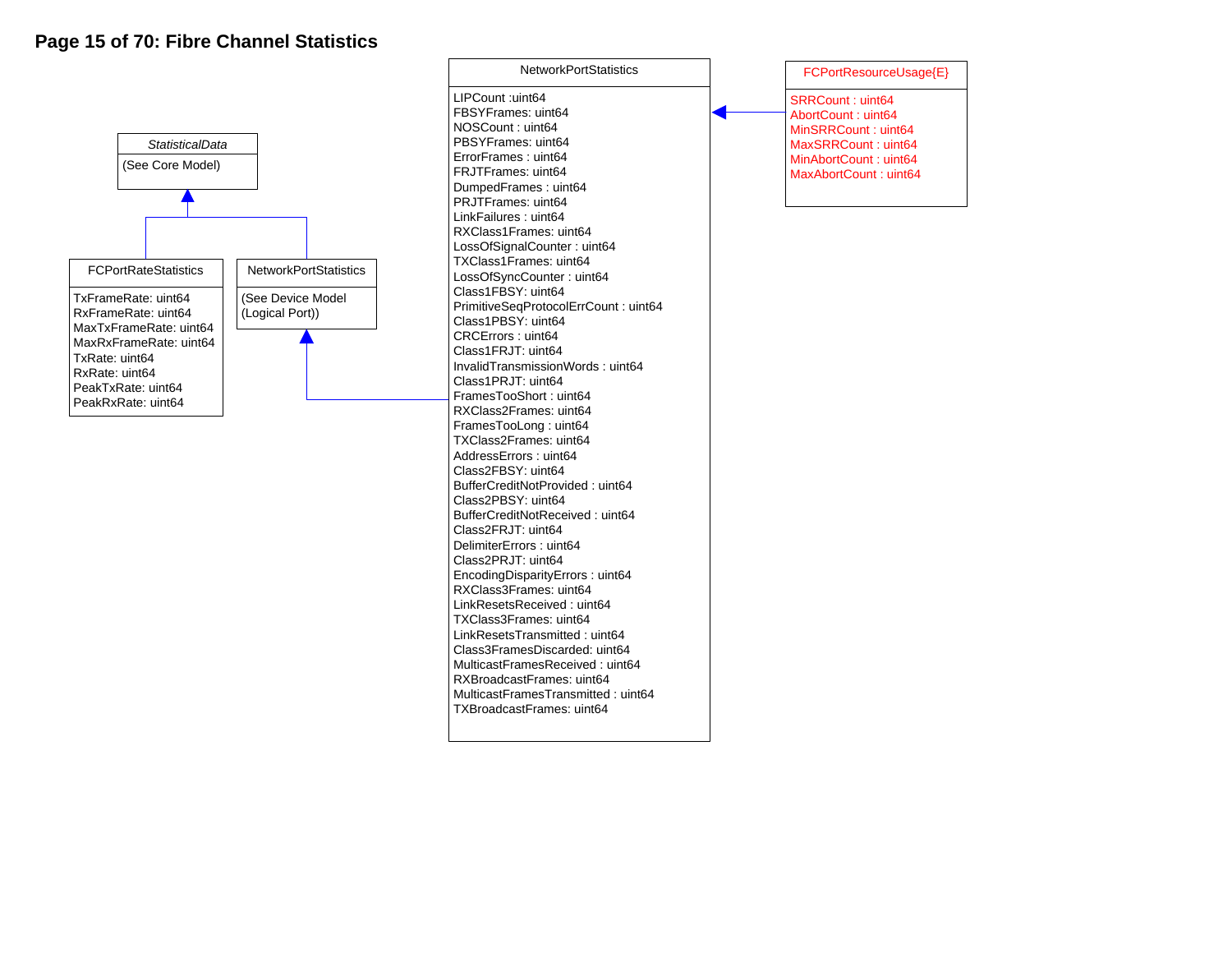## **Page 15 of 70: Fibre Channel Statistics**



LIPCount :uint64 FBSYFrames: uint64 NOSCount : uint64 PBSYFrames: uint64 ErrorFrames : uint64 FRJTFrames: uint64 DumpedFrames : uint64 PRJTFrames: uint64 LinkFailures : uint64 RXClass1Frames: uint64 LossOfSignalCounter : uint64 TXClass1Frames: uint64 LossOfSyncCounter : uint64 Class1FBSY: uint64 PrimitiveSeqProtocolErrCount : uint64 Class1PBSY: uint64 CRCErrors : uint64 Class1FRJT: uint64 InvalidTransmissionWords : uint64 Class1PRJT: uint64 FramesTooShort : uint64 RXClass2Frames: uint64 FramesTooLong : uint64 TXClass2Frames: uint64 AddressErrors : uint64 Class2FBSY: uint64 BufferCreditNotProvided : uint64 Class2PBSY: uint64 BufferCreditNotReceived : uint64 Class2FRJT: uint64 DelimiterErrors : uint64 Class2PRJT: uint64 EncodingDisparityErrors : uint64 RXClass3Frames: uint64 LinkResetsReceived : uint64 TXClass3Frames: uint64 LinkResetsTransmitted : uint64 Class3FramesDiscarded: uint64 MulticastFramesReceived : uint64 RXBroadcastFrames: uint64 MulticastFramesTransmitted : uint64 TXBroadcastFrames: uint64

NetworkPortStatistics

SRRCount : uint64 AbortCount : uint64 MinSRRCount : uint64 MaxSRRCount : uint64 MinAbortCount : uint64 MaxAbortCount : uint64 FCPortResourceUsage{E}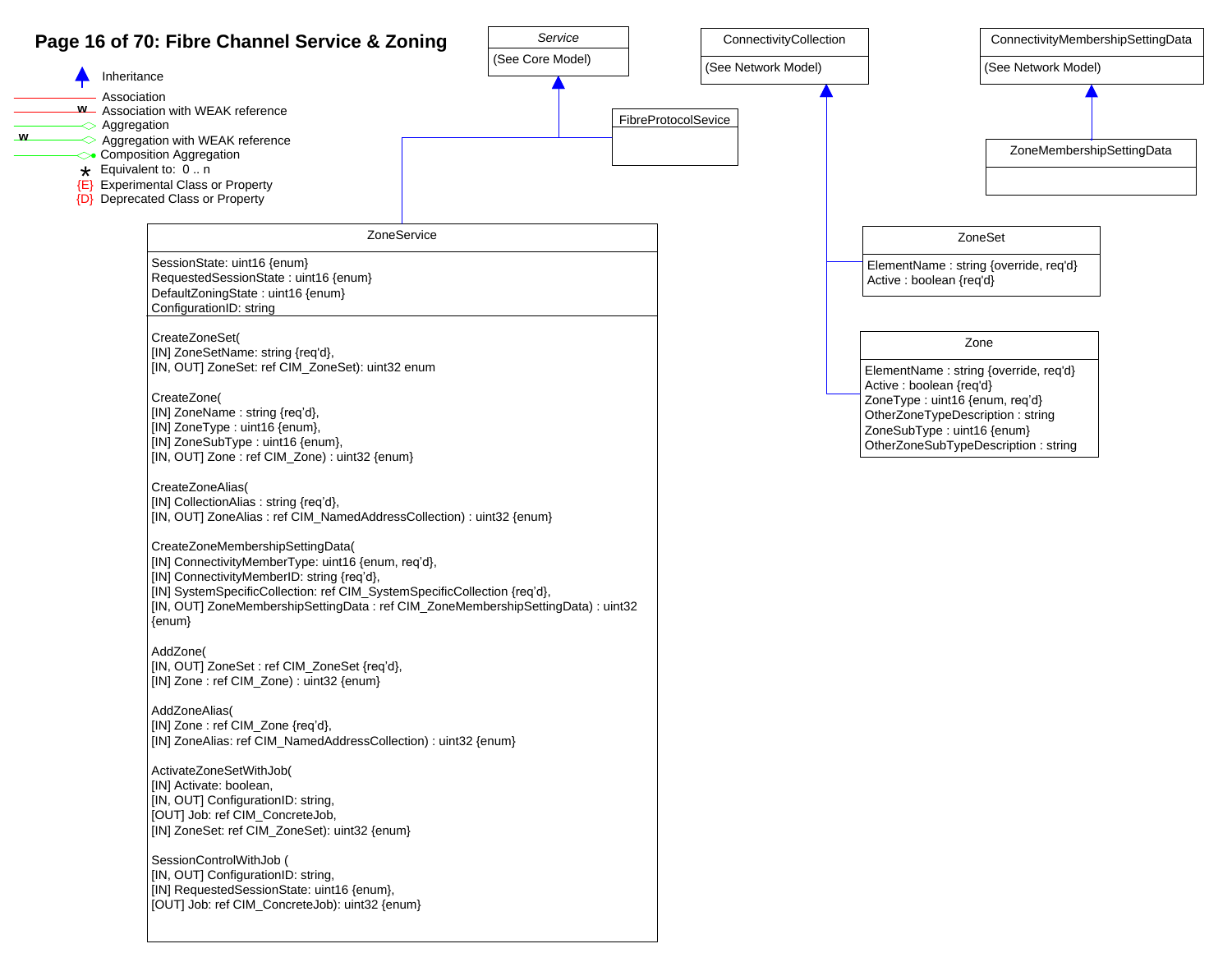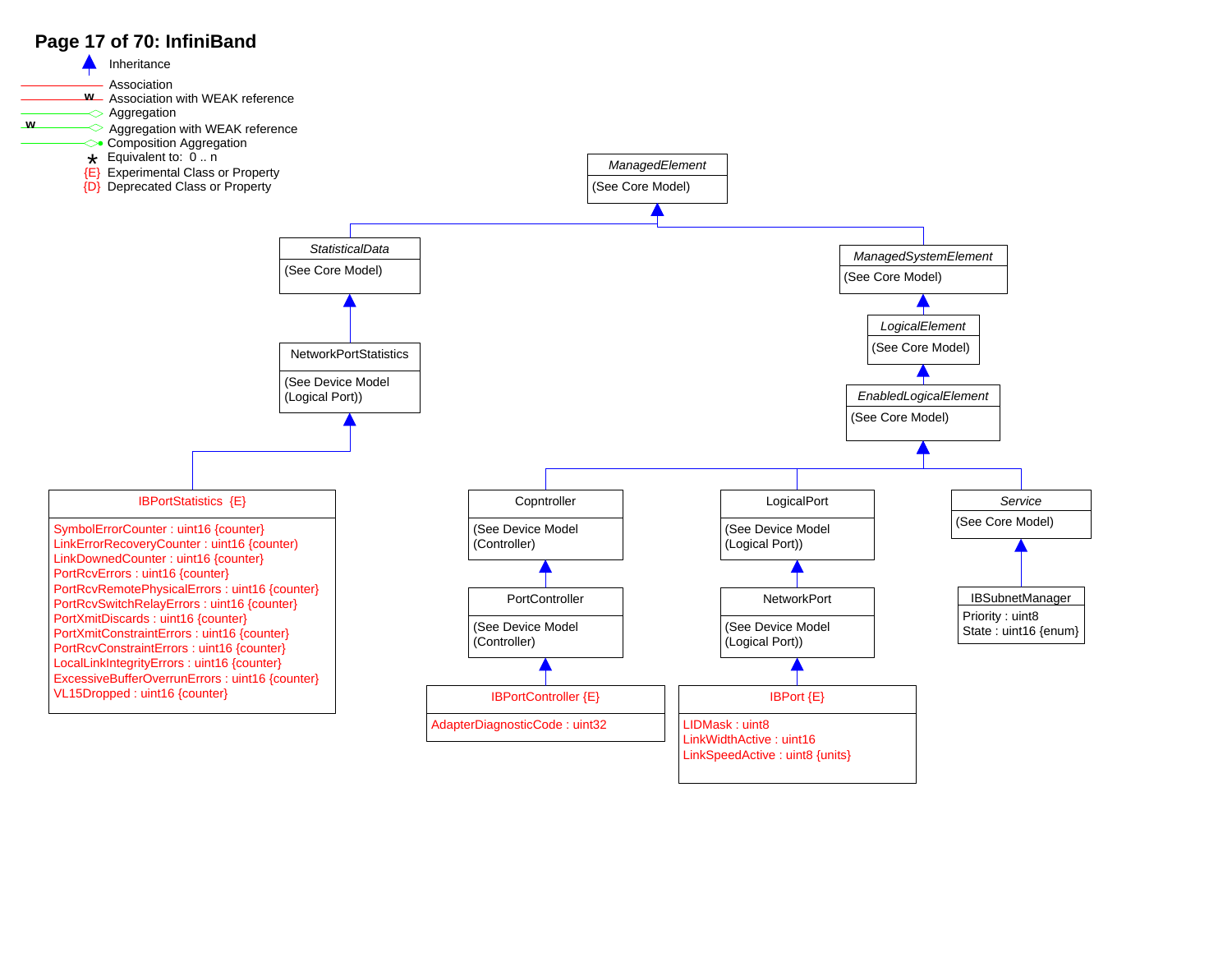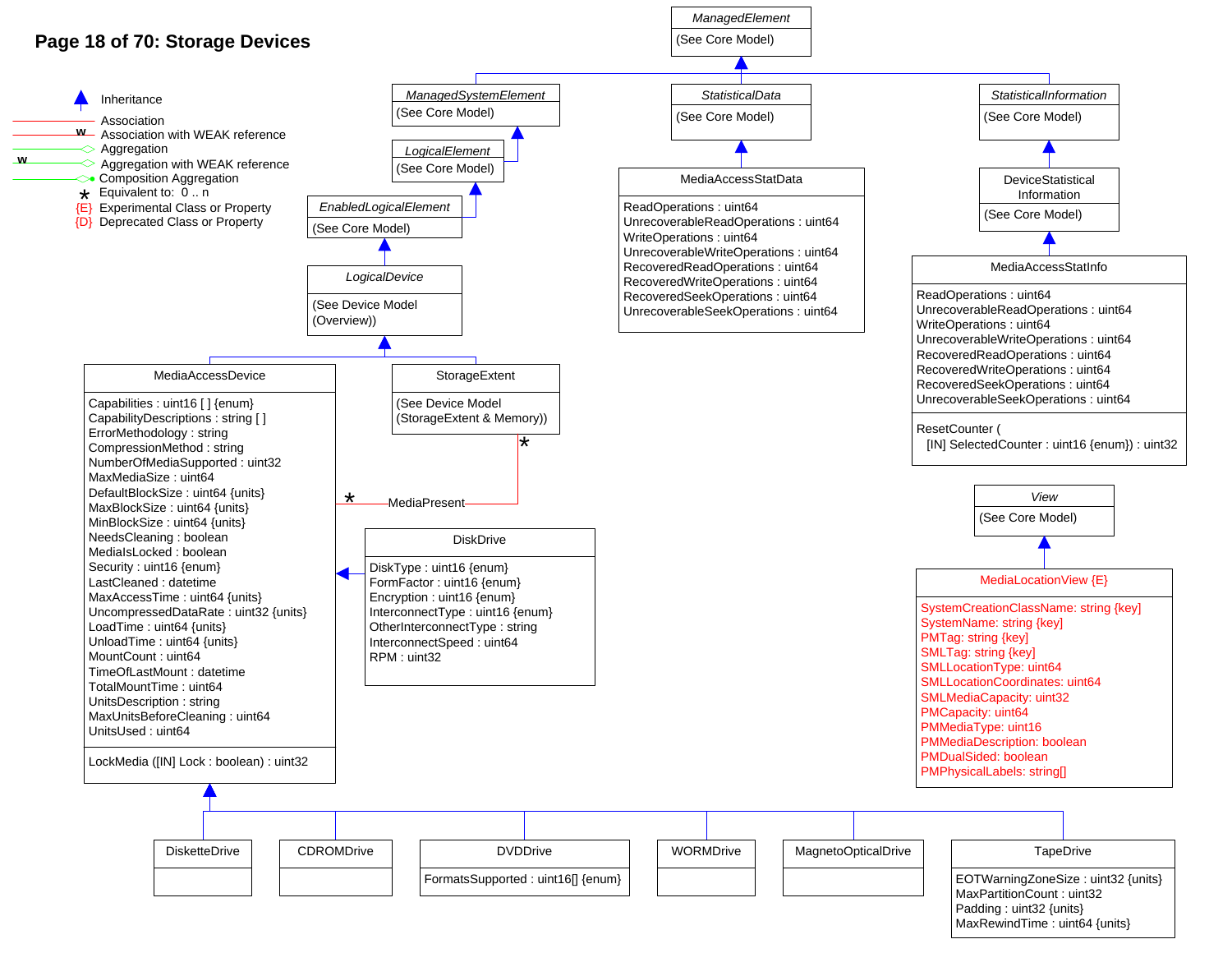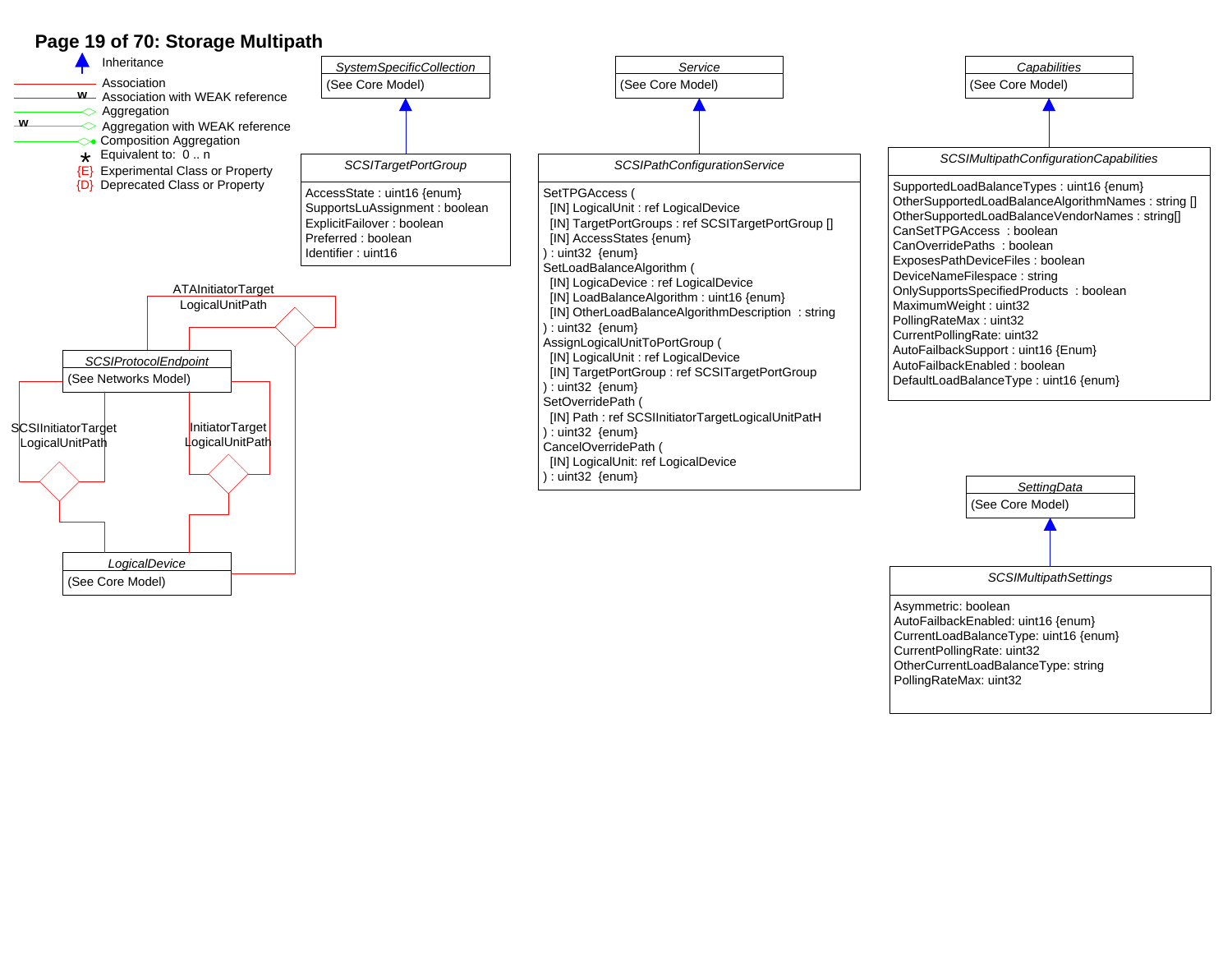### **Page 19 of 70: Storage Multipath**



Asymmetric: boolean AutoFailbackEnabled: uint16 {enum} CurrentLoadBalanceType: uint16 {enum} CurrentPollingRate: uint32 OtherCurrentLoadBalanceType: string PollingRateMax: uint32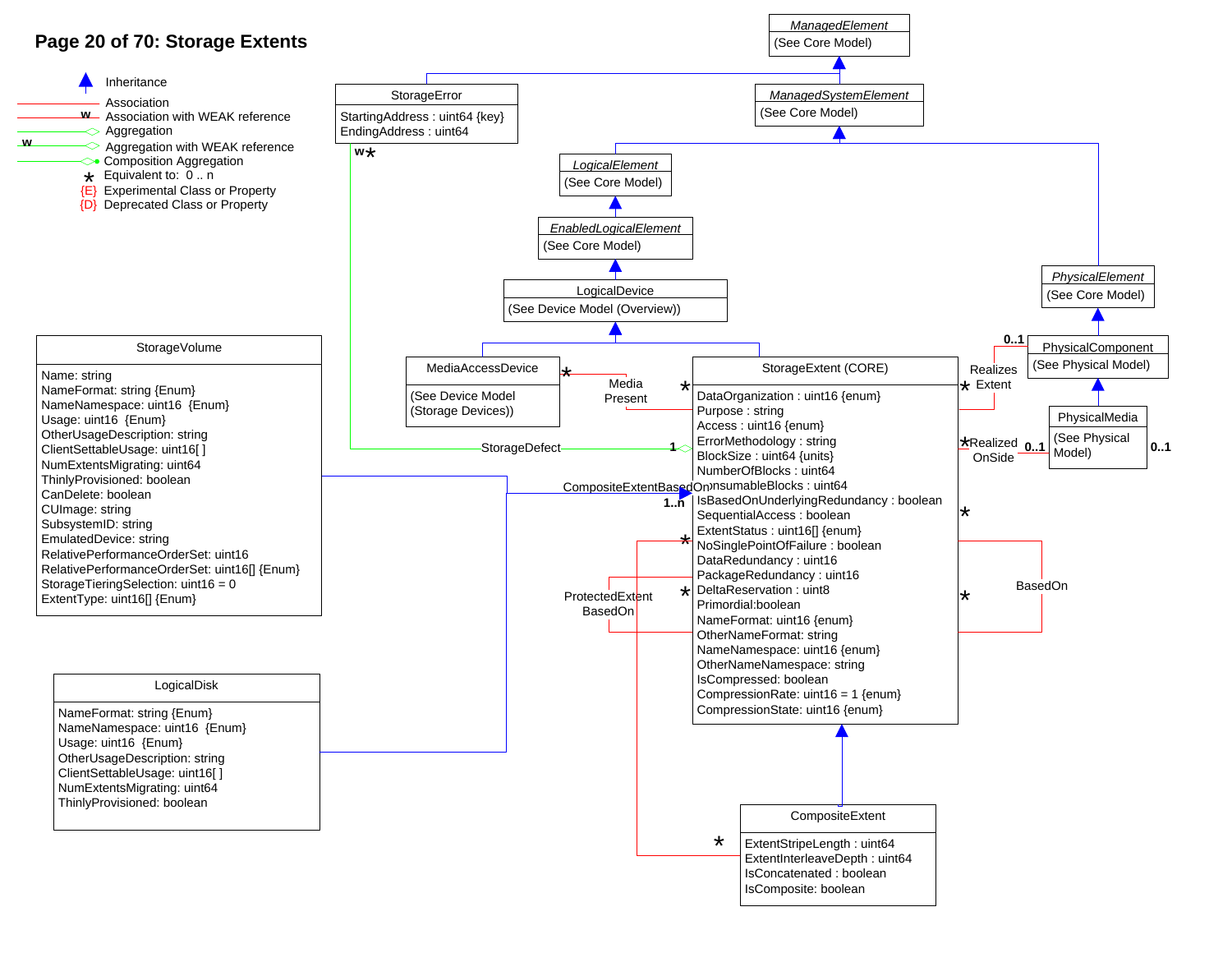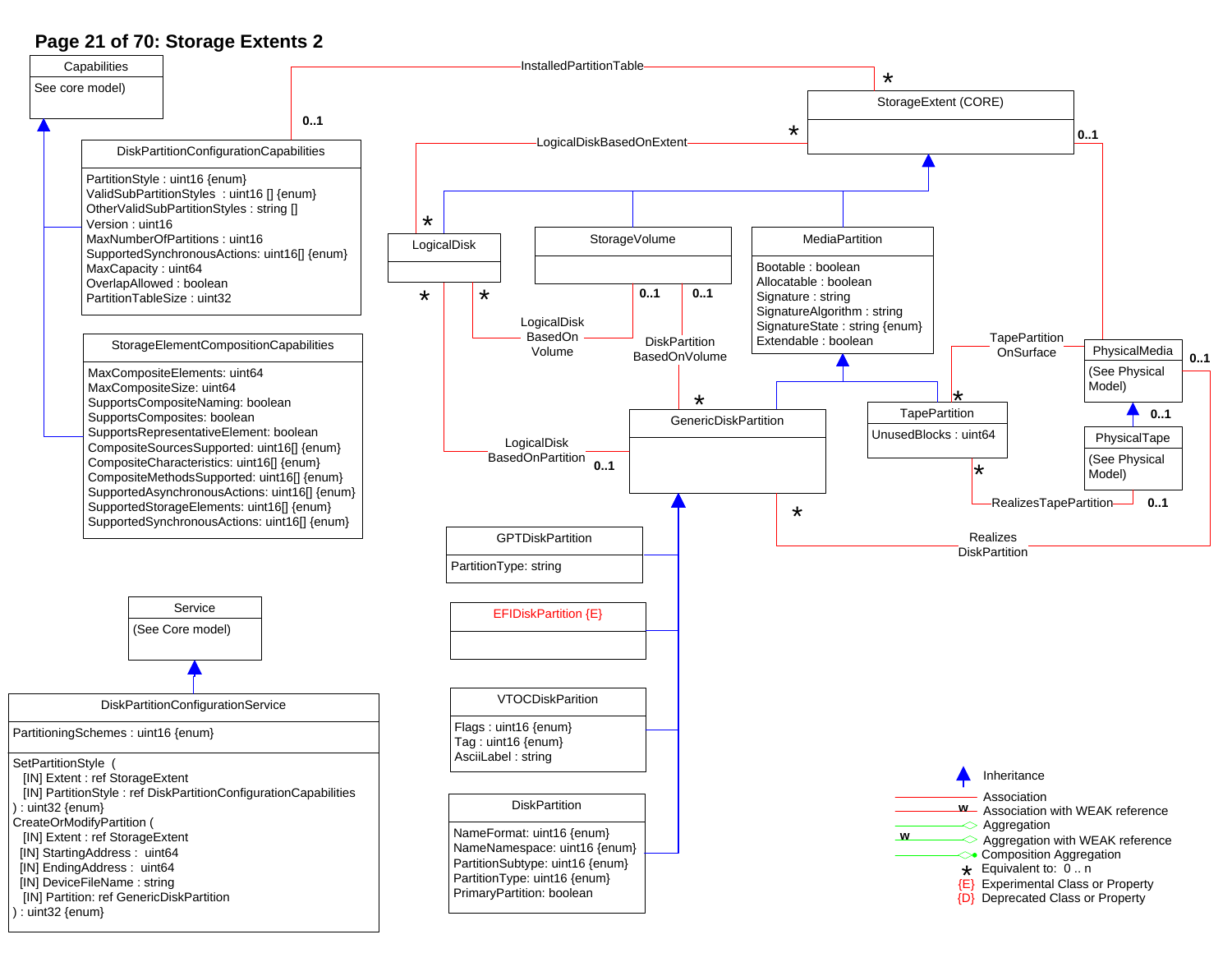## **Page 21 of 70: Storage Extents 2**

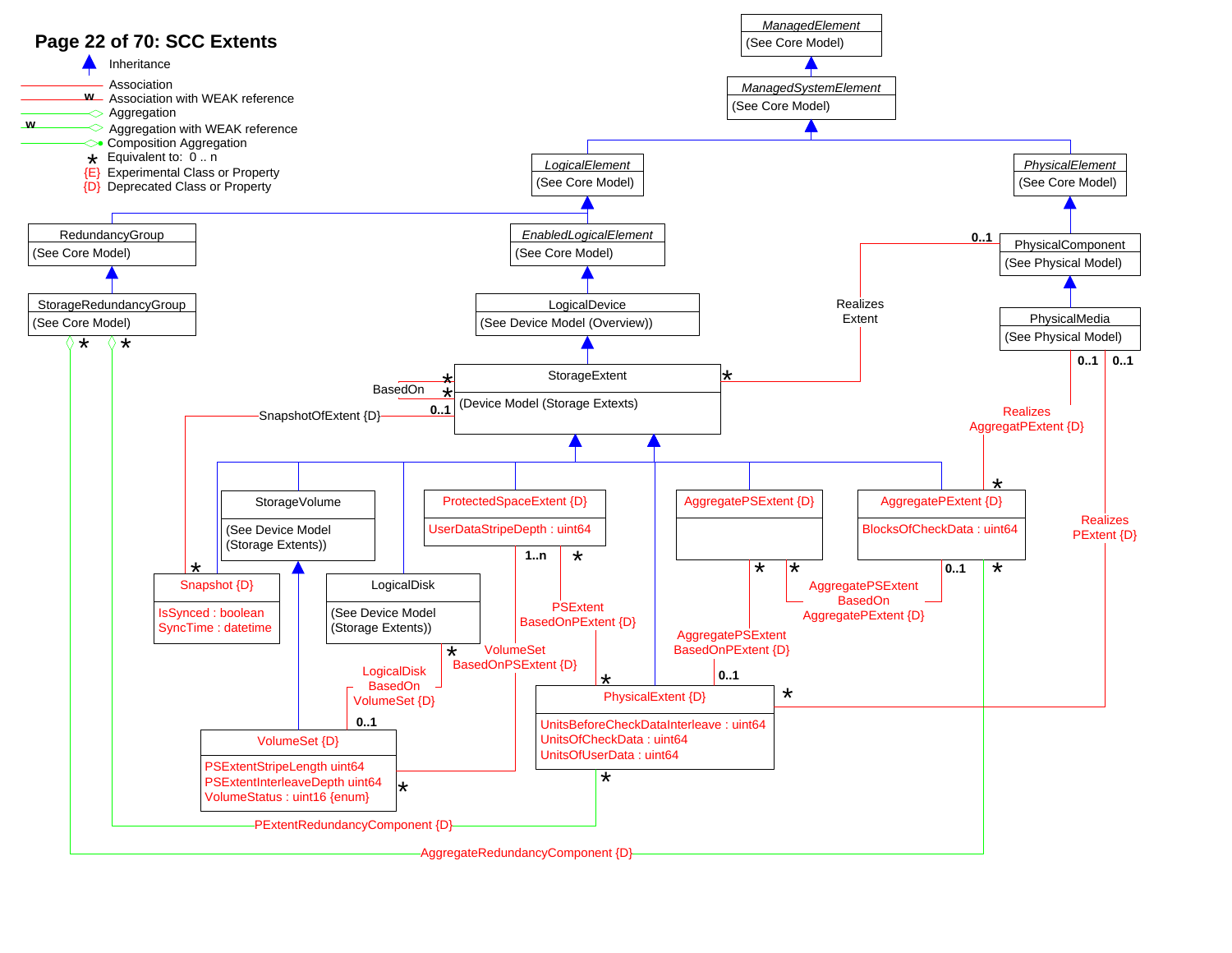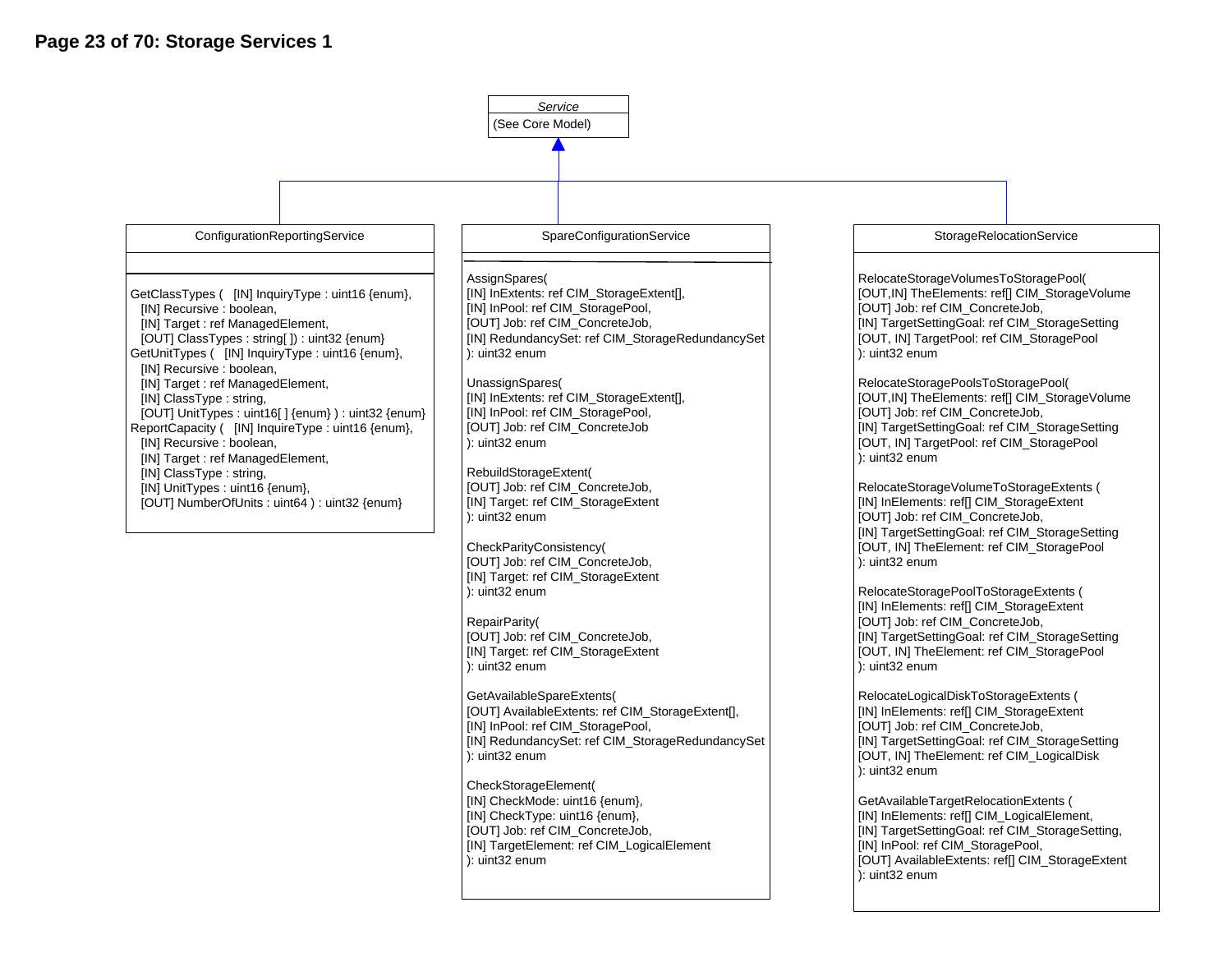

[OUT] Job: ref CIM\_ConcreteJob, [IN] Target: ref CIM\_StorageExtent ): uint32 enum

GetAvailableSpareExtents( [OUT] AvailableExtents: ref CIM\_StorageExtent[], [IN] InPool: ref CIM\_StoragePool, [IN] RedundancySet: ref CIM\_StorageRedundancySet ): uint32 enum

[IN] TargetSettingGoal: ref CIM\_StorageSetting [OUT, IN] TheElement: ref CIM\_StoragePool

[IN] TargetSettingGoal: ref CIM\_StorageSetting [OUT, IN] TheElement: ref CIM\_LogicalDisk

[OUT] AvailableExtents: ref[] CIM\_StorageExtent

RelocateLogicalDiskToStorageExtents ( [IN] InElements: ref[] CIM\_StorageExtent [OUT] Job: ref CIM\_ConcreteJob,

GetAvailableTargetRelocationExtents ( [IN] InElements: ref[] CIM\_LogicalElement, [IN] TargetSettingGoal: ref CIM\_StorageSetting,

[IN] InPool: ref CIM\_StoragePool,

): uint32 enum

): uint32 enum

): uint32 enum

CheckStorageElement( [IN] CheckMode: uint16 {enum}, [IN] CheckType: uint16 {enum}, [OUT] Job: ref CIM\_ConcreteJob, [IN] TargetElement: ref CIM\_LogicalElement ): uint32 enum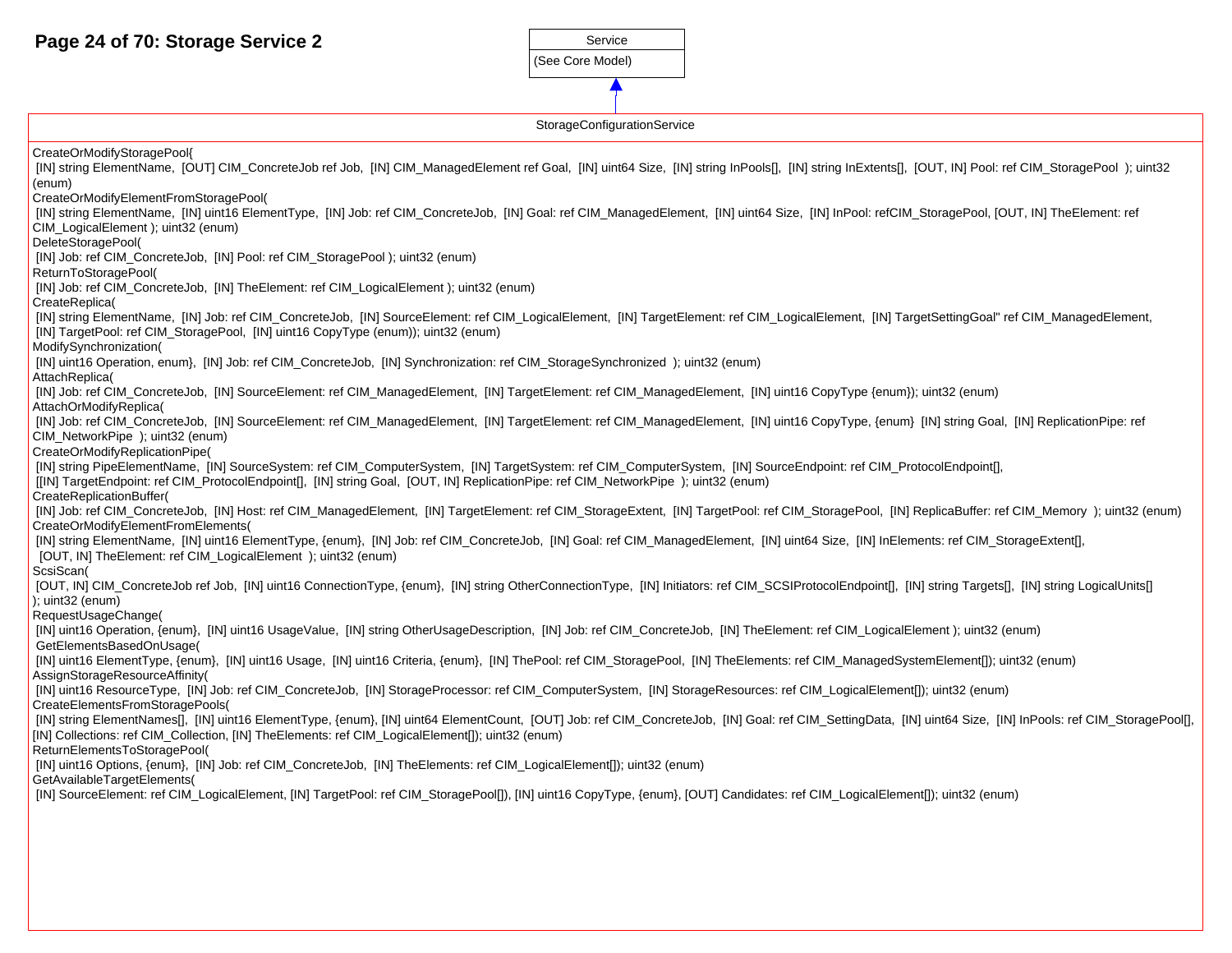(See Core Model) Service

StorageConfigurationService

| Storage Comiguration Service                                                                                                                                                                                                                                                                                                           |
|----------------------------------------------------------------------------------------------------------------------------------------------------------------------------------------------------------------------------------------------------------------------------------------------------------------------------------------|
| CreateOrModifyStoragePool{                                                                                                                                                                                                                                                                                                             |
| [IN] string ElementName, [OUT] CIM_ConcreteJob ref Job, [IN] CIM_ManagedElement ref Goal, [IN] uint64 Size, [IN] string InPools[], [IN] string InExtents[], [OUT, IN] Pool: ref CIM_StoragePool ); uint32<br>(enum)                                                                                                                    |
| CreateOrModifyElementFromStoragePool(                                                                                                                                                                                                                                                                                                  |
| [IN] string ElementName, [IN] uint16 ElementType, [IN] Job: ref CIM_ConcreteJob, [IN] Goal: ref CIM_ManagedElement, [IN] uint64 Size, [IN] InPool: refCIM_StoragePool, [OUT, IN] TheElement: ref<br>CIM LogicalElement ); uint32 (enum)                                                                                                |
| DeleteStoragePool(                                                                                                                                                                                                                                                                                                                     |
| [IN] Job: ref CIM_ConcreteJob, [IN] Pool: ref CIM_StoragePool); uint32 (enum)                                                                                                                                                                                                                                                          |
| ReturnToStoragePool(                                                                                                                                                                                                                                                                                                                   |
| [IN] Job: ref CIM_ConcreteJob, [IN] TheElement: ref CIM_LogicalElement ); uint32 (enum)<br>CreateReplica(                                                                                                                                                                                                                              |
| [IN] string ElementName, [IN] Job: ref CIM_ConcreteJob, [IN] SourceElement: ref CIM_LogicalElement, [IN] TargetElement: ref CIM_LogicalElement, [IN] TargetElement, [IN] TargetEement, [IN] TargetSettingGoal" ref CIM_Managed                                                                                                         |
| [IN] TargetPool: ref CIM_StoragePool, [IN] uint16 CopyType (enum)); uint32 (enum)<br>ModifySynchronization(                                                                                                                                                                                                                            |
| [IN] uint16 Operation, enum}, [IN] Job: ref CIM_ConcreteJob, [IN] Synchronization: ref CIM_StorageSynchronized ); uint32 (enum)                                                                                                                                                                                                        |
| AttachReplica(                                                                                                                                                                                                                                                                                                                         |
| [IN] Job: ref CIM_ConcreteJob, [IN] SourceElement: ref CIM_ManagedElement, [IN] TargetElement: ref CIM_ManagedElement, [IN] uint16 CopyType {enum}}; uint32 (enum)                                                                                                                                                                     |
| AttachOrModifyReplica(                                                                                                                                                                                                                                                                                                                 |
| [IN] Job: ref CIM_ConcreteJob, [IN] SourceElement: ref CIM_ManagedElement, [IN] TargetElement: ref CIM_ManagedElement, [IN] uint16 CopyType, {enum} [IN] string Goal, [IN] ReplicationPipe: ref                                                                                                                                        |
| CIM_NetworkPipe ); uint32 (enum)                                                                                                                                                                                                                                                                                                       |
| CreateOrModifyReplicationPipe(                                                                                                                                                                                                                                                                                                         |
| [IN] string PipeElementName, [IN] SourceSystem: ref CIM_ComputerSystem, [IN] TargetSystem: ref CIM_ComputerSystem, [IN] SourceEndpoint: ref CIM_ProtocolEndpoint[],<br>[[IN] TargetEndpoint: ref CIM_ProtocolEndpoint[], [IN] string Goal, [OUT, IN] ReplicationPipe: ref CIM_NetworkPipe ); uint32 (enum)<br>CreateReplicationBuffer( |
| [IN] Job: ref CIM_ConcreteJob, [IN] Host: ref CIM_ManagedElement, [IN] TargetElement: ref CIM_StorageExtent, [IN] TargetPool: ref CIM_StoragePool, [IN] ReplicaBuffer: ref CIM_Memory ); uint32 (enum)<br>CreateOrModifyElementFromElements(                                                                                           |
| [IN] string ElementName, [IN] uint16 ElementType, {enum}, [IN] Job: ref CIM_ConcreteJob, [IN] Goal: ref CIM_ManagedElement, [IN] uint64 Size, [IN] InElements: ref CIM_StorageExtent[],<br>[OUT, IN] The Element: ref CIM Logical Element ); uint 32 (enum)                                                                            |
| ScsiScan(                                                                                                                                                                                                                                                                                                                              |
| [OUT, IN] CIM_ConcreteJob ref Job, [IN] uint16 ConnectionType, {enum}, [IN] string OtherConnectionType, [IN] Initiators: ref CIM_SCSIProtocolEndpoint[], [IN] string Targets[], [IN] string LogicalUnits[]<br>$\left($ : uint $32$ (enum)                                                                                              |
| RequestUsageChange(                                                                                                                                                                                                                                                                                                                    |
| [IN] uint16 Operation, {enum}, [IN] uint16 UsageValue, [IN] string OtherUsageDescription, [IN] Job: ref CIM_ConcreteJob, [IN] TheElement: ref CIM_LogicalElement); uint32 (enum)<br>GetElementsBasedOnUsage(                                                                                                                           |
| [IN] uint16 ElementType, {enum}, [IN] uint16 Usage, [IN] uint16 Criteria, {enum}, [IN] ThePool: ref CIM_StoragePool, [IN] TheElements: ref CIM_ManagedSystemElement[]); uint32 (enum)<br>AssignStorageResourceAffinity(                                                                                                                |
| [IN] uint16 ResourceType, [IN] Job: ref CIM_ConcreteJob, [IN] StorageProcessor: ref CIM_ComputerSystem, [IN] StorageResources: ref CIM_LogicalElement[]); uint32 (enum)<br>CreateElementsFromStoragePools(                                                                                                                             |
| [IN] string ElementNames[], [IN] uint16 ElementType, {enum}, [IN] uint64 ElementCount, [OUT] Job: ref CIM_ConcreteJob, [IN] Goal: ref CIM_SettingData, [IN] uint64 Size, [IN] InPools: ref CIM_StoragePool[],<br>[IN] Collections: ref CIM_Collection, [IN] TheElements: ref CIM_LogicalElement[]); uint32 (enum)                      |
| ReturnElementsToStoragePool(                                                                                                                                                                                                                                                                                                           |
| [IN] uint16 Options, {enum}, [IN] Job: ref CIM_ConcreteJob, [IN] TheElements: ref CIM_LogicalElement[]); uint32 (enum)<br>GetAvailableTargetElements(                                                                                                                                                                                  |
| [IN] SourceElement: ref CIM_LogicalElement, [IN] TargetPool: ref CIM_StoragePool[]), [IN] uint16 CopyType, {enum}, [OUT] Candidates: ref CIM_LogicalElement[]); uint32 (enum)                                                                                                                                                          |
|                                                                                                                                                                                                                                                                                                                                        |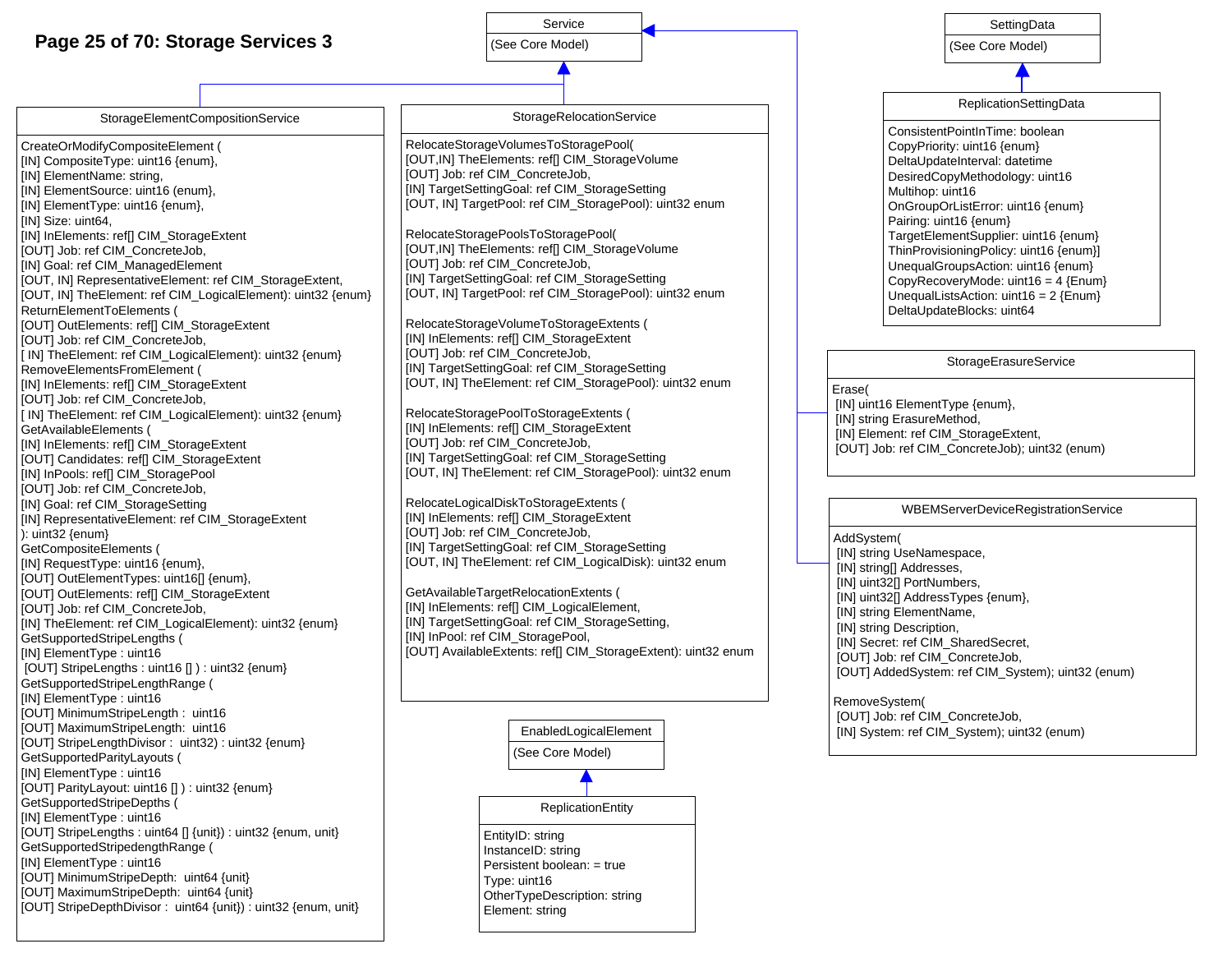## **Page 25 of 70: Storage Services 3**



#### StorageElementCompositionService

CreateOrModifyCompositeElement ( [IN] CompositeType: uint16 {enum}, [IN] ElementName: string, [IN] ElementSource: uint16 (enum}, [IN] ElementType: uint16 {enum}, [IN] Size: uint64, [IN] InElements: ref[] CIM\_StorageExtent [OUT] Job: ref CIM\_ConcreteJob, [IN] Goal: ref CIM\_ManagedElement [OUT, IN] RepresentativeElement: ref CIM\_StorageExtent, [OUT, IN] TheElement: ref CIM\_LogicalElement): uint32 {enum} ReturnElementToElements ( [OUT] OutElements: ref[] CIM\_StorageExtent [OUT] Job: ref CIM\_ConcreteJob, [ IN] TheElement: ref CIM\_LogicalElement): uint32 {enum} RemoveElementsFromElement ( [IN] InElements: ref[] CIM\_StorageExtent [OUT] Job: ref CIM\_ConcreteJob, [ IN] TheElement: ref CIM\_LogicalElement): uint32 {enum} GetAvailableElements ( [IN] InElements: ref[] CIM\_StorageExtent [OUT] Candidates: ref[] CIM\_StorageExtent [IN] InPools: ref[] CIM\_StoragePool [OUT] Job: ref CIM\_ConcreteJob, [IN] Goal: ref CIM\_StorageSetting [IN] RepresentativeElement: ref CIM\_StorageExtent ): uint32 {enum} GetCompositeElements ( [IN] RequestType: uint16 {enum}, [OUT] OutElementTypes: uint16[] {enum}, [OUT] OutElements: ref[] CIM\_StorageExtent [OUT] Job: ref CIM\_ConcreteJob, [IN] TheElement: ref CIM\_LogicalElement): uint32 {enum} GetSupportedStripeLengths ( [IN] ElementType : uint16 [OUT] StripeLengths : uint16 [] ) : uint32 {enum} GetSupportedStripeLengthRange ( [IN] ElementType : uint16 [OUT] MinimumStripeLength : uint16 [OUT] MaximumStripeLength: uint16 [OUT] StripeLengthDivisor : uint32) : uint32 {enum} GetSupportedParityLayouts ( [IN] ElementType : uint16 [OUT] ParityLayout: uint16 [] ) : uint32 {enum} GetSupportedStripeDepths ( [IN] ElementType : uint16 [OUT] StripeLengths : uint64 [] {unit}) : uint32 {enum, unit} GetSupportedStripedengthRange ( [IN] ElementType : uint16 [OUT] MinimumStripeDepth: uint64 {unit} [OUT] MaximumStripeDepth: uint64 {unit} [OUT] StripeDepthDivisor : uint64 {unit}) : uint32 {enum, unit}

RelocateStorageVolumesToStoragePool( [OUT,IN] TheElements: ref[] CIM\_StorageVolume [OUT] Job: ref CIM\_ConcreteJob, [IN] TargetSettingGoal: ref CIM\_StorageSetting [OUT, IN] TargetPool: ref CIM\_StoragePool): uint32 enum

RelocateStoragePoolsToStoragePool( [OUT,IN] TheElements: ref[] CIM\_StorageVolume [OUT] Job: ref CIM\_ConcreteJob, [IN] TargetSettingGoal: ref CIM\_StorageSetting [OUT, IN] TargetPool: ref CIM\_StoragePool): uint32 enum

RelocateStorageVolumeToStorageExtents ( [IN] InElements: ref[] CIM\_StorageExtent [OUT] Job: ref CIM\_ConcreteJob, [IN] TargetSettingGoal: ref CIM\_StorageSetting [OUT, IN] TheElement: ref CIM\_StoragePool): uint32 enum

RelocateStoragePoolToStorageExtents ( [IN] InElements: ref[] CIM\_StorageExtent [OUT] Job: ref CIM\_ConcreteJob, [IN] TargetSettingGoal: ref CIM\_StorageSetting [OUT, IN] TheElement: ref CIM\_StoragePool): uint32 enum

RelocateLogicalDiskToStorageExtents ( [IN] InElements: ref[] CIM\_StorageExtent [OUT] Job: ref CIM\_ConcreteJob, [IN] TargetSettingGoal: ref CIM\_StorageSetting [OUT, IN] TheElement: ref CIM\_LogicalDisk): uint32 enum

GetAvailableTargetRelocationExtents ( [IN] InElements: ref[] CIM\_LogicalElement, [IN] TargetSettingGoal: ref CIM\_StorageSetting, [IN] InPool: ref CIM\_StoragePool, [OUT] AvailableExtents: ref[] CIM\_StorageExtent): uint32 enum

> (See Core Model) EnabledLogicalElement **ReplicationEntity** EntityID: string InstanceID: string Persistent boolean: = true Type: uint16 OtherTypeDescription: string Element: string

|                                                                                                                                                                   |                                                                                                                                                                                                                                                                                                                                                                                                                                                              | SettingData                                                                                                                                                                                                                                                                                           |  |  |  |  |
|-------------------------------------------------------------------------------------------------------------------------------------------------------------------|--------------------------------------------------------------------------------------------------------------------------------------------------------------------------------------------------------------------------------------------------------------------------------------------------------------------------------------------------------------------------------------------------------------------------------------------------------------|-------------------------------------------------------------------------------------------------------------------------------------------------------------------------------------------------------------------------------------------------------------------------------------------------------|--|--|--|--|
|                                                                                                                                                                   | (See Core Model)                                                                                                                                                                                                                                                                                                                                                                                                                                             |                                                                                                                                                                                                                                                                                                       |  |  |  |  |
|                                                                                                                                                                   |                                                                                                                                                                                                                                                                                                                                                                                                                                                              |                                                                                                                                                                                                                                                                                                       |  |  |  |  |
|                                                                                                                                                                   |                                                                                                                                                                                                                                                                                                                                                                                                                                                              |                                                                                                                                                                                                                                                                                                       |  |  |  |  |
|                                                                                                                                                                   | ConsistentPointInTime: boolean<br>CopyPriority: uint16 {enum}<br>DeltaUpdateInterval: datetime<br>DesiredCopyMethodology: uint16<br>Multihop: uint16<br>OnGroupOrListError: uint16 {enum}<br>Pairing: uint16 {enum}<br>TargetElementSupplier: uint16 {enum}<br>ThinProvisioningPolicy: uint16 {enum}]<br>UnequalGroupsAction: uint16 {enum}<br>CopyRecoveryMode: $uint16 = 4$ {Enum}<br>UnequalListsAction: $uint16 = 2$ {Enum}<br>DeltaUpdateBlocks: uint64 |                                                                                                                                                                                                                                                                                                       |  |  |  |  |
|                                                                                                                                                                   |                                                                                                                                                                                                                                                                                                                                                                                                                                                              |                                                                                                                                                                                                                                                                                                       |  |  |  |  |
|                                                                                                                                                                   |                                                                                                                                                                                                                                                                                                                                                                                                                                                              |                                                                                                                                                                                                                                                                                                       |  |  |  |  |
| Erase(<br>[IN] uint16 ElementType {enum},<br>[IN] string ErasureMethod,<br>[IN] Element: ref CIM_StorageExtent,<br>[OUT] Job: ref CIM_ConcreteJob); uint32 (enum) |                                                                                                                                                                                                                                                                                                                                                                                                                                                              |                                                                                                                                                                                                                                                                                                       |  |  |  |  |
|                                                                                                                                                                   |                                                                                                                                                                                                                                                                                                                                                                                                                                                              | ReplicationSettingData<br>StorageErasureService<br>[IN] uint32[] AddressTypes {enum},<br>[IN] Secret: ref CIM_SharedSecret,<br>[OUT] Job: ref CIM_ConcreteJob,<br>[OUT] AddedSystem: ref CIM_System); uint32 (enum)<br>[OUT] Job: ref CIM_ConcreteJob,<br>[IN] System: ref CIM_System); uint32 (enum) |  |  |  |  |
|                                                                                                                                                                   | WBEMServerDeviceRegistrationService                                                                                                                                                                                                                                                                                                                                                                                                                          |                                                                                                                                                                                                                                                                                                       |  |  |  |  |
| AddSystem(<br>RemoveSystem(                                                                                                                                       | [IN] string UseNamespace,<br>[IN] string[] Addresses,<br>[IN] uint32[] PortNumbers,<br>[IN] string ElementName,<br>[IN] string Description,                                                                                                                                                                                                                                                                                                                  |                                                                                                                                                                                                                                                                                                       |  |  |  |  |
|                                                                                                                                                                   |                                                                                                                                                                                                                                                                                                                                                                                                                                                              |                                                                                                                                                                                                                                                                                                       |  |  |  |  |
|                                                                                                                                                                   |                                                                                                                                                                                                                                                                                                                                                                                                                                                              |                                                                                                                                                                                                                                                                                                       |  |  |  |  |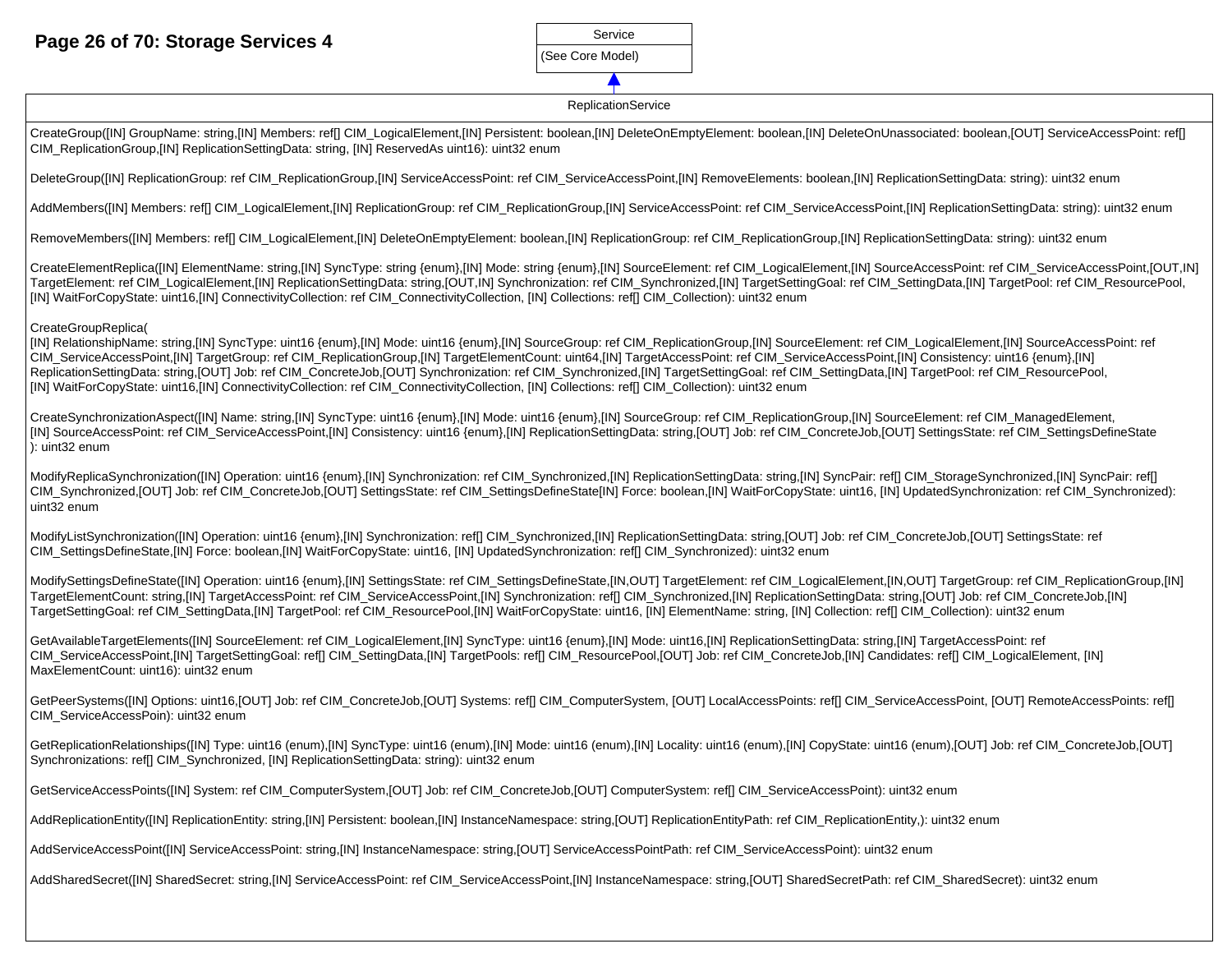## **Page 26 of 70: Storage Services 4**

| Service          |
|------------------|
| (See Core Model) |
|                  |

#### **ReplicationService**

CreateGroup([IN] GroupName: string,[IN] Members: ref[] CIM LogicalElement,[IN] Persistent: boolean,[IN] DeleteOnEmptyElement: boolean,[IN] DeleteOnUnassociated: boolean,[OUT] ServiceAccessPoint: ref[] CIM\_ReplicationGroup,[IN] ReplicationSettingData: string, [IN] ReservedAs uint16): uint32 enum DeleteGroup([IN] ReplicationGroup: ref CIM\_ReplicationGroup,[IN] ServiceAccessPoint: ref CIM\_ServiceAccessPoint,[IN] RemoveElements: boolean,[IN] ReplicationSettingData: string): uint32 enum AddMembers([IN] Members: ref[] CIM\_LogicalElement,[IN] ReplicationGroup: ref CIM\_ReplicationGroup,[IN] ServiceAccessPoint: ref CIM\_ServiceAccessPoint,[IN] ReplicationSettingData: string): uint32 enum RemoveMembers([IN] Members: ref[] CIM\_LogicalElement,[IN] DeleteOnEmptyElement: boolean,[IN] ReplicationGroup: ref CIM\_ReplicationGroup,[IN] ReplicationSettingData: string): uint32 enum CreateElementReplica([IN] ElementName: string,[IN] SyncType: string {enum},[IN] Mode: string {enum},[IN] SourceElement: ref CIM\_LogicalElement,[IN] SourceAccessPoint: ref CIM\_ServiceAccessPoint: ref CIM\_ServiceAccessPoint, TargetElement: ref CIM\_LogicalElement,[IN] ReplicationSettingData: string,[OUT,IN] Synchronization: ref CIM\_Synchronized,[IN] TargetSettingGoal: ref CIM\_SettingData,[IN] TargetPool: ref CIM\_ResourcePool, [IN] WaitForCopyState: uint16,[IN] ConnectivityCollection: ref CIM\_ConnectivityCollection, [IN] Collections: ref[] CIM\_Collection): uint32 enum CreateGroupReplica( [IN] RelationshipName: string,[IN] SyncType: uint16 {enum},[IN] Mode: uint16 {enum},[IN] SourceGroup: ref CIM\_ReplicationGroup,[IN] SourceElement: ref CIM\_LogicalElement,[IN] SourceAccessPoint: ref CIM\_ServiceAccessPoint,[IN] TargetGroup: ref CIM\_ReplicationGroup,[IN] TargetElementCount: uint64,[IN] TargetAccessPoint: ref CIM\_ServiceAccessPoint,[IN] Consistency: uint16 {enum},[IN] ReplicationSettingData: string,[OUT] Job: ref CIM\_ConcreteJob,[OUT] Synchronization: ref CIM\_Synchronized,[IN] TargetSettingGoal: ref CIM\_SettingData,[IN] TargetPool: ref CIM\_ResourcePool, [IN] WaitForCopyState: uint16,[IN] ConnectivityCollection: ref CIM\_ConnectivityCollection, [IN] Collections: ref[] CIM\_Collection): uint32 enum CreateSynchronizationAspect([IN] Name: string,[IN] SyncType: uint16 {enum},[IN] Mode: uint16 {enum},[IN] SourceGroup: ref CIM\_ReplicationGroup,[IN] SourceElement: ref CIM\_ManagedElement, [IN] SourceAccessPoint: ref CIM\_ServiceAccessPoint,[IN] Consistency: uint16 {enum},[IN] ReplicationSettingData: string,[OUT] Job: ref CIM\_ConcreteJob,[OUT] SettingsState: ref CIM\_SettingsDefineState ): uint32 enum ModifyReplicaSynchronization([IN] Operation: uint16 {enum},[IN] Synchronization: ref CIM\_Synchronized,[IN] ReplicationSettingData: string,[IN] SyncPair: ref[] CIM\_StorageSynchronized,[IN] SyncPair: ref[] CIM\_Synchronized,[OUT] Job: ref CIM\_ConcreteJob,[OUT] SettingsState: ref CIM\_SettingsDefineState[IN] Force: boolean,[IN] WaitForCopyState: uint16, [IN] UpdatedSynchronization: ref CIM\_Synchronized): uint32 enum ModifyListSynchronization([IN] Operation: uint16 {enum},[IN] Synchronization: ref[] CIM\_Synchronized,[IN] ReplicationSettingData: string,[OUT] Job: ref CIM\_ConcreteJob,[OUT] SettingsState: ref CIM\_SettingsDefineState,[IN] Force: boolean,[IN] WaitForCopyState: uint16, [IN] UpdatedSynchronization: ref[] CIM\_Synchronized): uint32 enum ModifySettingsDefineState([IN] Operation: uint16 {enum},[IN] SettingsState: ref CIM\_SettingsDefineState,[IN,OUT] TargetElement: ref CIM\_LogicalElement,[IN,OUT] TargetGroup: ref CIM\_ReplicationGroup,[IN] TargetElementCount: string,[IN] TargetAccessPoint: ref CIM\_ServiceAccessPoint,[IN] Synchronization: ref[] CIM\_Synchronized,[IN] ReplicationSettingData: string,[OUT] Job: ref CIM\_ConcreteJob,[IN] TargetSettingGoal: ref CIM\_SettingData,[IN] TargetPool: ref CIM\_ResourcePool,[IN] WaitForCopyState: uint16, [IN] ElementName: string, [IN] Collection: ref[] CIM\_Collection): uint32 enum GetAvailableTargetElements([IN] SourceElement: ref CIM LogicalElement,[IN] SyncType: uint16 {enum},[IN] Mode: uint16,[IN] ReplicationSettingData: string,[IN] TargetAccessPoint: ref CIM ServiceAccessPoint,[IN] TargetSettingGoal: ref[] CIM SettingData,[IN] TargetPools: ref[] CIM ResourcePool,[OUT] Job: ref CIM ConcreteJob,[IN] Candidates: ref[] CIM LogicalElement, [IN] MaxElementCount: uint16): uint32 enum GetPeerSystems([IN] Options: uint16,[OUT] Job: ref CIM\_ConcreteJob,[OUT] Systems: ref[] CIM\_ComputerSystem, [OUT] LocalAccessPoints: ref[] CIM\_ServiceAccessPoint, [OUT] RemoteAccessPoints: ref[] CIM\_ServiceAccessPoin): uint32 enum GetReplicationRelationships([IN] Type: uint16 (enum),[IN] SyncType: uint16 (enum),[IN] Mode: uint16 (enum),[IN] Locality: uint16 (enum),[IN] CopyState: uint16 (enum),[OUT] Job: ref CIM\_ConcreteJob,[OUT] Synchronizations: ref[] CIM\_Synchronized, [IN] ReplicationSettingData: string): uint32 enum GetServiceAccessPoints([IN] System: ref CIM\_ComputerSystem,[OUT] Job: ref CIM\_ConcreteJob,[OUT] ComputerSystem: ref[] CIM\_ServiceAccessPoint): uint32 enum AddReplicationEntity([IN] ReplicationEntity: string,[IN] Persistent: boolean,[IN] InstanceNamespace: string,[OUT] ReplicationEntityPath: ref CIM\_ReplicationEntity,): uint32 enum AddServiceAccessPoint([IN] ServiceAccessPoint: string,[IN] InstanceNamespace: string,[OUT] ServiceAccessPointPath: ref CIM\_ServiceAccessPoint): uint32 enum

AddSharedSecret([IN] SharedSecret: string,[IN] ServiceAccessPoint: ref CIM\_ServiceAccessPoint,[IN] InstanceNamespace: string,[OUT] SharedSecretPath: ref CIM\_SharedSecret): uint32 enum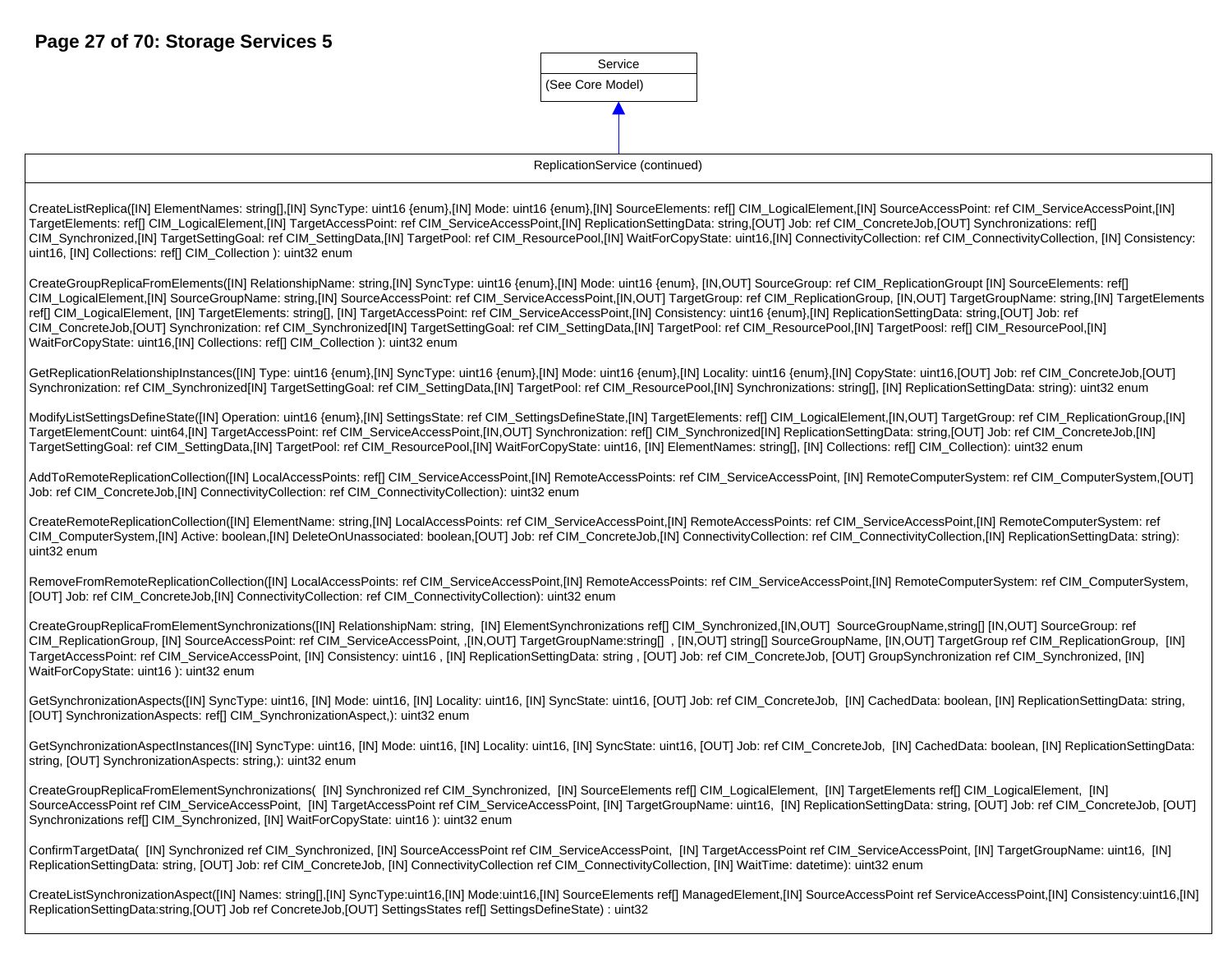

ReplicationService (continued)

CreateListReplica([IN] ElementNames: string[],[IN] SyncType: uint16 {enum},[IN] Mode: uint16 {enum},[IN] SourceElements: ref[] CIM\_LogicalElement,[IN] SourceAccessPoint: ref CIM\_ServiceAccessPoint,[IN] TargetElements: ref[] CIM\_LogicalElement,[IN] TargetAccessPoint: ref CIM\_ServiceAccessPoint,[IN] ReplicationSettingData: string,[OUT] Job: ref CIM\_ConcreteJob,[OUT] Synchronizations: ref[] CIM\_Synchronized,[IN] TargetSettingGoal: ref CIM\_SettingData,[IN] TargetPool: ref CIM\_ResourcePool,[IN] WaitForCopyState: uint16,[IN] ConnectivityCollection: ref CIM\_ConnectivityCollection, [IN] Consistency: uint16, [IN] Collections: ref[] CIM\_Collection ): uint32 enum

CreateGroupReplicaFromElements([IN] RelationshipName: string,[IN] SyncType: uint16 {enum},[IN] Mode: uint16 {enum}, [IN,OUT] SourceGroup: ref CIM\_ReplicationGroupt [IN] SourceElements: ref[] CIM\_LogicalElement,[IN] SourceGroupName: string,[IN] SourceAccessPoint: ref CIM\_ServiceAccessPoint,[IN,OUT] TargetGroup: ref CIM\_ReplicationGroup, [IN,OUT] TargetGroupName: string,[IN] TargetElements ref[] CIM\_LogicalElement, [IN] TargetElements: string[], [IN] TargetAccessPoint: ref CIM\_ServiceAccessPoint,[IN] Consistency: uint16 {enum},[IN] ReplicationSettingData: string,[OUT] Job: ref CIM\_ConcreteJob,[OUT] Synchronization: ref CIM\_Synchronized[IN] TargetSettingGoal: ref CIM\_SettingData,[IN] TargetPool: ref CIM\_ResourcePool,[IN] TargetPoosl: ref[] CIM\_ResourcePool,[IN] WaitForCopyState: uint16,[IN] Collections: reff] CIM\_Collection ): uint32 enum

GetReplicationRelationshipInstances([IN] Type: uint16 {enum},[IN] SyncType: uint16 {enum},[IN] Mode: uint16 {enum},[IN] Locality: uint16 {enum},[IN] CopyState: uint16,[OUT] Job: ref CIM\_ConcreteJob,[OUT] Synchronization: ref CIM\_Synchronized[IN] TargetSettingGoal: ref CIM\_SettingData,[IN] TargetPool: ref CIM\_ResourcePool,[IN] Synchronizations: string[], [IN] ReplicationSettingData: string): uint32 enum

ModifyListSettingsDefineState([IN] Operation: uint16 {enum},[IN] SettingsState: ref CIM\_SettingsDefineState,[IN] TargetElements: ref[] CIM\_LogicalElement,[IN,OUT] TargetGroup: ref CIM\_ReplicationGroup,[IN] TargetElementCount: uint64,[IN] TargetAccessPoint: ref CIM\_ServiceAccessPoint,[IN,OUT] Synchronization: ref[] CIM\_Synchronized[IN] ReplicationSettingData: string,[OUT] Job: ref CIM\_ConcreteJob,[IN] TargetSettingGoal: ref CIM\_SettingData,[IN] TargetPool: ref CIM\_ResourcePool,[IN] WaitForCopyState: uint16, [IN] ElementNames: string[], [IN] Collections: ref[] CIM\_Collection): uint32 enum

AddToRemoteReplicationCollection([IN] LocalAccessPoints: ref[] CIM ServiceAccessPoint,[IN] RemoteAccessPoints: ref CIM ServiceAccessPoint, [IN] RemoteComputerSystem: ref CIM ComputerSystem.[OUT] Job: ref CIM\_ConcreteJob,[IN] ConnectivityCollection: ref CIM\_ConnectivityCollection): uint32 enum

CreateRemoteReplicationCollection([IN] ElementName: string,[IN] LocalAccessPoints: ref CIM\_ServiceAccessPoint,[IN] RemoteAccessPoints: ref CIM\_ServiceAccessPoint,[IN] RemoteComputerSystem: ref CIM ComputerSystem,[IN] Active: boolean,[IN] DeleteOnUnassociated: boolean,[OUT] Job: ref CIM ConcreteJob,[IN] ConnectivityCollection: ref CIM ConnectivityCollection,[IN] ReplicationSettingData: string): uint32 enum

RemoveFromRemoteReplicationCollection([IN] LocalAccessPoints: ref CIM\_ServiceAccessPoint,[IN] RemoteAccessPoints: ref CIM\_ServiceAccessPoint,[IN] RemoteComputerSystem: ref CIM\_ComputerSystem, [OUT] Job: ref CIM\_ConcreteJob,[IN] ConnectivityCollection: ref CIM\_ConnectivityCollection): uint32 enum

CreateGroupReplicaFromElementSynchronizations([IN] RelationshipNam: string, [IN] ElementSynchronizations ref[] CIM\_Synchronized,[IN,OUT] SourceGroupName,string[] [IN,OUT] SourceGroup: ref CIM ReplicationGroup, [IN] SourceAccessPoint: ref CIM ServiceAccessPoint, ,[IN,OUT] TargetGroupName:string[] , [IN,OUT] string[] SourceGroupName, [IN,OUT] TargetGroup ref CIM ReplicationGroup, [IN] TargetAccessPoint: ref CIM\_ServiceAccessPoint, [IN] Consistency: uint16 , [IN] ReplicationSettingData: string , [OUT] Job: ref CIM\_ConcreteJob, [OUT] GroupSynchronization ref CIM\_Synchronized, [IN] WaitForCopyState: uint16 ): uint32 enum

GetSynchronizationAspects([IN] SyncType: uint16, [IN] Mode: uint16, [IN] Locality: uint16, [IN] SyncState: uint16, [OUT] Job: ref CIM\_ConcreteJob, [IN] CachedData: boolean, [IN] ReplicationSettingData: string, [OUT] SynchronizationAspects: ref[] CIM\_SynchronizationAspect,): uint32 enum

GetSynchronizationAspectInstances([IN] SyncType: uint16, [IN] Mode: uint16, [IN] Locality: uint16, [IN] SyncState: uint16, [OUT] Job: ref CIM\_ConcreteJob, [IN] CachedData: boolean, [IN] ReplicationSettingData: string, [OUT] SynchronizationAspects: string,): uint32 enum

CreateGroupReplicaFromElementSynchronizations( [IN] Synchronized ref CIM\_Synchronized, [IN] SourceElements ref[] CIM\_LogicalElement, [IN] TargetElements ref[] CIM\_LogicalElement, [IN] SourceAccessPoint ref CIM\_ServiceAccessPoint, [IN] TargetAccessPoint ref CIM\_ServiceAccessPoint, [IN] TargetGroupName: uint16, [IN] ReplicationSettingData: string, [OUT] Job: ref CIM\_ConcreteJob, [OUT] Synchronizations reffl CIM\_Synchronized, [IN] WaitForCopyState: uint16 ): uint32 enum

ConfirmTargetData( [IN] Synchronized ref CIM\_Synchronized, [IN] SourceAccessPoint ref CIM\_ServiceAccessPoint, [IN] TargetAccessPoint ref CIM\_ServiceAccessPoint, [IN] TargetGroupName: uint16, [IN] ReplicationSettingData: string, [OUT] Job: ref CIM\_ConcreteJob, [IN] ConnectivityCollection ref CIM\_ConnectivityCollection, [IN] WaitTime: datetime): uint32 enum

CreateListSynchronizationAspect([IN] Names: string[],[IN] SyncType:uint16,[IN] Mode:uint16,[IN] SourceElements ref[] ManagedElement,[IN] SourceAccessPoint ref ServiceAccessPoint,[IN] Consistency:uint16,[IN] ReplicationSettingData:string,[OUT] Job ref ConcreteJob,[OUT] SettingsStates ref[] SettingsDefineState) : uint32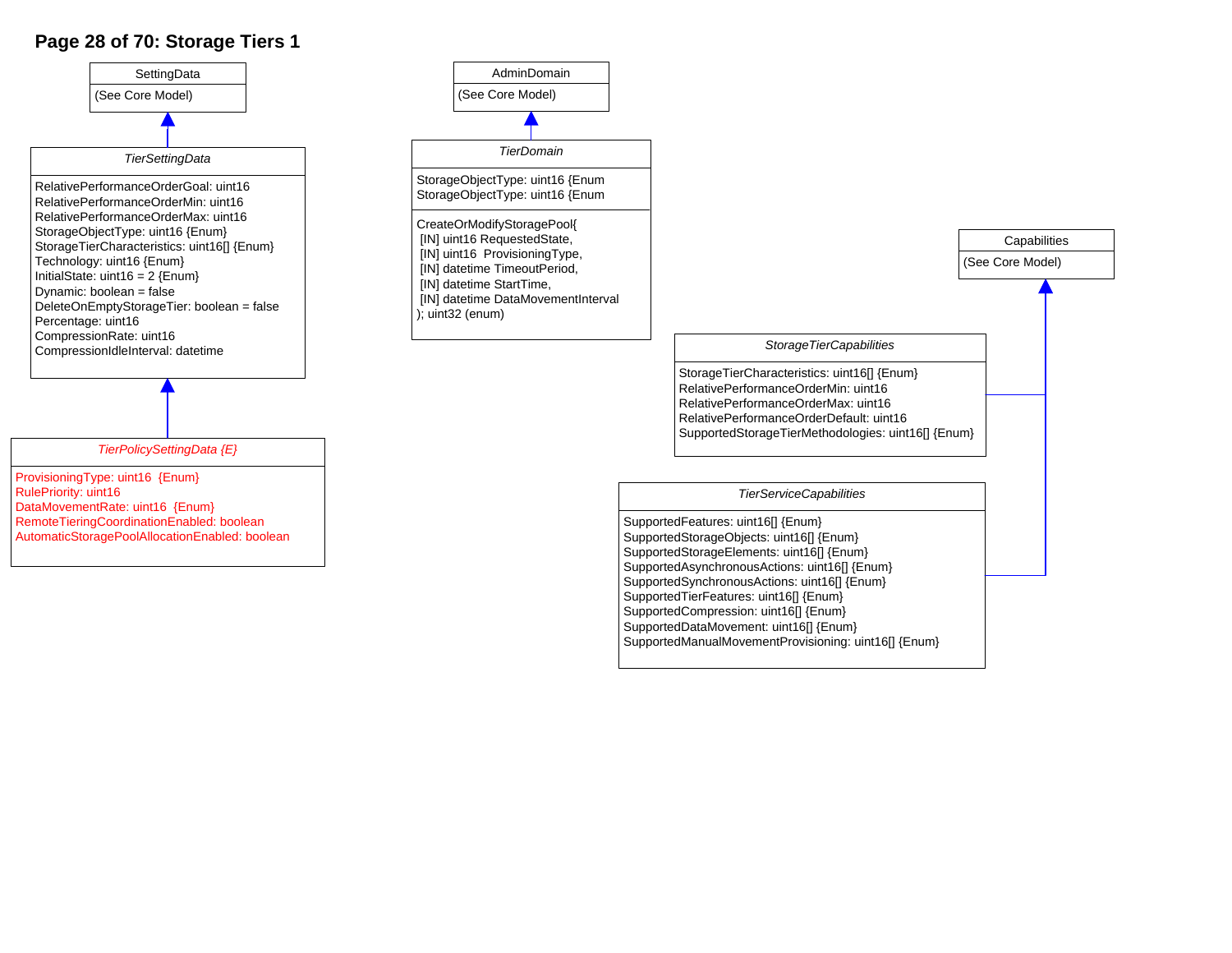## **Page 28 of 70: Storage Tiers 1**



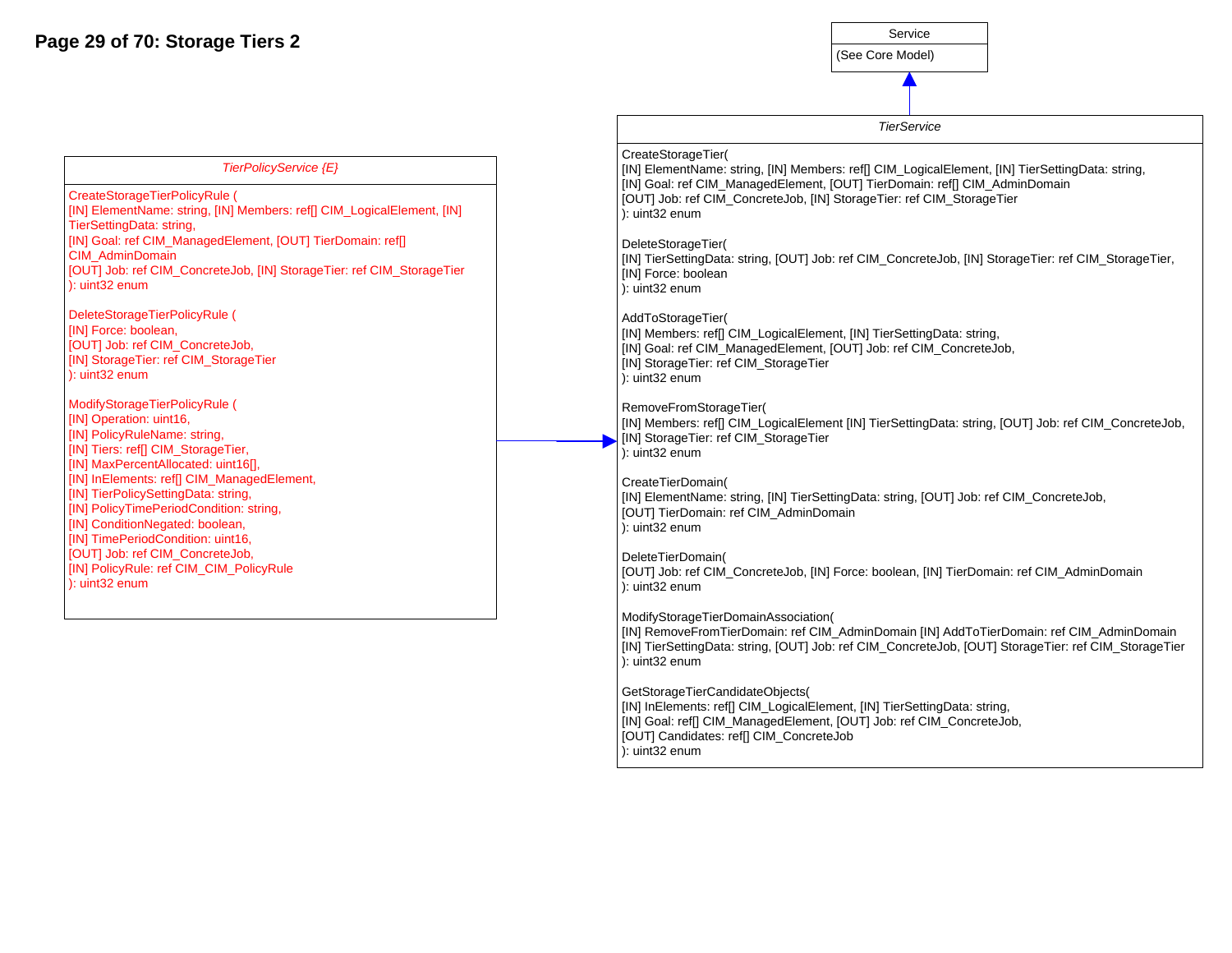**Page 29 of 70: Storage Tiers 2**

TierSettingData: string,

CIM\_AdminDomain

[IN] Force: boolean,

): uint32 enum

): uint32 enum

| Service          |  |
|------------------|--|
| (See Core Model) |  |

*TierService*

CreateStorageTier( [IN] ElementName: string, [IN] Members: ref[] CIM\_LogicalElement, [IN] TierSettingData: string, [IN] Goal: ref CIM\_ManagedElement, [OUT] TierDomain: ref[] CIM\_AdminDomain ): uint32 enum DeleteStorageTier( [IN] Force: boolean ): uint32 enum AddToStorageTier( ): uint32 enum *TierPolicyService {E}* CreateStorageTierPolicyRule ( [IN] ElementName: string, [IN] Members: ref[] CIM\_LogicalElement, [IN] [IN] Goal: ref CIM\_ManagedElement, [OUT] TierDomain: ref[] [OUT] Job: ref CIM\_ConcreteJob, [IN] StorageTier: ref CIM\_StorageTier DeleteStorageTierPolicyRule ( [OUT] Job: ref CIM\_ConcreteJob, [IN] StorageTier: ref CIM\_StorageTier

ModifyStorageTierPolicyRule ( [IN] Operation: uint16, [IN] PolicyRuleName: string, [IN] Tiers: ref[] CIM\_StorageTier, [IN] MaxPercentAllocated: uint16[], [IN] InElements: ref[] CIM\_ManagedElement, [IN] TierPolicySettingData: string, [IN] PolicyTimePeriodCondition: string, [IN] ConditionNegated: boolean, [IN] TimePeriodCondition: uint16, [OUT] Job: ref CIM\_ConcreteJob, [IN] PolicyRule: ref CIM\_CIM\_PolicyRule ): uint32 enum

[OUT] Job: ref CIM\_ConcreteJob, [IN] StorageTier: ref CIM\_StorageTier [IN] TierSettingData: string, [OUT] Job: ref CIM\_ConcreteJob, [IN] StorageTier: ref CIM\_StorageTier, [IN] Members: ref[] CIM\_LogicalElement, [IN] TierSettingData: string, [IN] Goal: ref CIM\_ManagedElement, [OUT] Job: ref CIM\_ConcreteJob, [IN] StorageTier: ref CIM\_StorageTier RemoveFromStorageTier( [IN] Members: ref[] CIM\_LogicalElement [IN] TierSettingData: string, [OUT] Job: ref CIM\_ConcreteJob, [IN] StorageTier: ref CIM\_StorageTier ): uint32 enum CreateTierDomain( [IN] ElementName: string, [IN] TierSettingData: string, [OUT] Job: ref CIM\_ConcreteJob, [OUT] TierDomain: ref CIM\_AdminDomain ): uint32 enum DeleteTierDomain( [OUT] Job: ref CIM\_ConcreteJob, [IN] Force: boolean, [IN] TierDomain: ref CIM\_AdminDomain ): uint32 enum

ModifyStorageTierDomainAssociation(

[IN] RemoveFromTierDomain: ref CIM\_AdminDomain [IN] AddToTierDomain: ref CIM\_AdminDomain [IN] TierSettingData: string, [OUT] Job: ref CIM\_ConcreteJob, [OUT] StorageTier: ref CIM\_StorageTier ): uint32 enum

GetStorageTierCandidateObjects( [IN] InElements: ref[] CIM\_LogicalElement, [IN] TierSettingData: string, [IN] Goal: ref[] CIM\_ManagedElement, [OUT] Job: ref CIM\_ConcreteJob, [OUT] Candidates: ref[] CIM\_ConcreteJob ): uint32 enum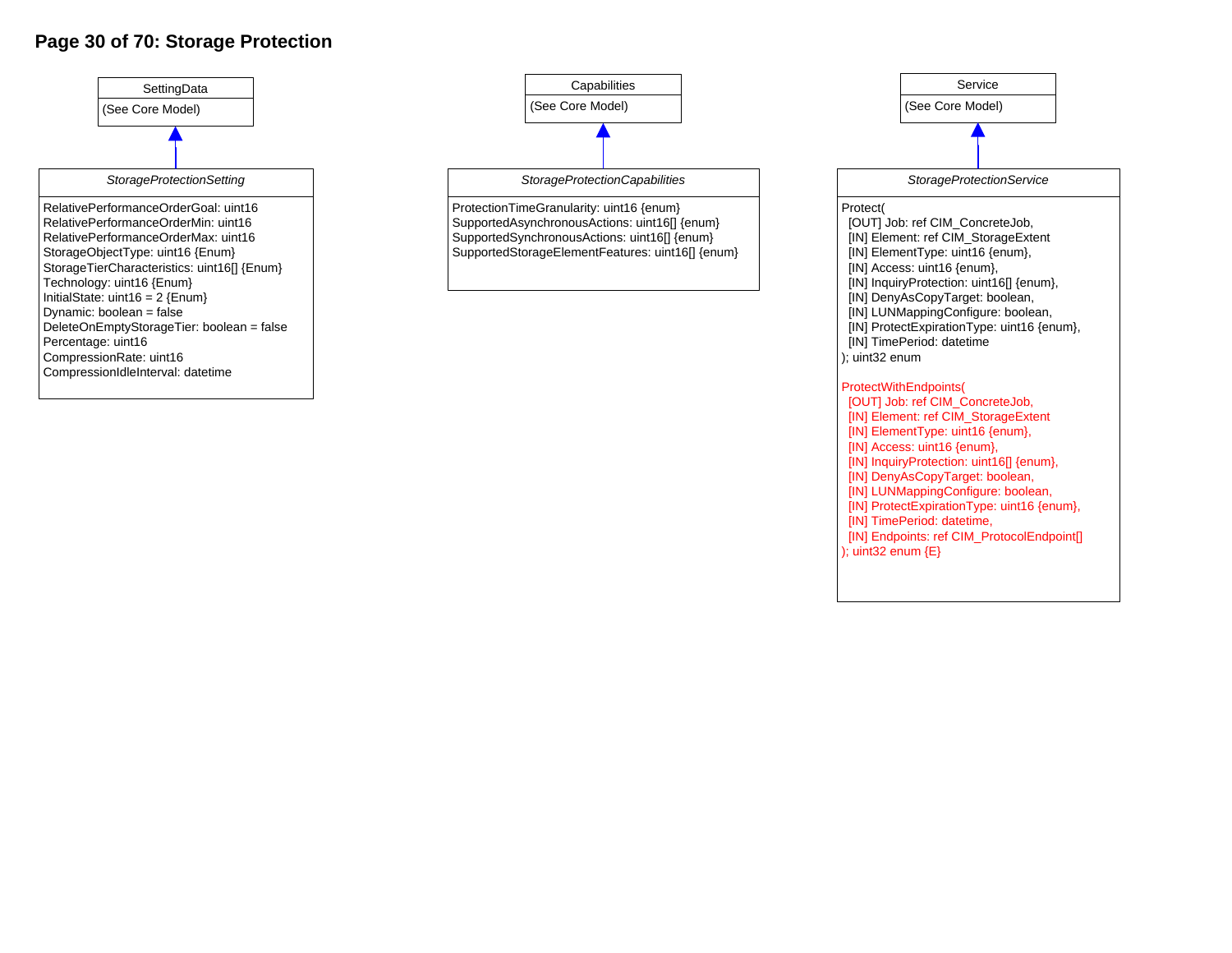### **Page 30 of 70: Storage Protection**





); uint32 enum {E}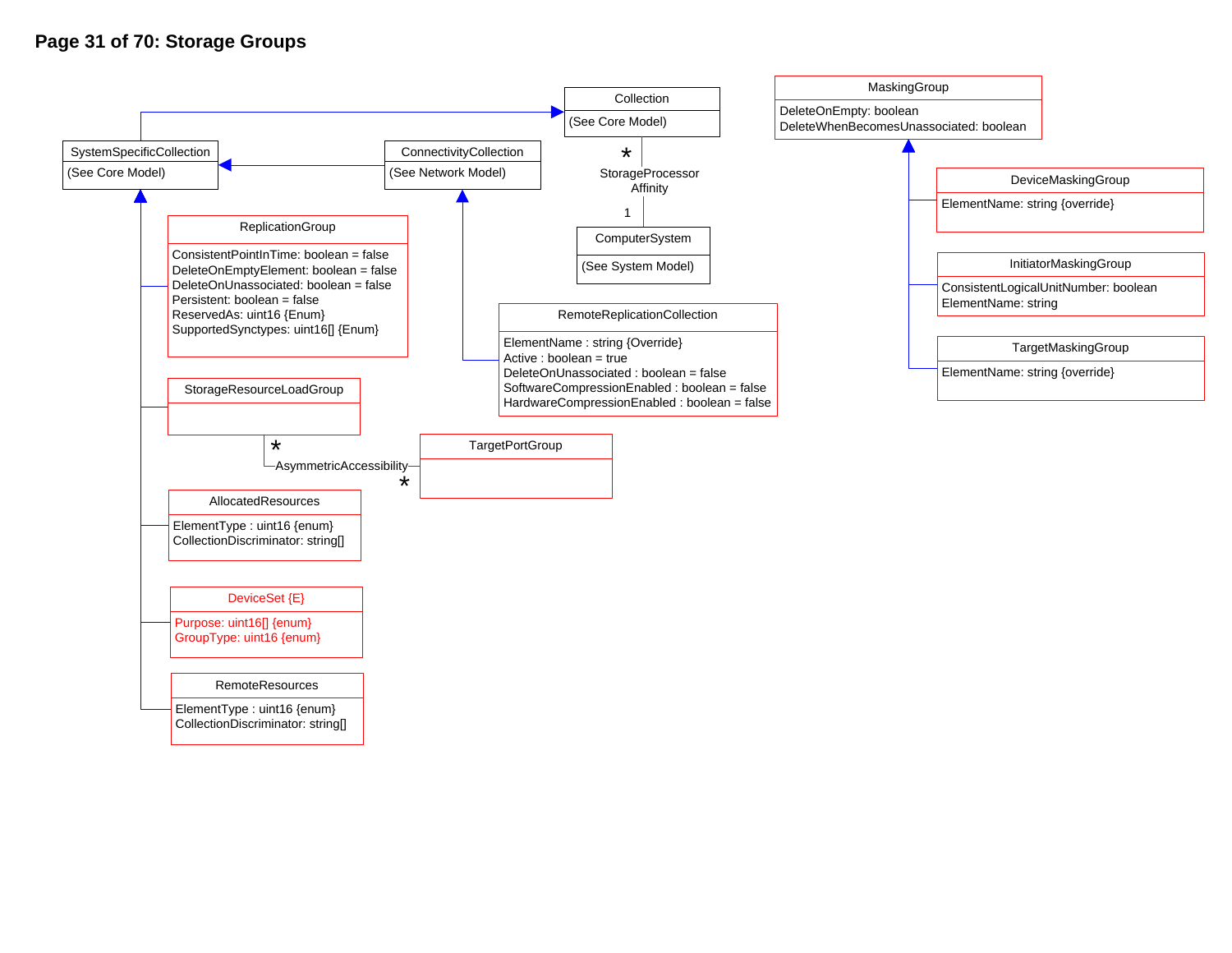### **Page 31 of 70: Storage Groups**

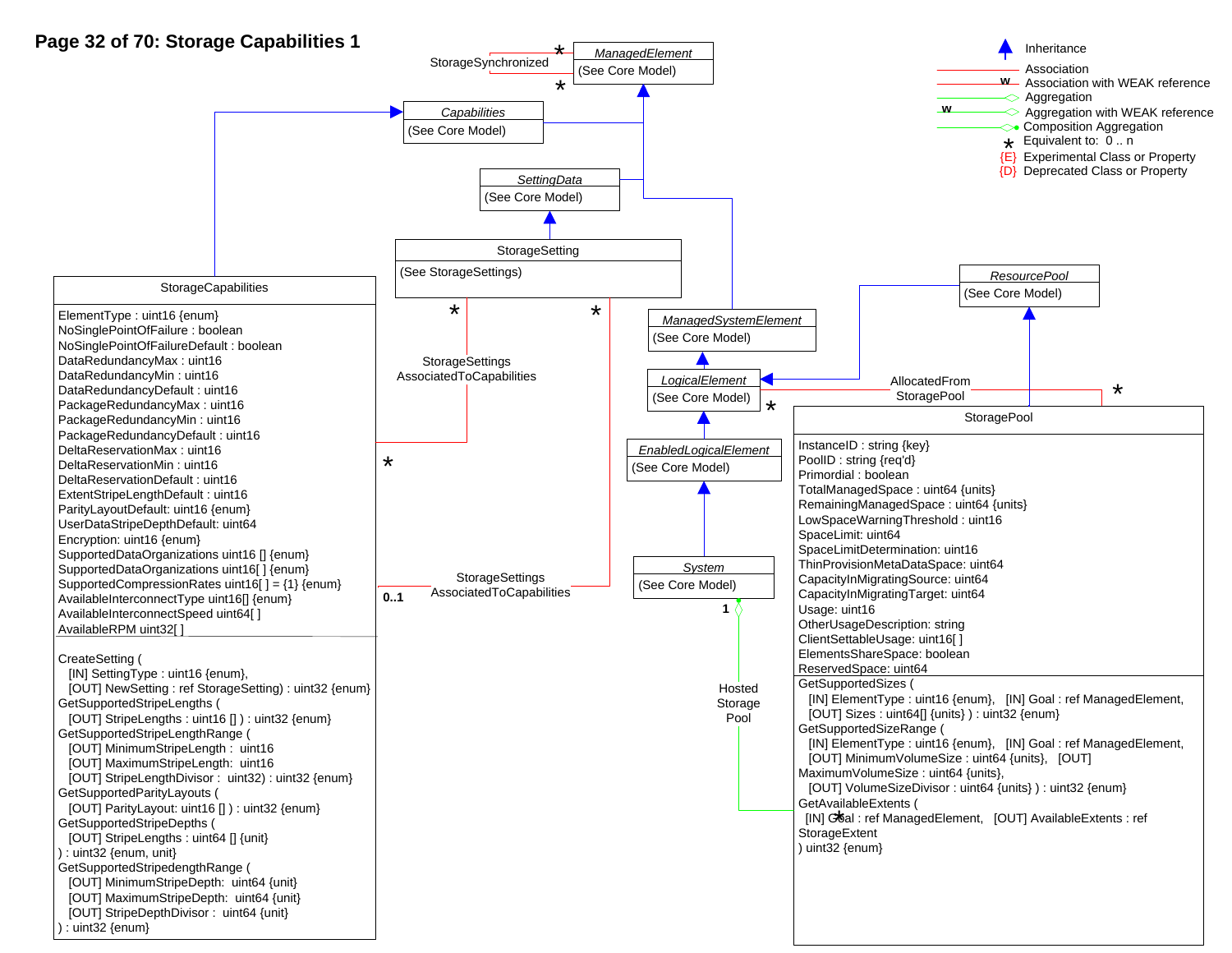## **Page 32 of 70: Storage Capabilities 1**

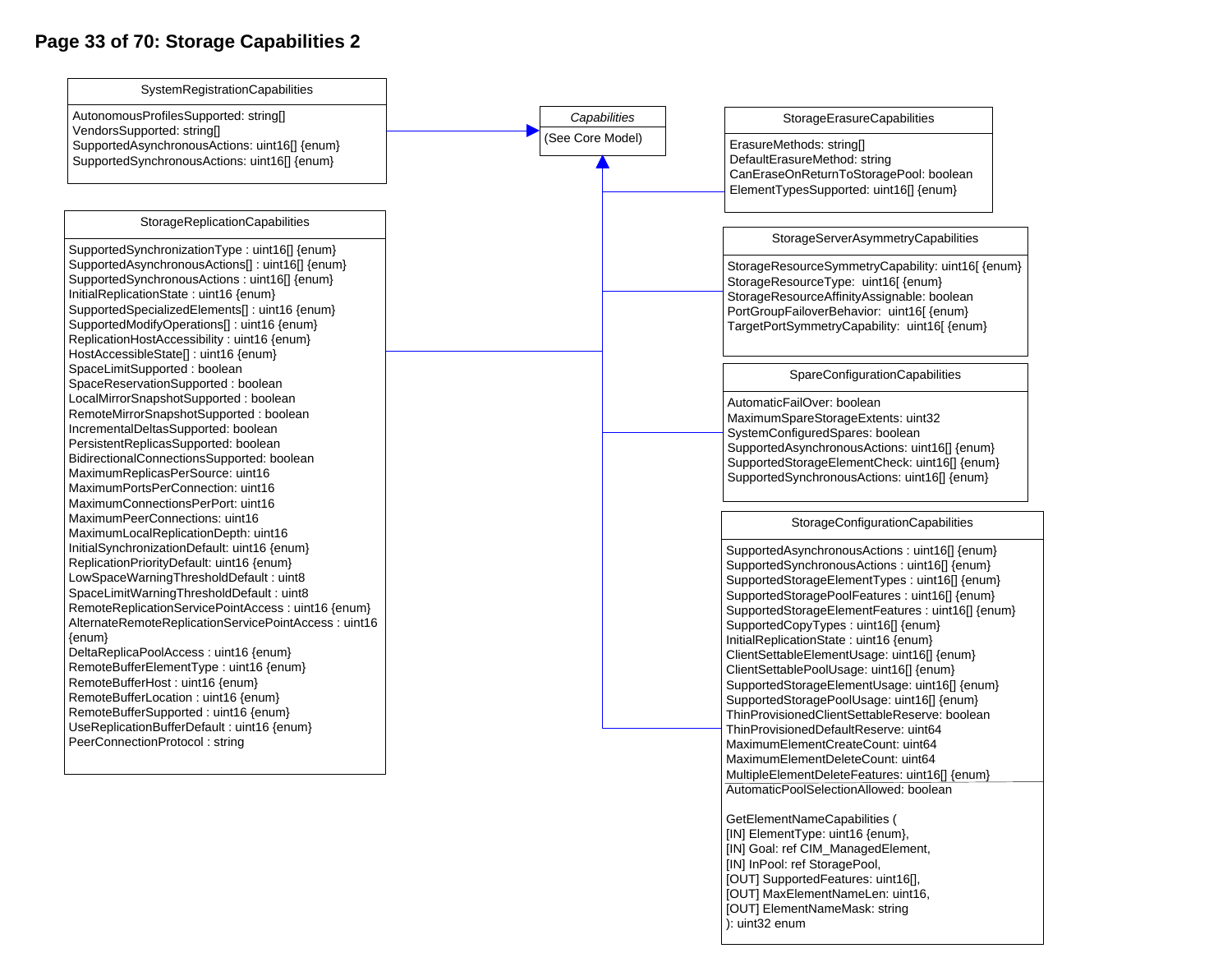## Page 33 of 70: Storage Capabilities 2

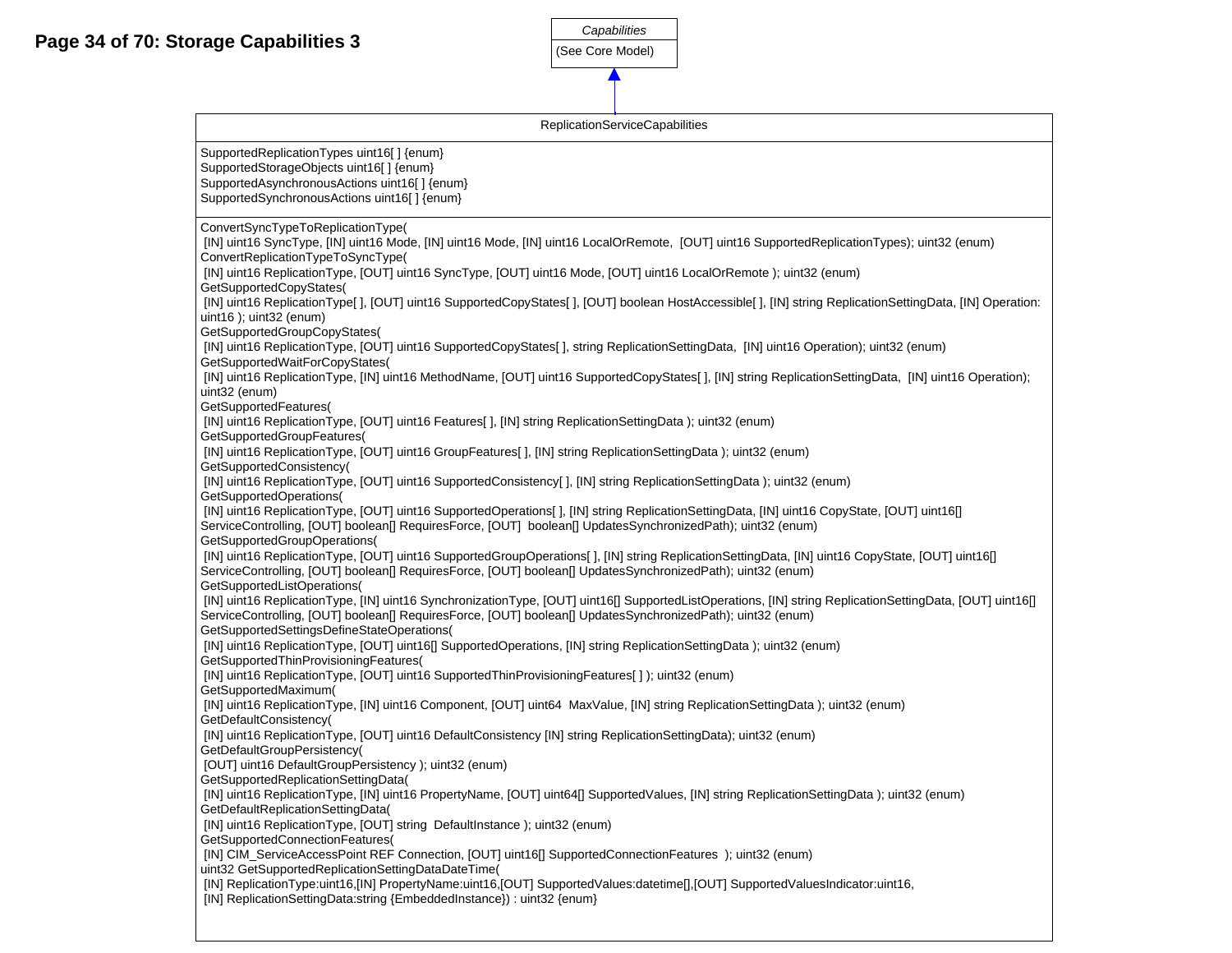

| <b>ReplicationServiceCapabilities</b>                                                                                                                                                   |
|-----------------------------------------------------------------------------------------------------------------------------------------------------------------------------------------|
| SupportedReplicationTypes uint16[] {enum}                                                                                                                                               |
| SupportedStorageObjects uint16[] {enum}                                                                                                                                                 |
| SupportedAsynchronousActions uint16[] {enum}                                                                                                                                            |
| SupportedSynchronousActions uint16[] {enum}                                                                                                                                             |
| ConvertSyncTypeToReplicationType(                                                                                                                                                       |
| [IN] uint16 SyncType, [IN] uint16 Mode, [IN] uint16 Mode, [IN] uint16 LocalOrRemote, [OUT] uint16 SupportedReplicationTypes); uint32 (enum)<br>ConvertReplicationTypeToSyncType(        |
| [IN] uint16 ReplicationType, [OUT] uint16 SyncType, [OUT] uint16 Mode, [OUT] uint16 LocalOrRemote ); uint32 (enum)                                                                      |
| GetSupportedCopyStates(<br>[IN] uint16 ReplicationType[], [OUT] uint16 SupportedCopyStates[], [OUT] boolean HostAccessible[], [IN] string ReplicationSettingData, [IN] Operation:       |
| uint16 ); uint32 (enum)                                                                                                                                                                 |
| GetSupportedGroupCopyStates(                                                                                                                                                            |
| [IN] uint16 ReplicationType, [OUT] uint16 SupportedCopyStates[], string ReplicationSettingData, [IN] uint16 Operation); uint32 (enum)<br>GetSupportedWaitForCopyStates(                 |
| [IN] uint16 ReplicationType, [IN] uint16 MethodName, [OUT] uint16 SupportedCopyStates[], [IN] string ReplicationSettingData, [IN] uint16 Operation);                                    |
| uint32 (enum)<br>GetSupportedFeatures(                                                                                                                                                  |
| [IN] uint16 ReplicationType, [OUT] uint16 Features[ ], [IN] string ReplicationSettingData ); uint32 (enum)                                                                              |
| GetSupportedGroupFeatures(                                                                                                                                                              |
| [IN] uint16 ReplicationType, [OUT] uint16 GroupFeatures[], [IN] string ReplicationSettingData); uint32 (enum)                                                                           |
| GetSupportedConsistency(<br>[IN] uint16 ReplicationType, [OUT] uint16 SupportedConsistency[], [IN] string ReplicationSettingData); uint32 (enum)                                        |
| GetSupportedOperations(                                                                                                                                                                 |
| [IN] uint16 ReplicationType, [OUT] uint16 SupportedOperations[], [IN] string ReplicationSettingData, [IN] uint16 CopyState, [OUT] uint16[]                                              |
| ServiceControlling, [OUT] boolean[] RequiresForce, [OUT] boolean[] UpdatesSynchronizedPath); uint32 (enum)<br>GetSupportedGroupOperations(                                              |
| [IN] uint16 ReplicationType, [OUT] uint16 SupportedGroupOperations[], [IN] string ReplicationSettingData, [IN] uint16 CopyState, [OUT] uint16[]                                         |
| ServiceControlling, [OUT] boolean[] RequiresForce, [OUT] boolean[] UpdatesSynchronizedPath); uint32 (enum)                                                                              |
| GetSupportedListOperations(<br>[IN] uint16 ReplicationType, [IN] uint16 SynchronizationType, [OUT] uint16[] SupportedListOperations, [IN] string ReplicationSettingData, [OUT] uint16[] |
| ServiceControlling, [OUT] boolean[] RequiresForce, [OUT] boolean[] UpdatesSynchronizedPath); uint32 (enum)                                                                              |
| GetSupportedSettingsDefineStateOperations(<br>[IN] uint16 ReplicationType, [OUT] uint16[] SupportedOperations, [IN] string ReplicationSettingData); uint32 (enum)                       |
| GetSupportedThinProvisioningFeatures(                                                                                                                                                   |
| [IN] uint16 ReplicationType, [OUT] uint16 SupportedThinProvisioningFeatures[]); uint32 (enum)                                                                                           |
| GetSupportedMaximum(<br>[IN] uint16 ReplicationType, [IN] uint16 Component, [OUT] uint64 MaxValue, [IN] string ReplicationSettingData); uint32 (enum)                                   |
| GetDefaultConsistency(                                                                                                                                                                  |
| [IN] uint16 ReplicationType, [OUT] uint16 DefaultConsistency [IN] string ReplicationSettingData); uint32 (enum)<br>GetDefaultGroupPersistency(                                          |
| [OUT] uint16 DefaultGroupPersistency ); uint32 (enum)                                                                                                                                   |
| GetSupportedReplicationSettingData(                                                                                                                                                     |
| [IN] uint16 ReplicationType, [IN] uint16 PropertyName, [OUT] uint64[] SupportedValues, [IN] string ReplicationSettingData); uint32 (enum)<br>GetDefaultReplicationSettingData(          |
| [IN] uint16 ReplicationType, [OUT] string DefaultInstance ); uint32 (enum)                                                                                                              |
| GetSupportedConnectionFeatures(                                                                                                                                                         |
| [IN] CIM_ServiceAccessPoint REF Connection, [OUT] uint16[] SupportedConnectionFeatures ); uint32 (enum)<br>uint32 GetSupportedReplicationSettingDataDateTime(                           |
| [IN] ReplicationType:uint16, [IN] PropertyName:uint16, [OUT] SupportedValues:datetime[], [OUT] SupportedValuesIndicator:uint16,                                                         |
| [IN] ReplicationSettingData:string {EmbeddedInstance}) : uint32 {enum}                                                                                                                  |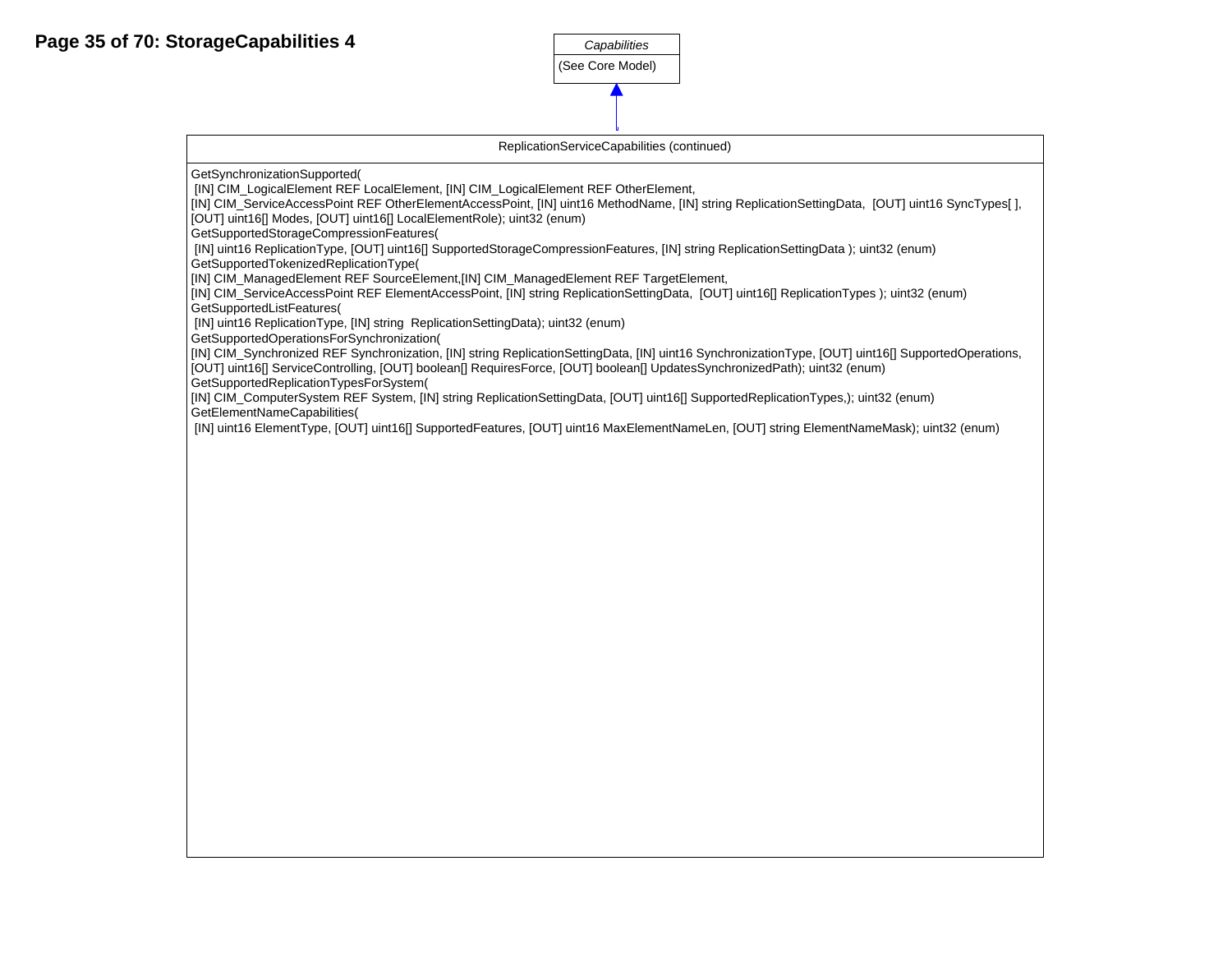

ReplicationServiceCapabilities (continued)

GetSynchronizationSupported(

[IN] CIM\_LogicalElement REF LocalElement, [IN] CIM\_LogicalElement REF OtherElement,

[IN] CIM\_ServiceAccessPoint REF OtherElementAccessPoint, [IN] uint16 MethodName, [IN] string ReplicationSettingData, [OUT] uint16 SyncTypes[ ], [OUT] uint16[] Modes, [OUT] uint16[] LocalElementRole); uint32 (enum)

GetSupportedStorageCompressionFeatures(

[IN] uint16 ReplicationType, [OUT] uint16[] SupportedStorageCompressionFeatures, [IN] string ReplicationSettingData ); uint32 (enum)

GetSupportedTokenizedReplicationType(

[IN] CIM\_ManagedElement REF SourceElement,[IN] CIM\_ManagedElement REF TargetElement,

[IN] CIM\_ServiceAccessPoint REF ElementAccessPoint, [IN] string ReplicationSettingData, [OUT] uint16[] ReplicationTypes ); uint32 (enum) GetSupportedListFeatures(

[IN] uint16 ReplicationType, [IN] string ReplicationSettingData); uint32 (enum)

GetSupportedOperationsForSynchronization(

[IN] CIM\_Synchronized REF Synchronization, [IN] string ReplicationSettingData, [IN] uint16 SynchronizationType, [OUT] uint16[] SupportedOperations,

[OUT] uint16[] ServiceControlling, [OUT] boolean[] RequiresForce, [OUT] boolean[] UpdatesSynchronizedPath); uint32 (enum)

GetSupportedReplicationTypesForSystem(

[IN] CIM\_ComputerSystem REF System, [IN] string ReplicationSettingData, [OUT] uint16[] SupportedReplicationTypes,); uint32 (enum) GetElementNameCapabilities(

[IN] uint16 ElementType, [OUT] uint16[] SupportedFeatures, [OUT] uint16 MaxElementNameLen, [OUT] string ElementNameMask); uint32 (enum)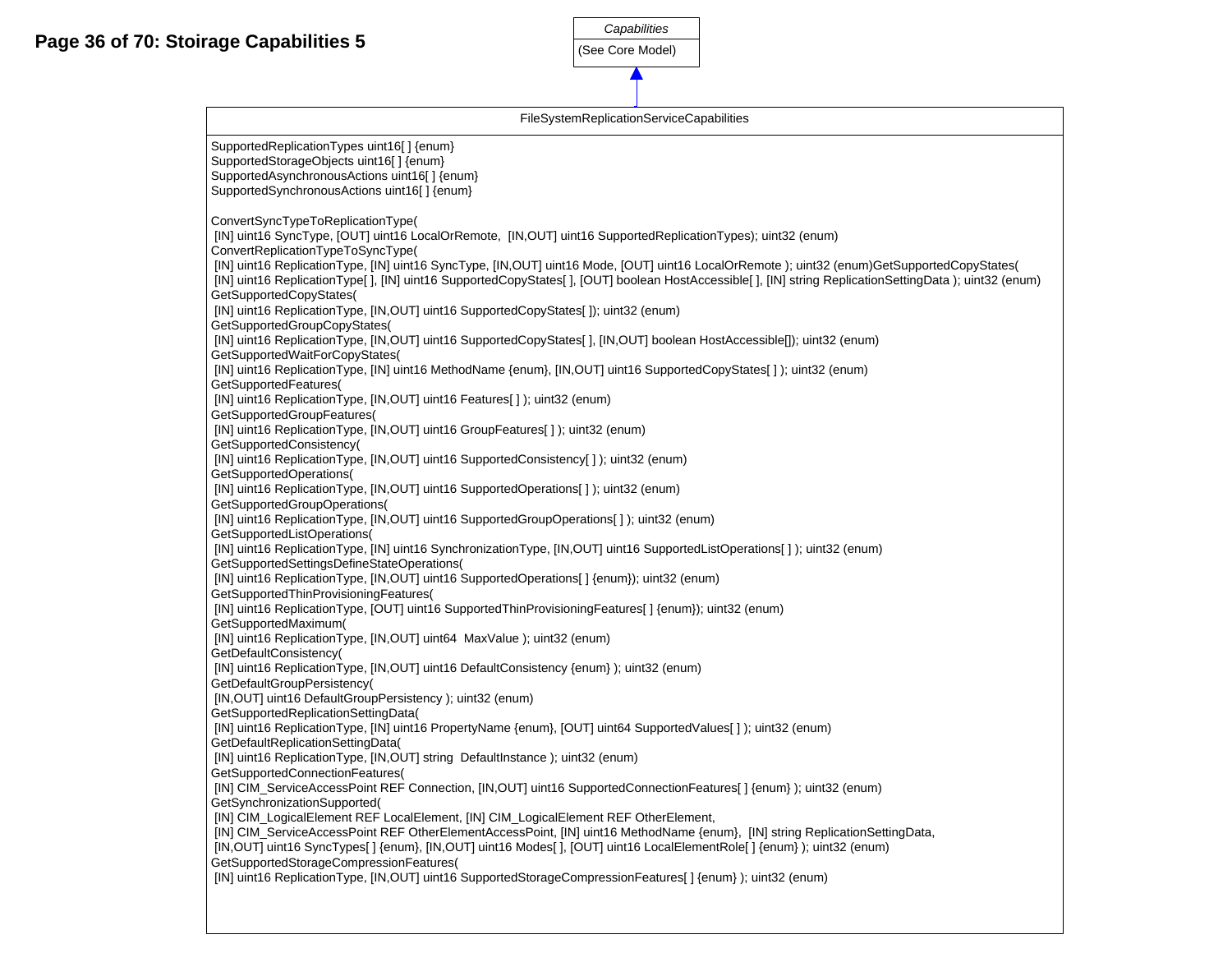

|                                                                                                                                                                                                                                                                                                                                                                                                                                                                                                                                                                                                                                              | Capabilities                                    |  |  |  |  |  |  |
|----------------------------------------------------------------------------------------------------------------------------------------------------------------------------------------------------------------------------------------------------------------------------------------------------------------------------------------------------------------------------------------------------------------------------------------------------------------------------------------------------------------------------------------------------------------------------------------------------------------------------------------------|-------------------------------------------------|--|--|--|--|--|--|
| <b>Pirage Capabilities 5</b>                                                                                                                                                                                                                                                                                                                                                                                                                                                                                                                                                                                                                 | (See Core Model)                                |  |  |  |  |  |  |
|                                                                                                                                                                                                                                                                                                                                                                                                                                                                                                                                                                                                                                              |                                                 |  |  |  |  |  |  |
|                                                                                                                                                                                                                                                                                                                                                                                                                                                                                                                                                                                                                                              |                                                 |  |  |  |  |  |  |
|                                                                                                                                                                                                                                                                                                                                                                                                                                                                                                                                                                                                                                              | <b>FileSystemReplicationServiceCapabilities</b> |  |  |  |  |  |  |
| SupportedReplicationTypes uint16[] {enum}<br>SupportedStorageObjects uint16[] {enum}<br>SupportedAsynchronousActions uint16[] {enum}<br>SupportedSynchronousActions uint16[] {enum}                                                                                                                                                                                                                                                                                                                                                                                                                                                          |                                                 |  |  |  |  |  |  |
| ConvertSyncTypeToReplicationType(<br>[IN] uint16 SyncType, [OUT] uint16 LocalOrRemote, [IN,OUT] uint16 SupportedReplicationTypes); uint32 (enum)<br>ConvertReplicationTypeToSyncType(<br>[IN] uint16 ReplicationType, [IN] uint16 SyncType, [IN,OUT] uint16 Mode, [OUT] uint16 LocalOrRemote); uint32 (enum)GetSupportedCopyStates(<br>[IN] uint16 ReplicationType[], [IN] uint16 SupportedCopyStates[], [OUT] boolean HostAccessible[], [IN] string ReplicationSettingData); uint32 (enum)<br>GetSupportedCopyStates(<br>[IN] uint16 ReplicationType, [IN,OUT] uint16 SupportedCopyStates[]); uint32 (enum)<br>GetSupportedGroupCopyStates( |                                                 |  |  |  |  |  |  |
| [IN] uint16 ReplicationType, [IN,OUT] uint16 SupportedCopyStates[], [IN,OUT] boolean HostAccessible[]); uint32 (enum)                                                                                                                                                                                                                                                                                                                                                                                                                                                                                                                        |                                                 |  |  |  |  |  |  |
| GetSupportedWaitForCopyStates(<br>[IN] uint16 ReplicationType, [IN] uint16 MethodName {enum}, [IN,OUT] uint16 SupportedCopyStates[]); uint32 (enum)<br>GetSupportedFeatures(<br>[IN] uint16 ReplicationType, [IN, OUT] uint16 Features[]); uint32 (enum)<br>GetSupportedGroupFeatures(<br>[IN] uint16 ReplicationType, [IN,OUT] uint16 GroupFeatures[]); uint32 (enum)                                                                                                                                                                                                                                                                       |                                                 |  |  |  |  |  |  |
| GetSupportedConsistency(<br>[IN] uint16 ReplicationType, [IN,OUT] uint16 SupportedConsistency[]); uint32 (enum)                                                                                                                                                                                                                                                                                                                                                                                                                                                                                                                              |                                                 |  |  |  |  |  |  |
| GetSupportedOperations(<br>[IN] uint16 ReplicationType, [IN,OUT] uint16 SupportedOperations[]); uint32 (enum)                                                                                                                                                                                                                                                                                                                                                                                                                                                                                                                                |                                                 |  |  |  |  |  |  |
| GetSupportedGroupOperations(<br>[IN] uint16 ReplicationType, [IN,OUT] uint16 SupportedGroupOperations[]); uint32 (enum)<br>GetSupportedListOperations(                                                                                                                                                                                                                                                                                                                                                                                                                                                                                       |                                                 |  |  |  |  |  |  |
| [IN] uint16 ReplicationType, [IN] uint16 SynchronizationType, [IN,OUT] uint16 SupportedListOperations[]); uint32 (enum)<br>GetSupportedSettingsDefineStateOperations(                                                                                                                                                                                                                                                                                                                                                                                                                                                                        |                                                 |  |  |  |  |  |  |
| [IN] uint16 ReplicationType, [IN,OUT] uint16 SupportedOperations[] {enum}); uint32 (enum)<br>GetSupportedThinProvisioningFeatures(                                                                                                                                                                                                                                                                                                                                                                                                                                                                                                           |                                                 |  |  |  |  |  |  |
| [IN] uint16 ReplicationType, [OUT] uint16 SupportedThinProvisioningFeatures[] {enum}); uint32 (enum)<br>GetSupportedMaximum(                                                                                                                                                                                                                                                                                                                                                                                                                                                                                                                 |                                                 |  |  |  |  |  |  |
| [IN] uint16 ReplicationType, [IN, OUT] uint64 MaxValue ); uint32 (enum)                                                                                                                                                                                                                                                                                                                                                                                                                                                                                                                                                                      |                                                 |  |  |  |  |  |  |
| GetDefaultConsistency(<br>[IN] uint16 ReplicationType, [IN,OUT] uint16 DefaultConsistency {enum}); uint32 (enum)<br>GetDefaultGroupPersistency(                                                                                                                                                                                                                                                                                                                                                                                                                                                                                              |                                                 |  |  |  |  |  |  |
| [IN, OUT] uint16 DefaultGroupPersistency ); uint32 (enum)<br>GetSupportedReplicationSettingData(                                                                                                                                                                                                                                                                                                                                                                                                                                                                                                                                             |                                                 |  |  |  |  |  |  |
| [IN] uint16 ReplicationType, [IN] uint16 PropertyName {enum}, [OUT] uint64 SupportedValues[]); uint32 (enum)<br>GetDefaultReplicationSettingData(                                                                                                                                                                                                                                                                                                                                                                                                                                                                                            |                                                 |  |  |  |  |  |  |
| [IN] uint16 ReplicationType, [IN, OUT] string DefaultInstance ); uint32 (enum)<br>GetSupportedConnectionFeatures(                                                                                                                                                                                                                                                                                                                                                                                                                                                                                                                            |                                                 |  |  |  |  |  |  |
| [IN] CIM_ServiceAccessPoint REF Connection, [IN,OUT] uint16 SupportedConnectionFeatures[] {enum}); uint32 (enum)<br>GetSynchronizationSupported(                                                                                                                                                                                                                                                                                                                                                                                                                                                                                             |                                                 |  |  |  |  |  |  |
| [IN] CIM_LogicalElement REF LocalElement, [IN] CIM_LogicalElement REF OtherElement,<br>[IN] CIM_ServiceAccessPoint REF OtherElementAccessPoint, [IN] uint16 MethodName {enum}, [IN] string ReplicationSettingData,<br>[IN,OUT] uint16 SyncTypes[] {enum}, [IN,OUT] uint16 Modes[], [OUT] uint16 LocalElementRole[] {enum}); uint32 (enum)<br>GetSupportedStorageCompressionFeatures(                                                                                                                                                                                                                                                         |                                                 |  |  |  |  |  |  |
| [IN] uint16 ReplicationType, [IN,OUT] uint16 SupportedStorageCompressionFeatures[] {enum} ); uint32 (enum)                                                                                                                                                                                                                                                                                                                                                                                                                                                                                                                                   |                                                 |  |  |  |  |  |  |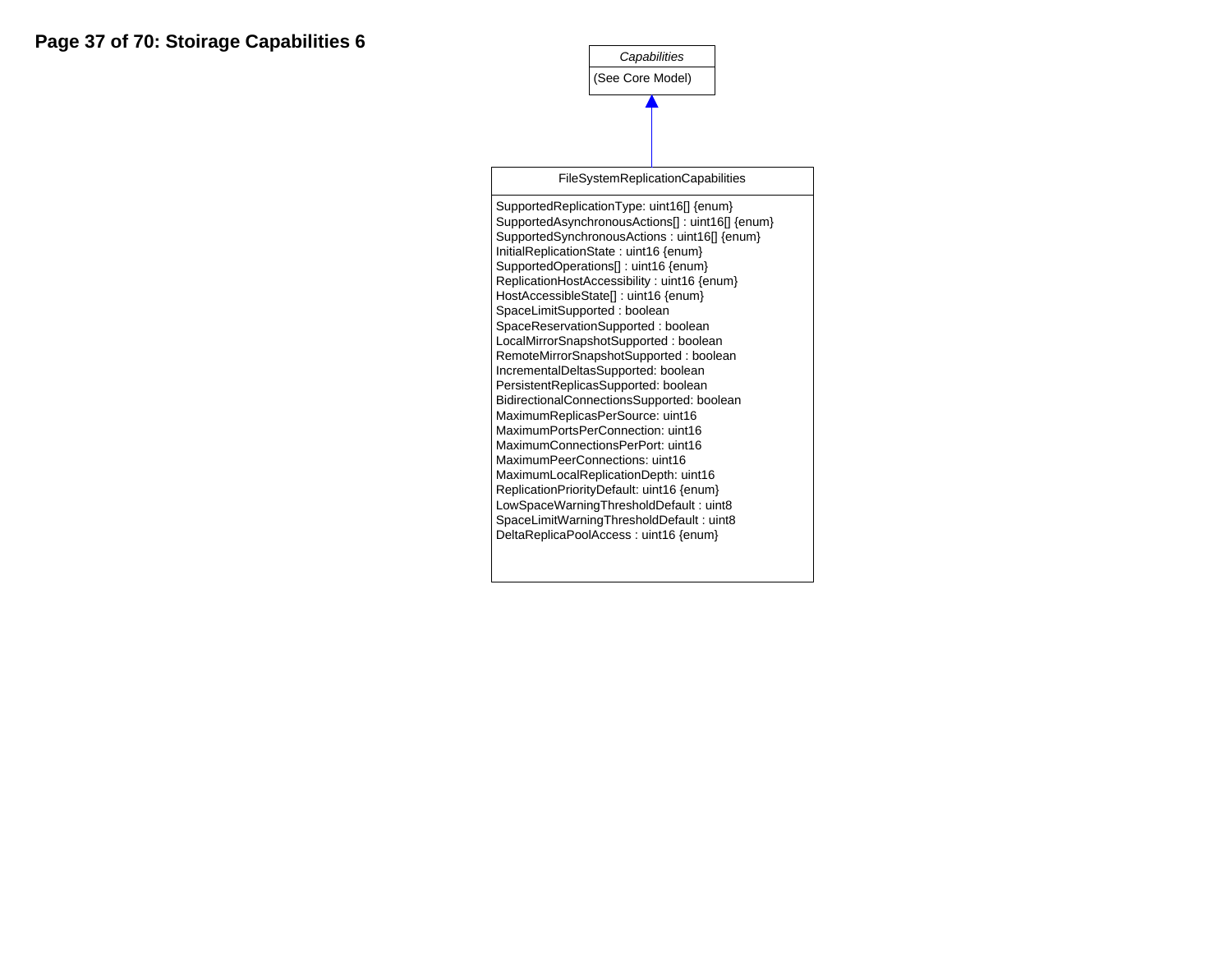*Capabilities* (See Core Model)

FileSystemReplicationCapabilities

SupportedReplicationType: uint16[] {enum} SupportedAsynchronousActions[] : uint16[] {enum} SupportedSynchronousActions : uint16[] {enum} InitialReplicationState : uint16 {enum} SupportedOperations[] : uint16 {enum} ReplicationHostAccessibility : uint16 {enum} HostAccessibleState[] : uint16 {enum} SpaceLimitSupported : boolean SpaceReservationSupported : boolean LocalMirrorSnapshotSupported : boolean RemoteMirrorSnapshotSupported : boolean IncrementalDeltasSupported: boolean PersistentReplicasSupported: boolean BidirectionalConnectionsSupported: boolean MaximumReplicasPerSource: uint16 MaximumPortsPerConnection: uint16 MaximumConnectionsPerPort: uint16 MaximumPeerConnections: uint16 MaximumLocalReplicationDepth: uint16 ReplicationPriorityDefault: uint16 {enum} LowSpaceWarningThresholdDefault : uint8 SpaceLimitWarningThresholdDefault : uint8 DeltaReplicaPoolAccess : uint16 {enum}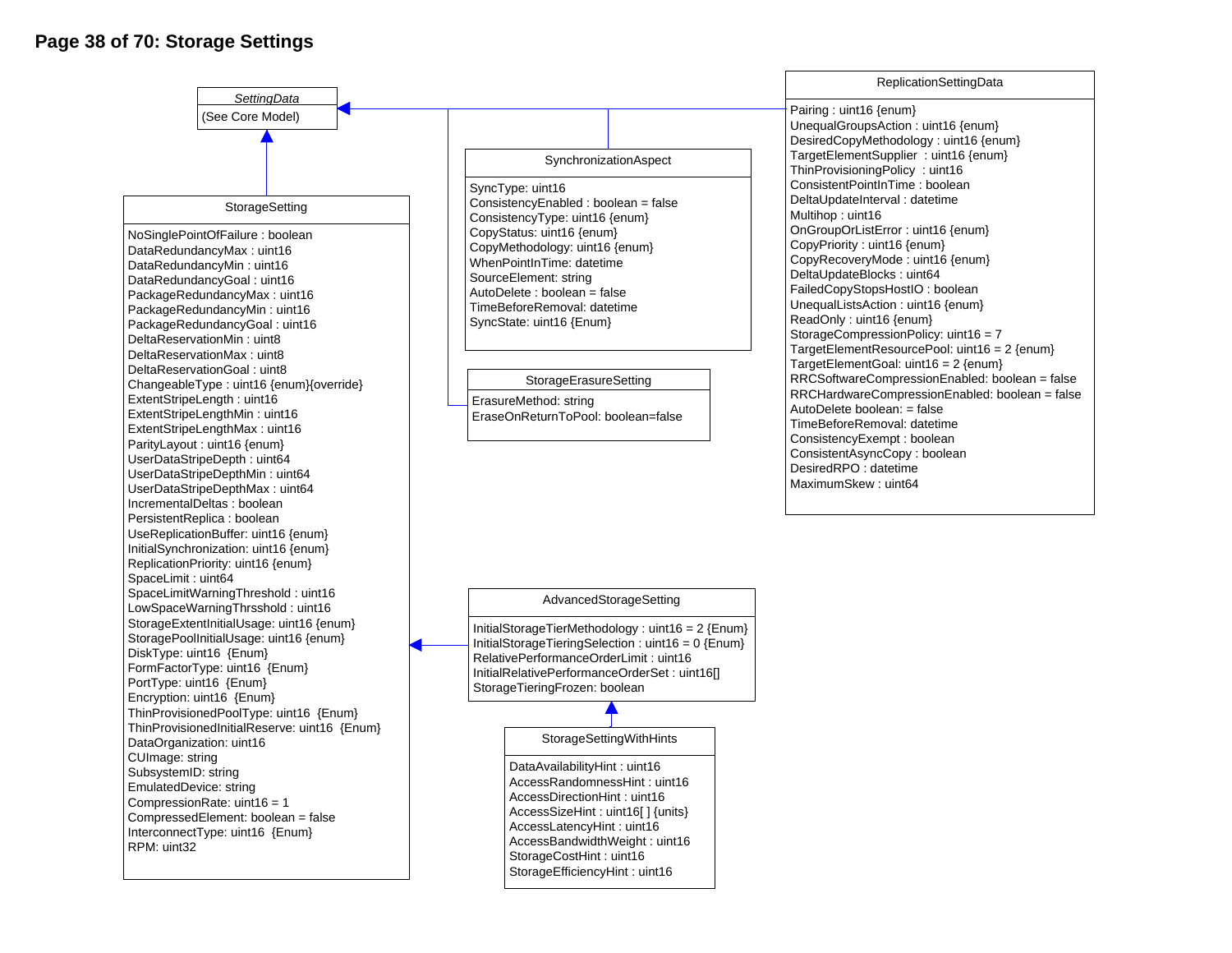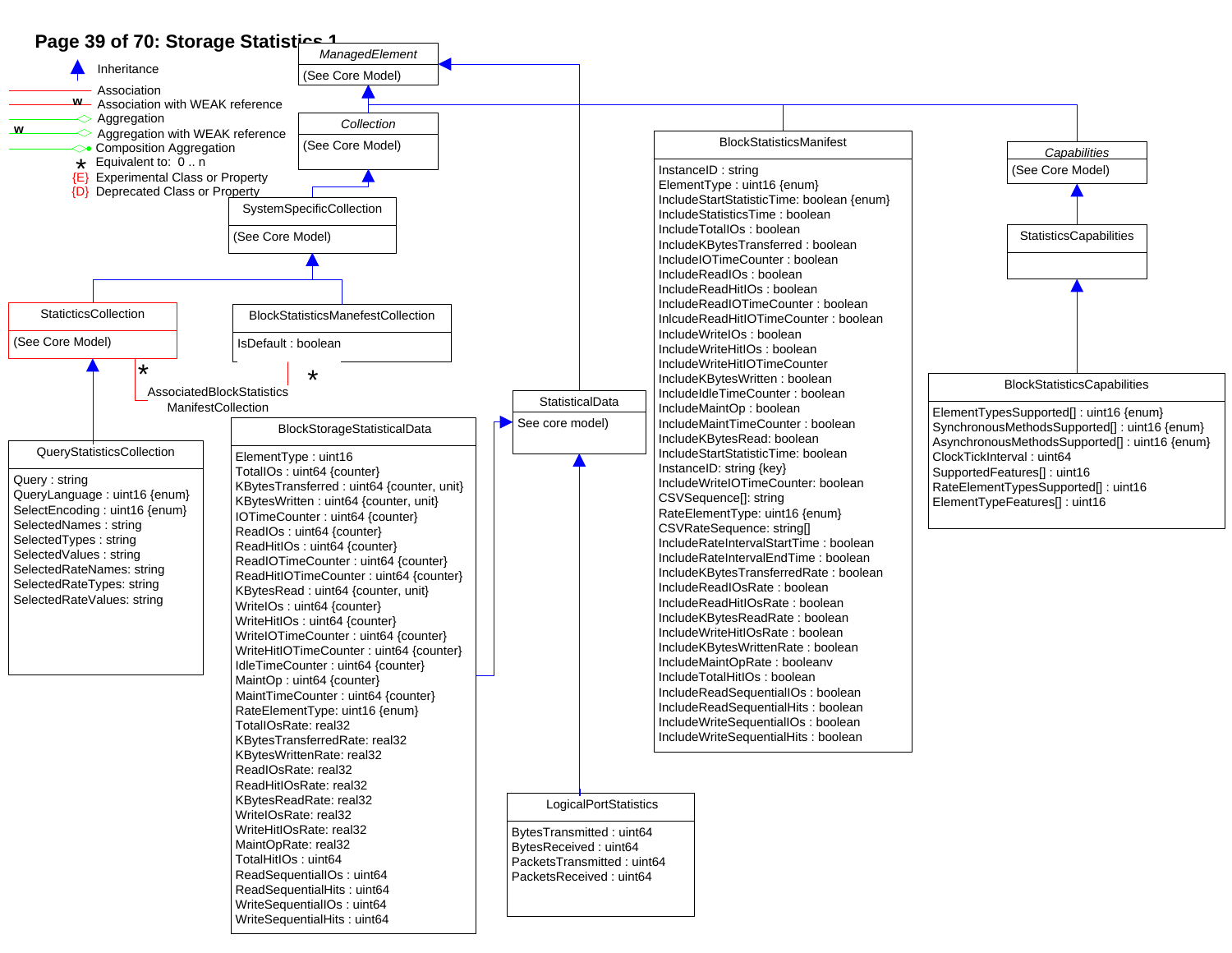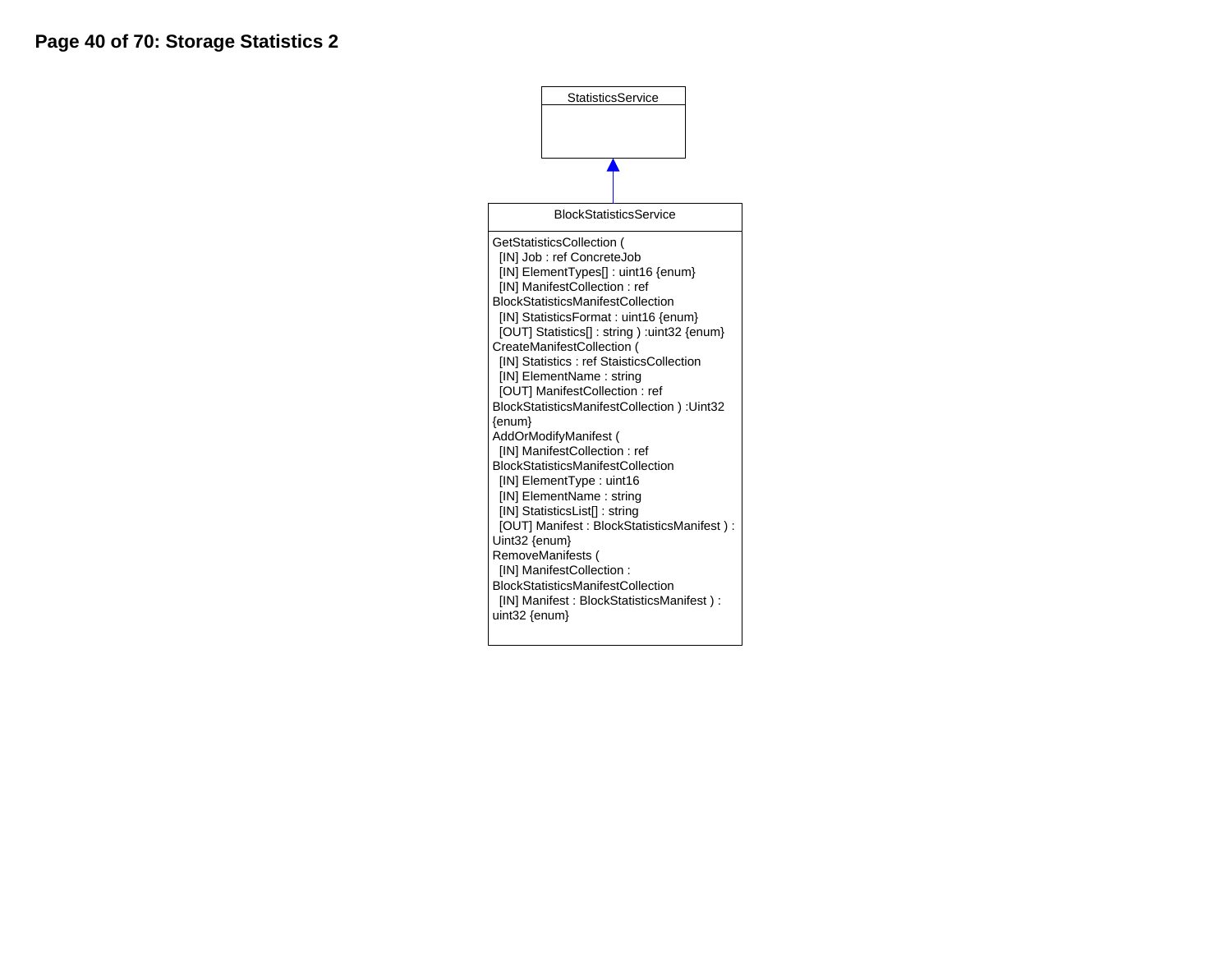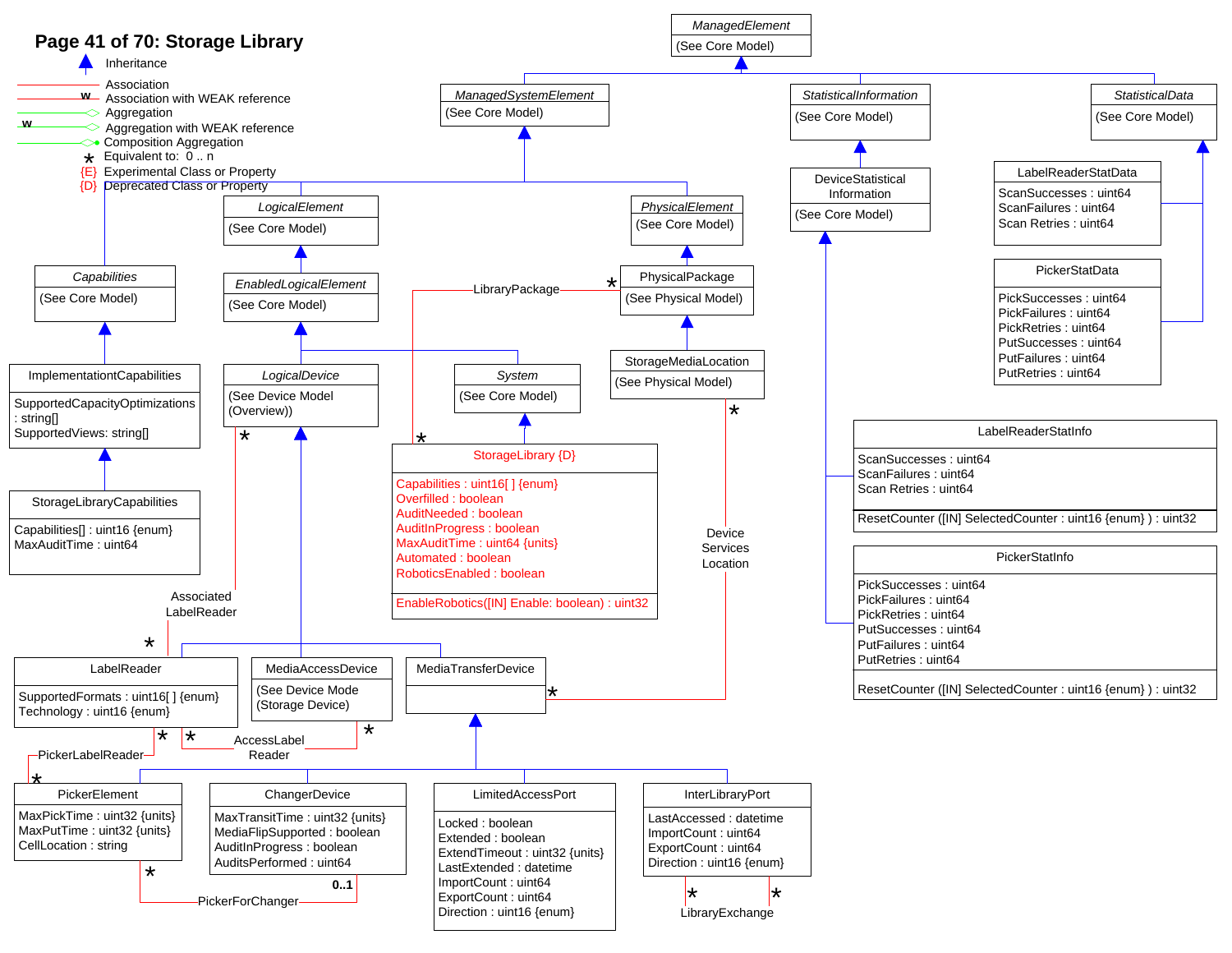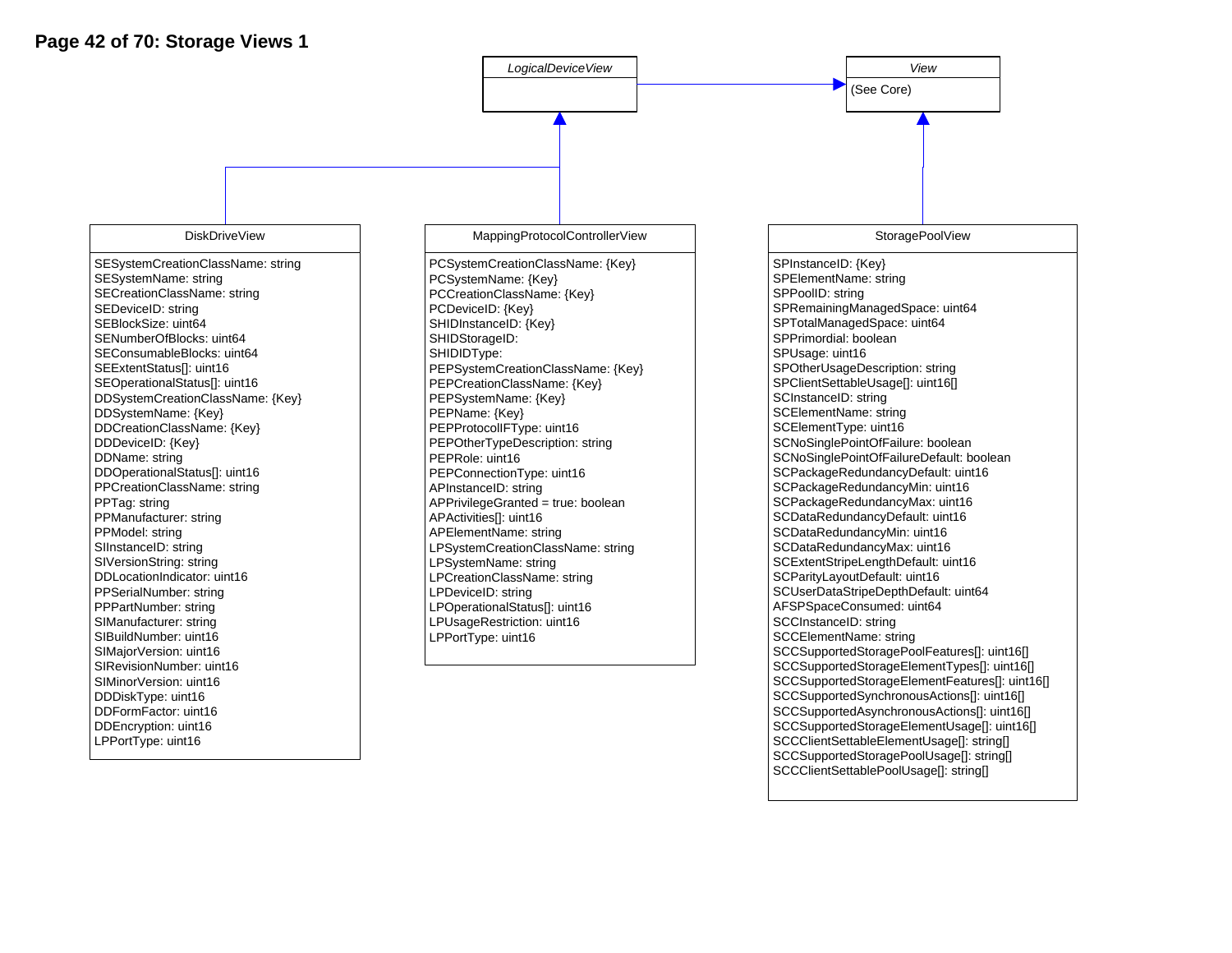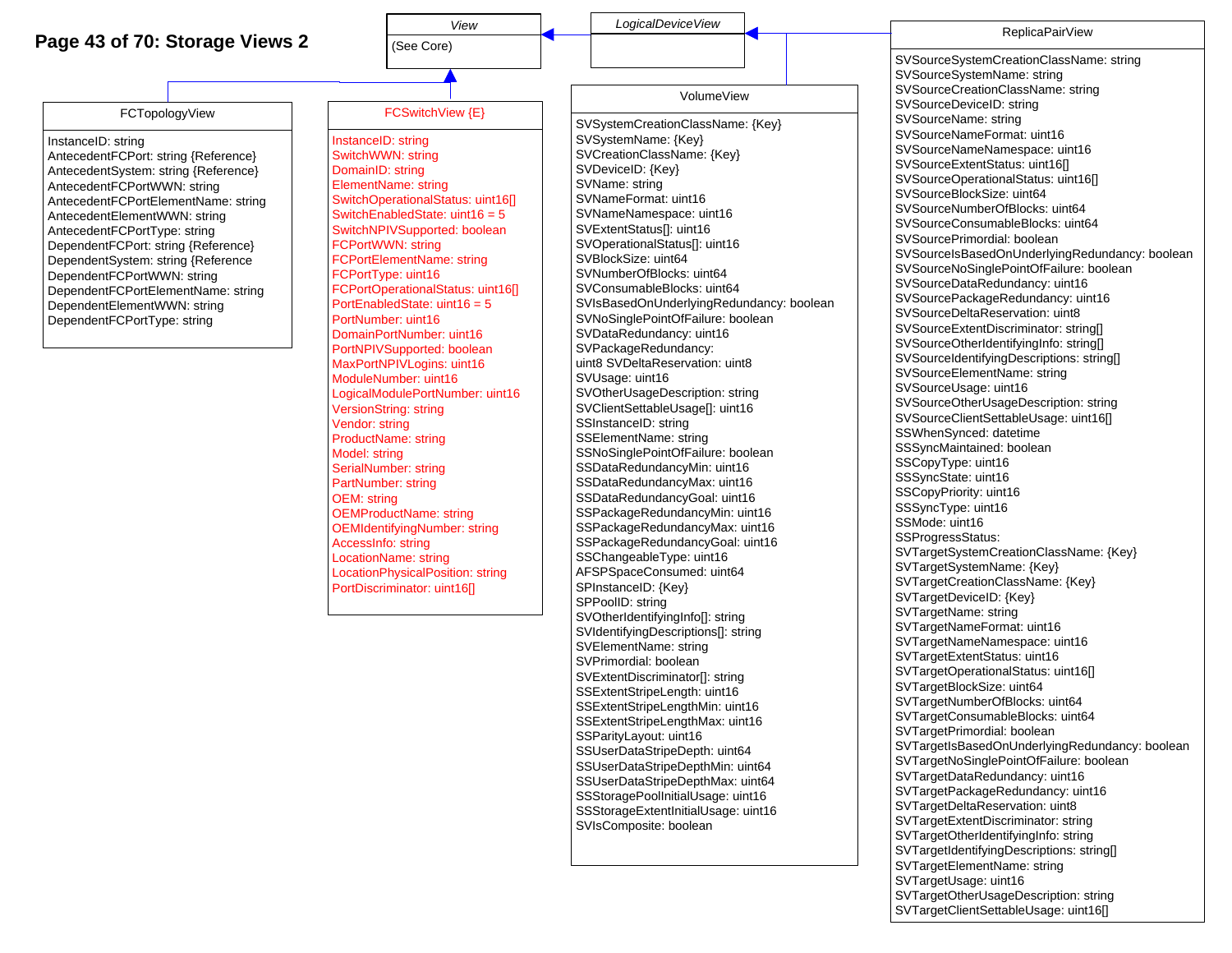## **Page 43 of 70: Storage Views 2**



SPPoolID: string

SVOtherIdentifyingInfo[]: string SVIdentifyingDescriptions[]: string SVElementName: string SVPrimordial: boolean SVExtentDiscriminator[]: string SSExtentStripeLength: uint16 SSExtentStripeLengthMin: uint16 SSExtentStripeLengthMax: uint16

SSParityLayout: uint16 SSUserDataStripeDepth: uint64 SSUserDataStripeDepthMin: uint64 SSUserDataStripeDepthMax: uint64 SSStoragePoolInitialUsage: uint16 SSStorageExtentInitialUsage: uint16

SVIsComposite: boolean

SVTargetOtherUsageDescription: string SVTargetClientSettableUsage: uint16[]

SVTargetIsBasedOnUnderlyingRedundancy: boolean

SVTargetNoSinglePointOfFailure: boolean SVTargetDataRedundancy: uint16 SVTargetPackageRedundancy: uint16 SVTargetDeltaReservation: uint8 SVTargetExtentDiscriminator: string SVTargetOtherIdentifvingInfo: string SVTargetIdentifyingDescriptions: string[] SVTargetElementName: string SVTargetUsage: uint16

SVTargetDeviceID: {Key} SVTargetName: string SVTargetNameFormat: uint16 SVTargetNameNamespace: uint16 SVTargetExtentStatus: uint16 SVTargetOperationalStatus: uint16[] SVTargetBlockSize: uint64 SVTargetNumberOfBlocks: uint64 SVTargetConsumableBlocks: uint64 SVTargetPrimordial: boolean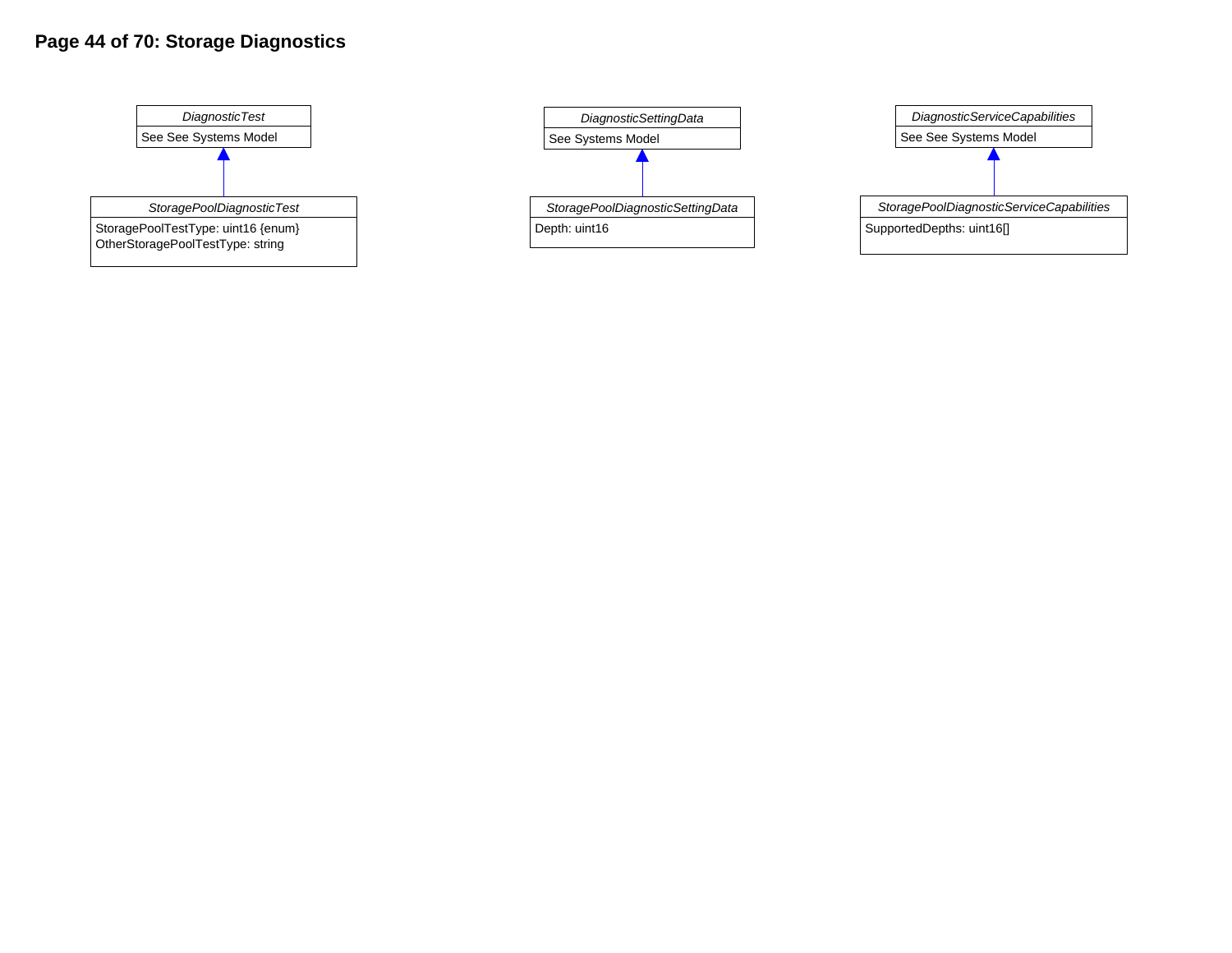# **Page 44 of 70: Storage Diagnostics**





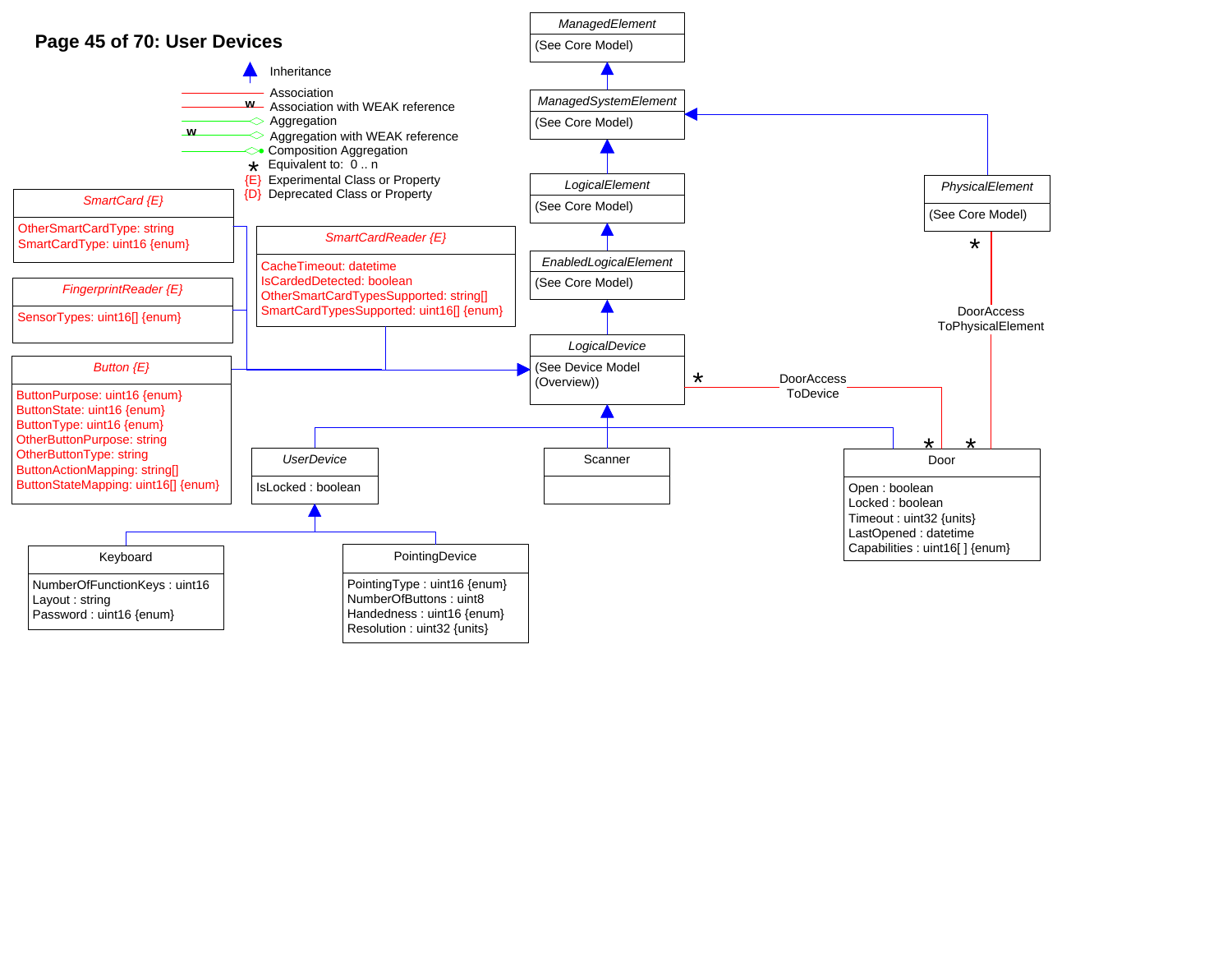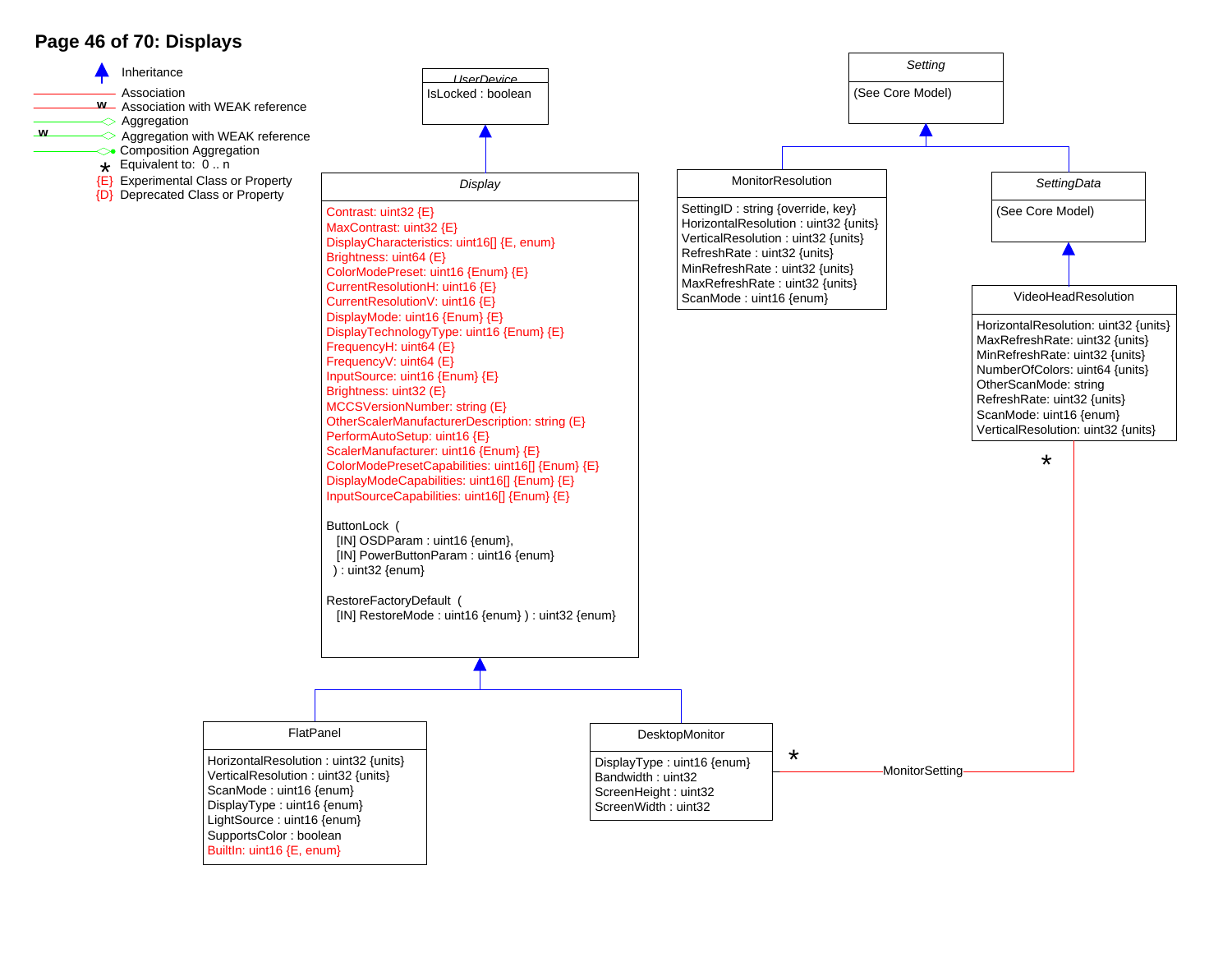## **Page 46 of 70: Displays**

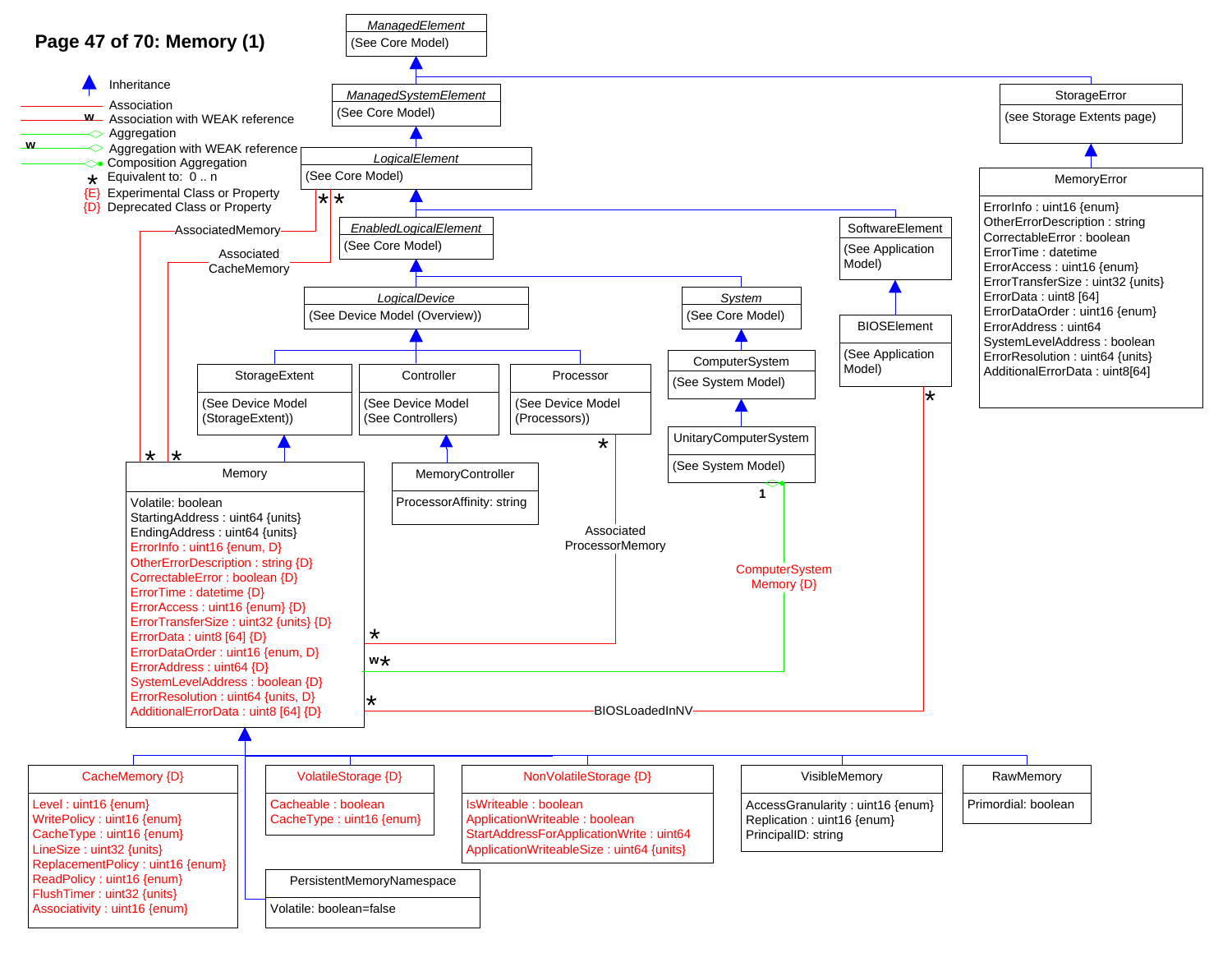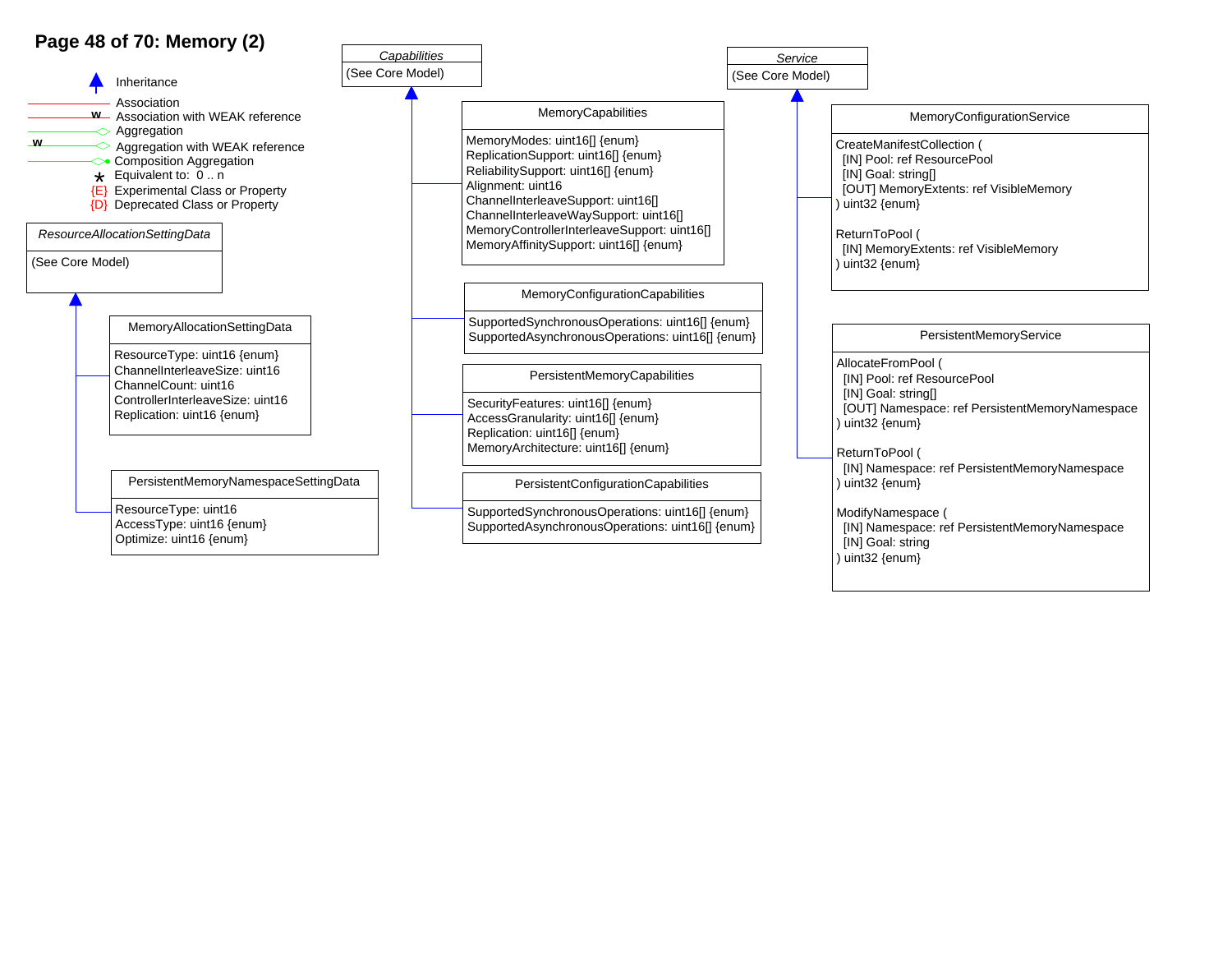## **Page 48 of 70: Memory (2)**

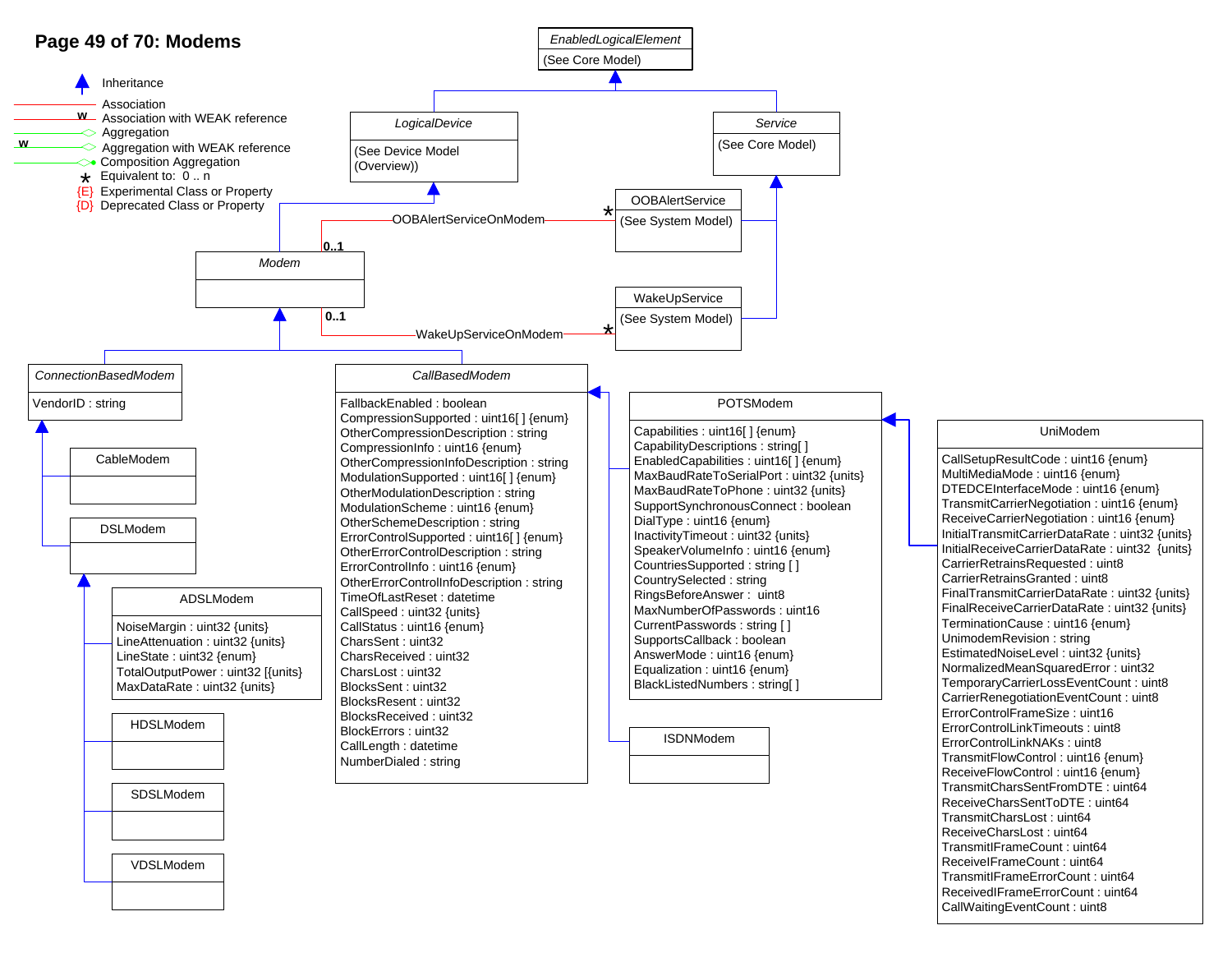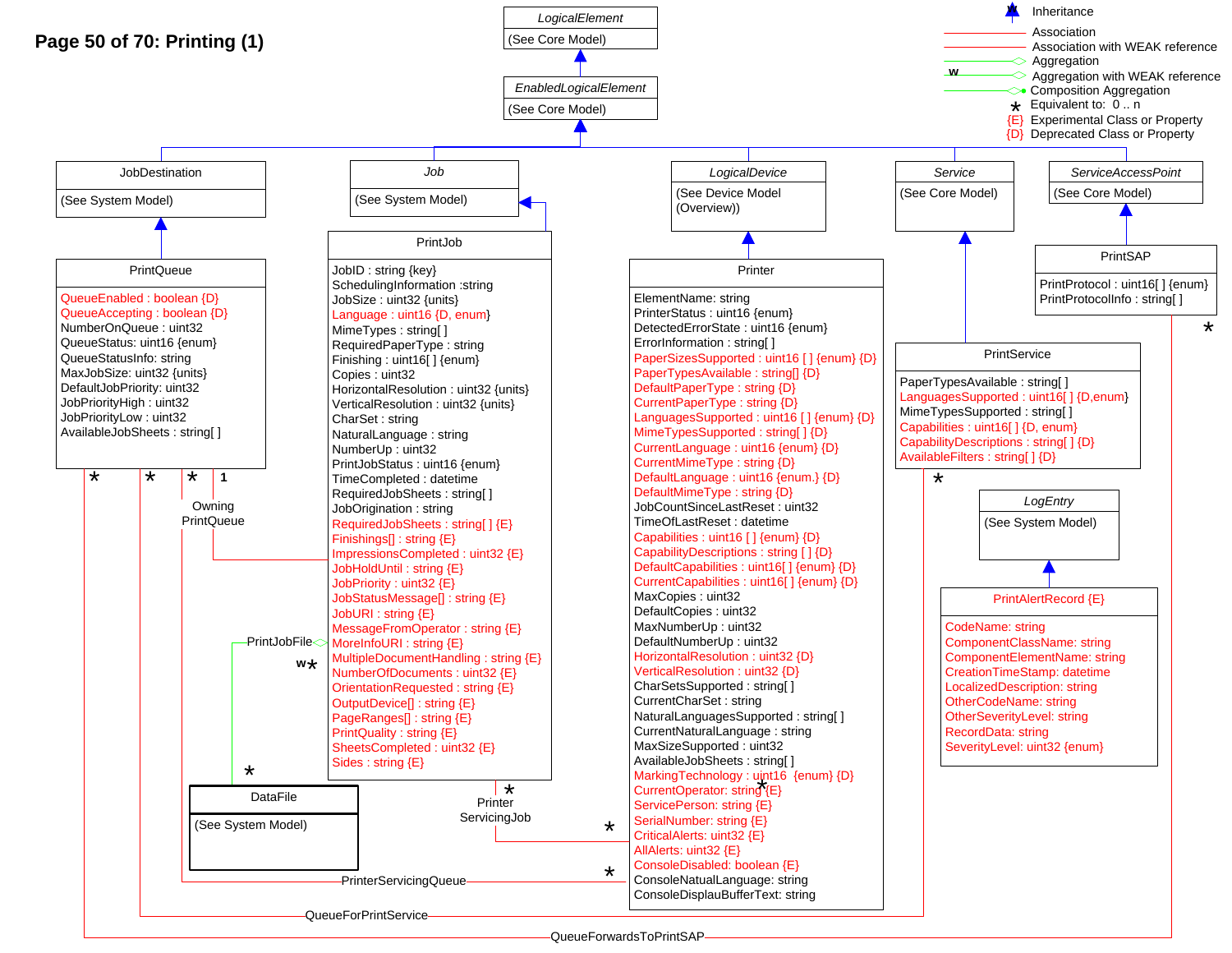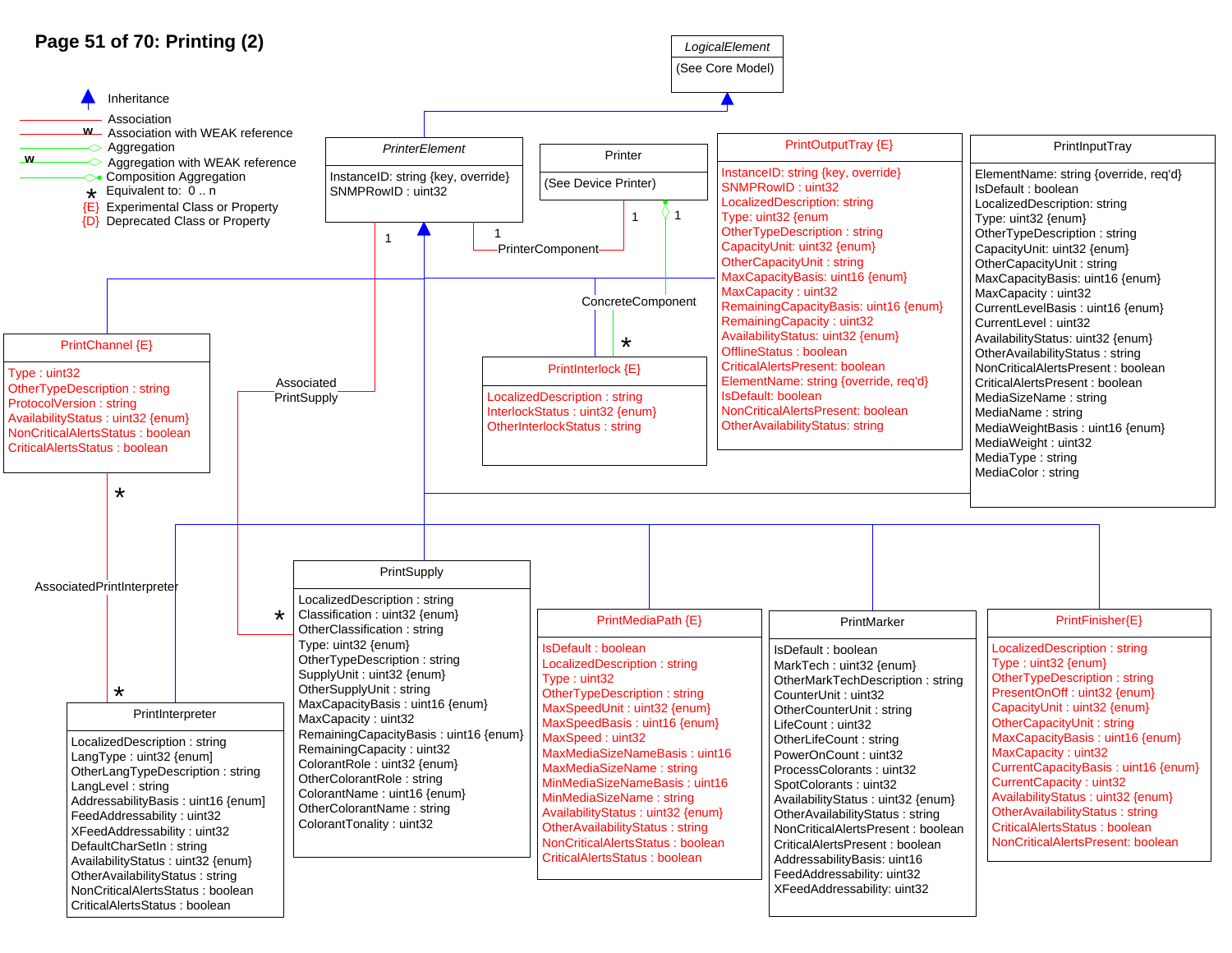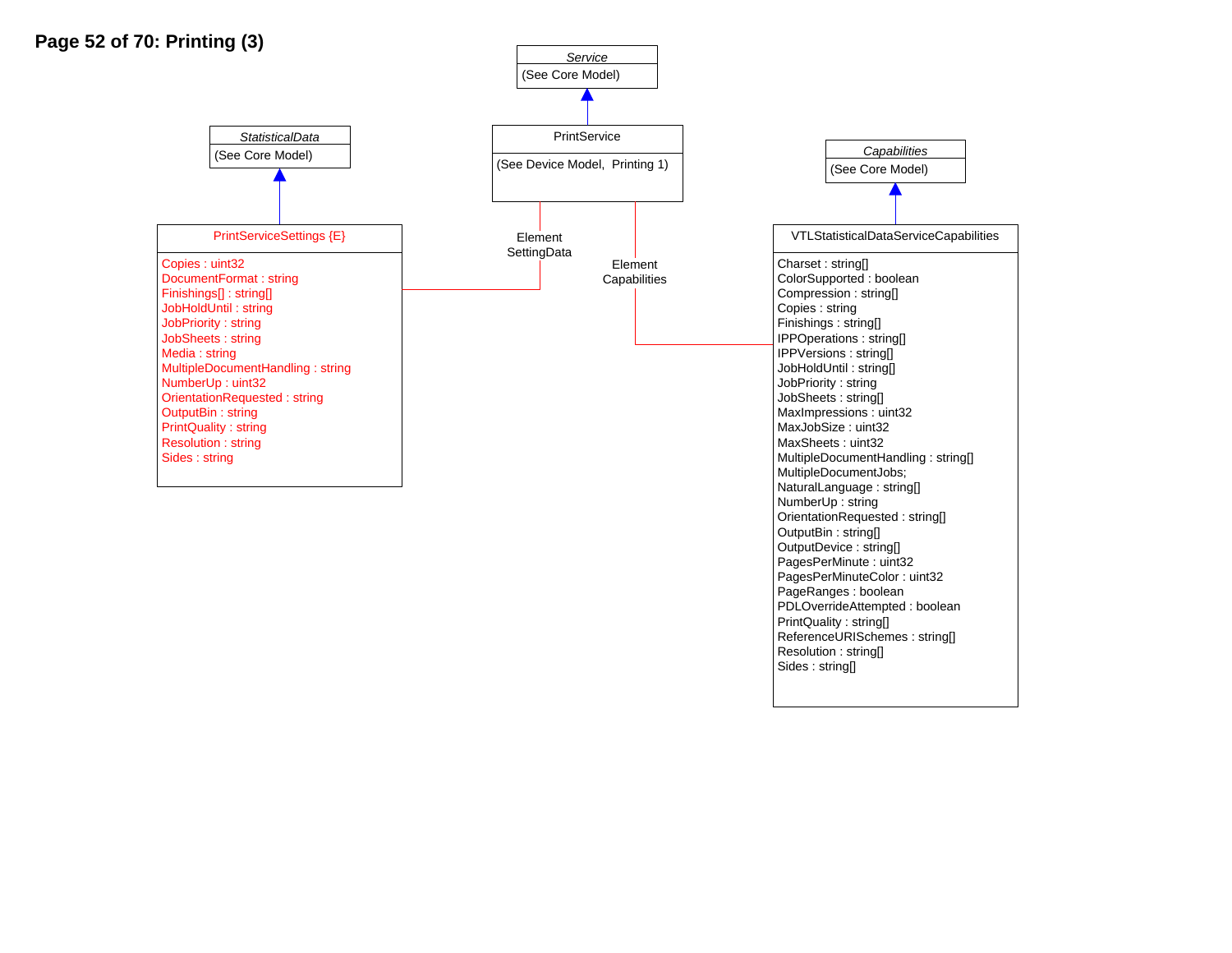

PrintQuality : string[]

Resolution : string[] Sides : string[]

ReferenceURISchemes : string[]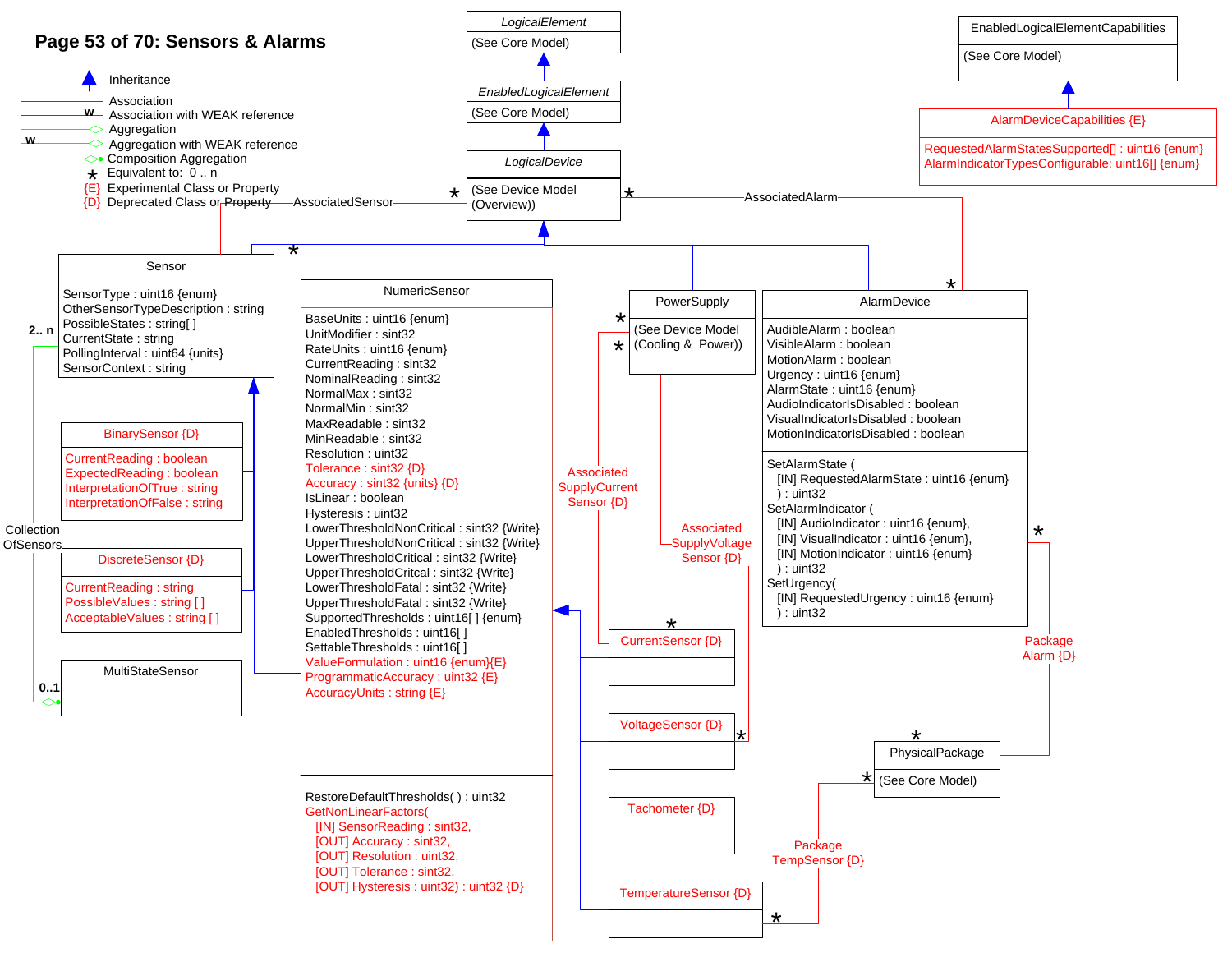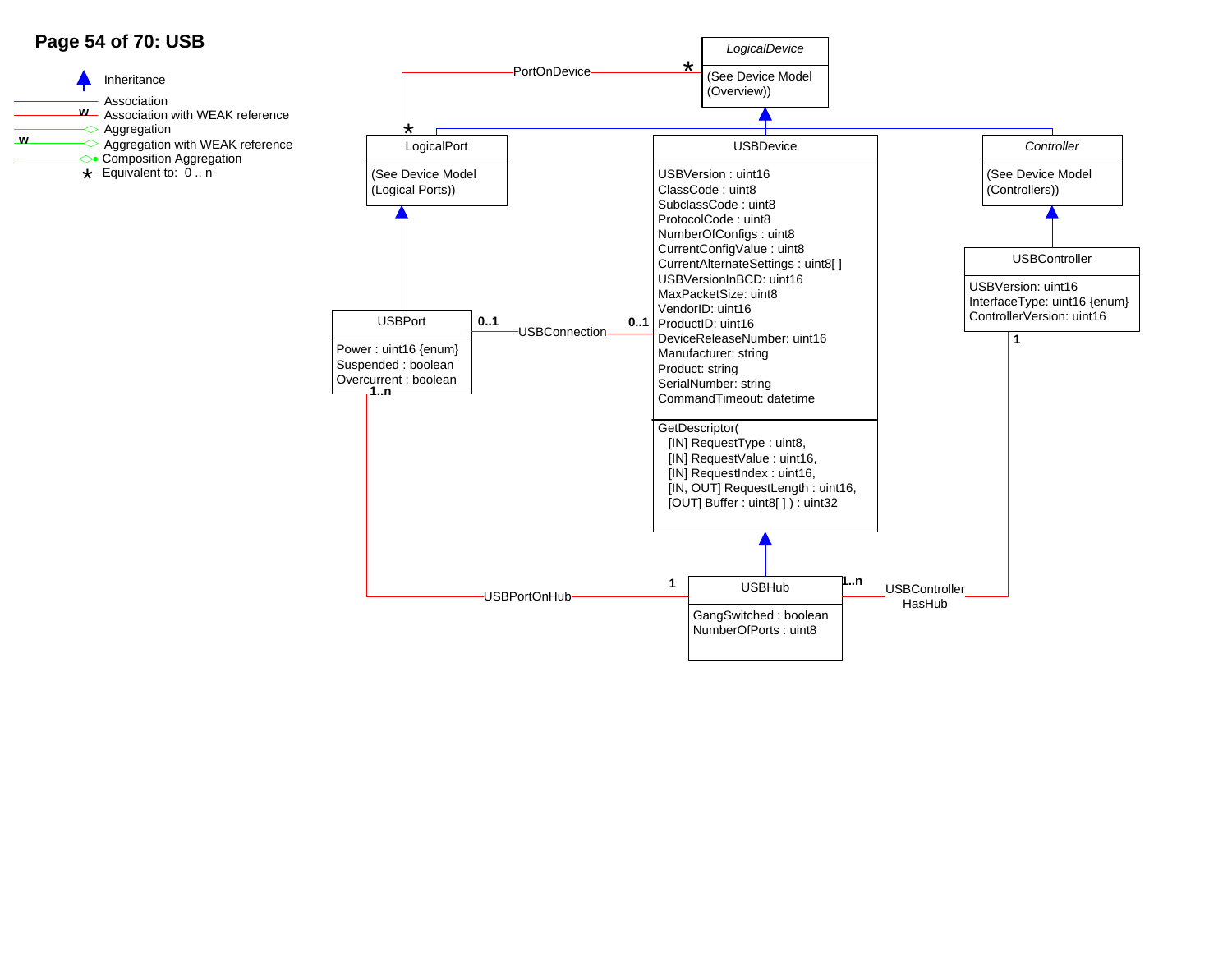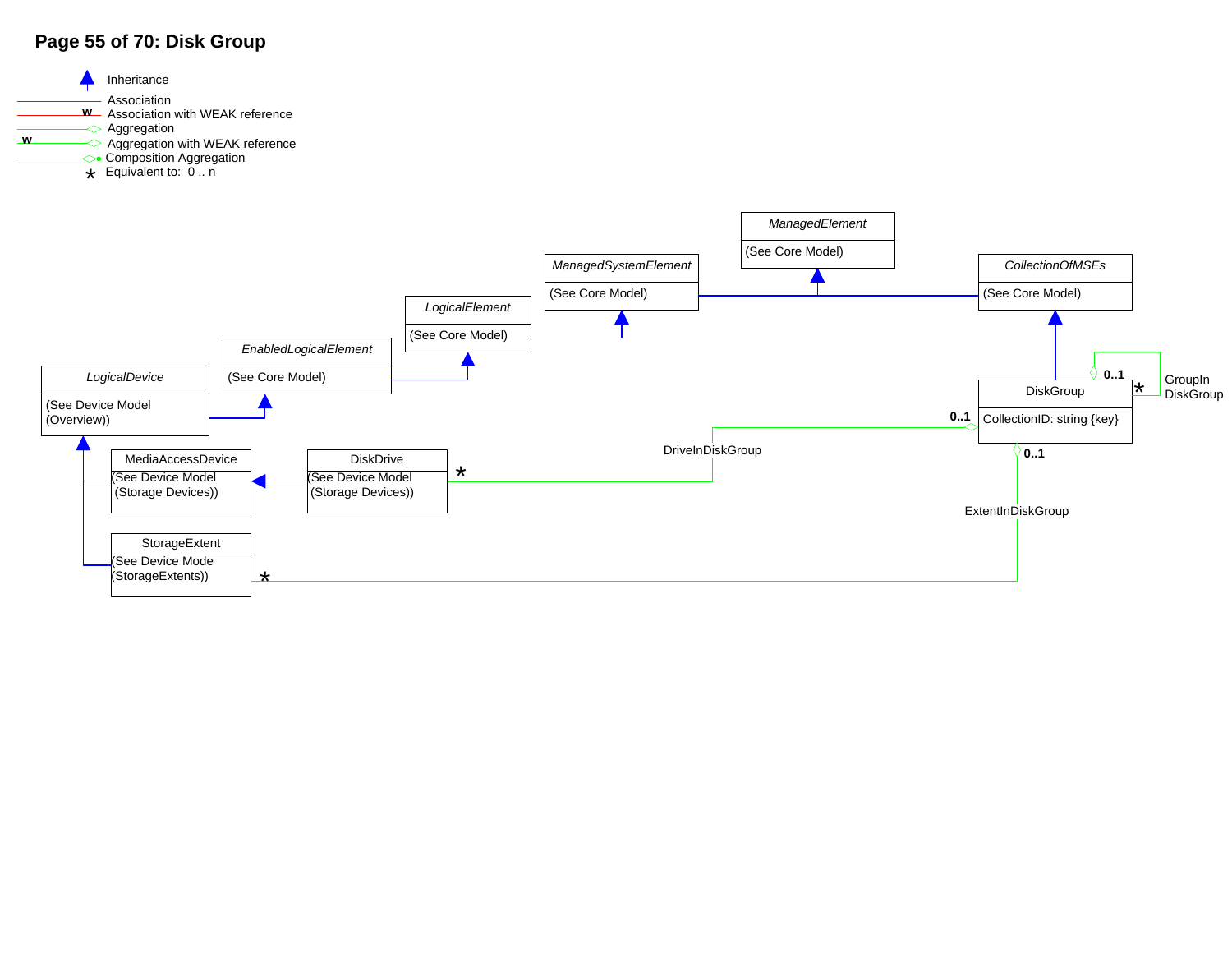## **Page 55 of 70: Disk Group**

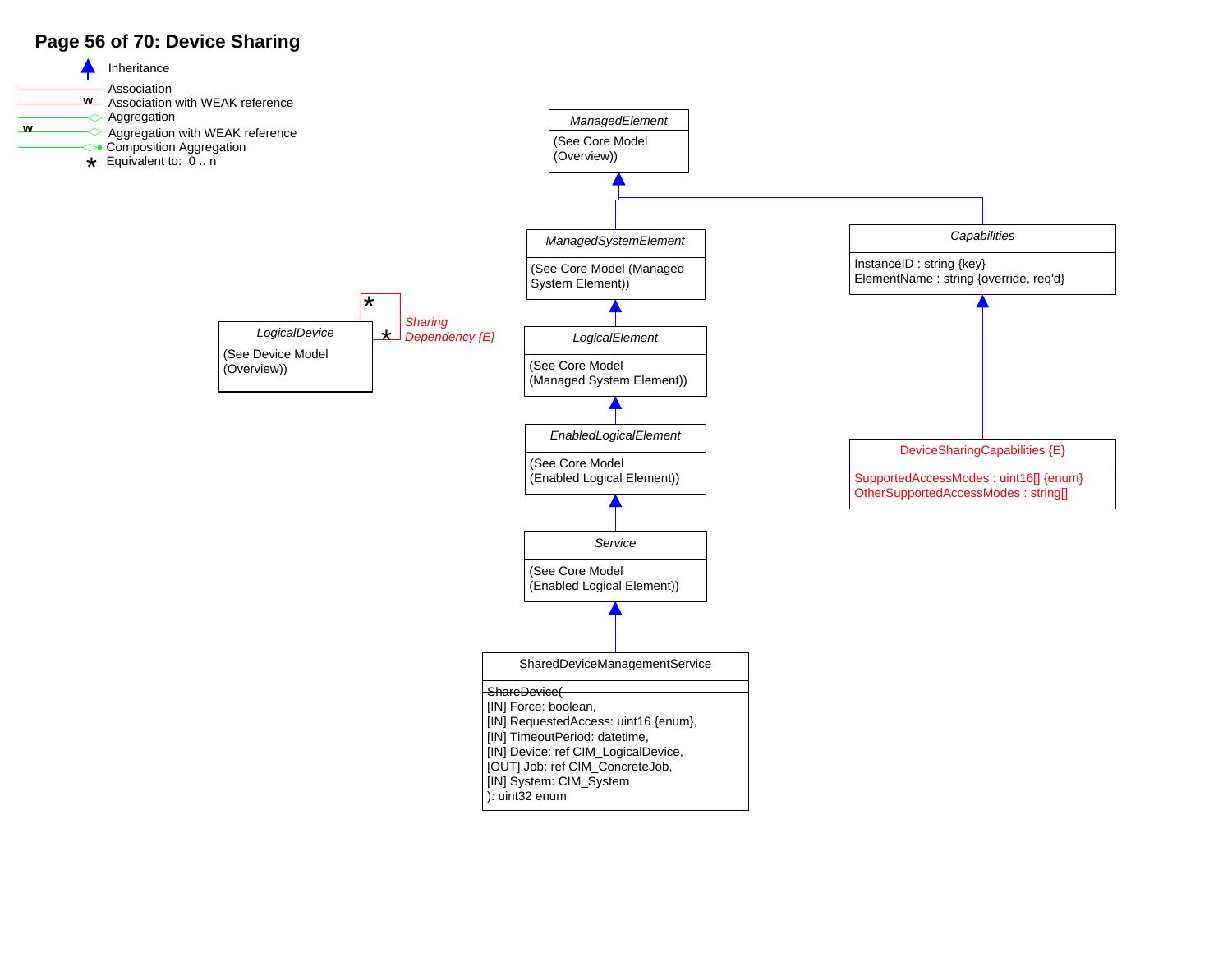## **Page 56 of 70: Device Sharing**

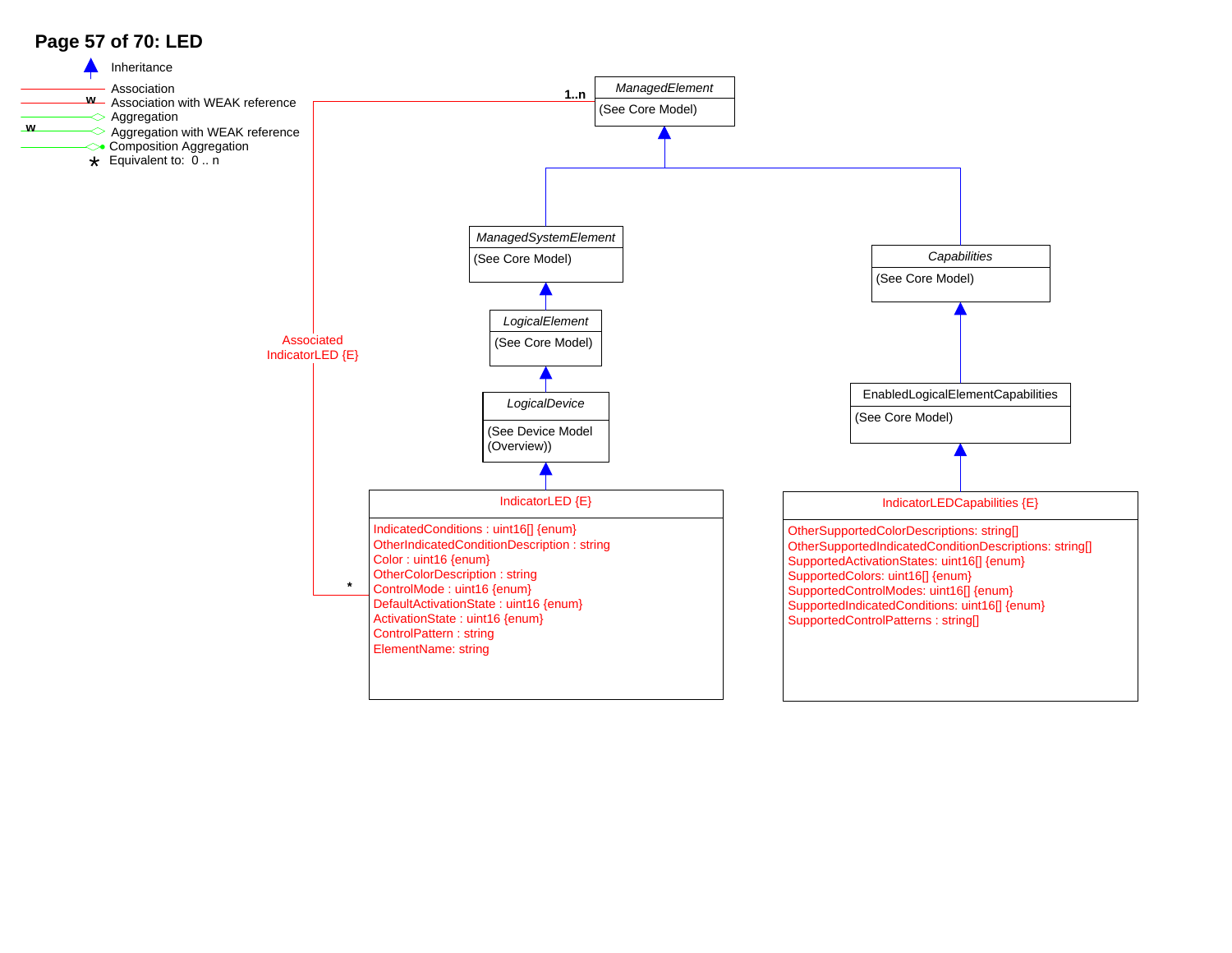## **Page 57 of 70: LED**

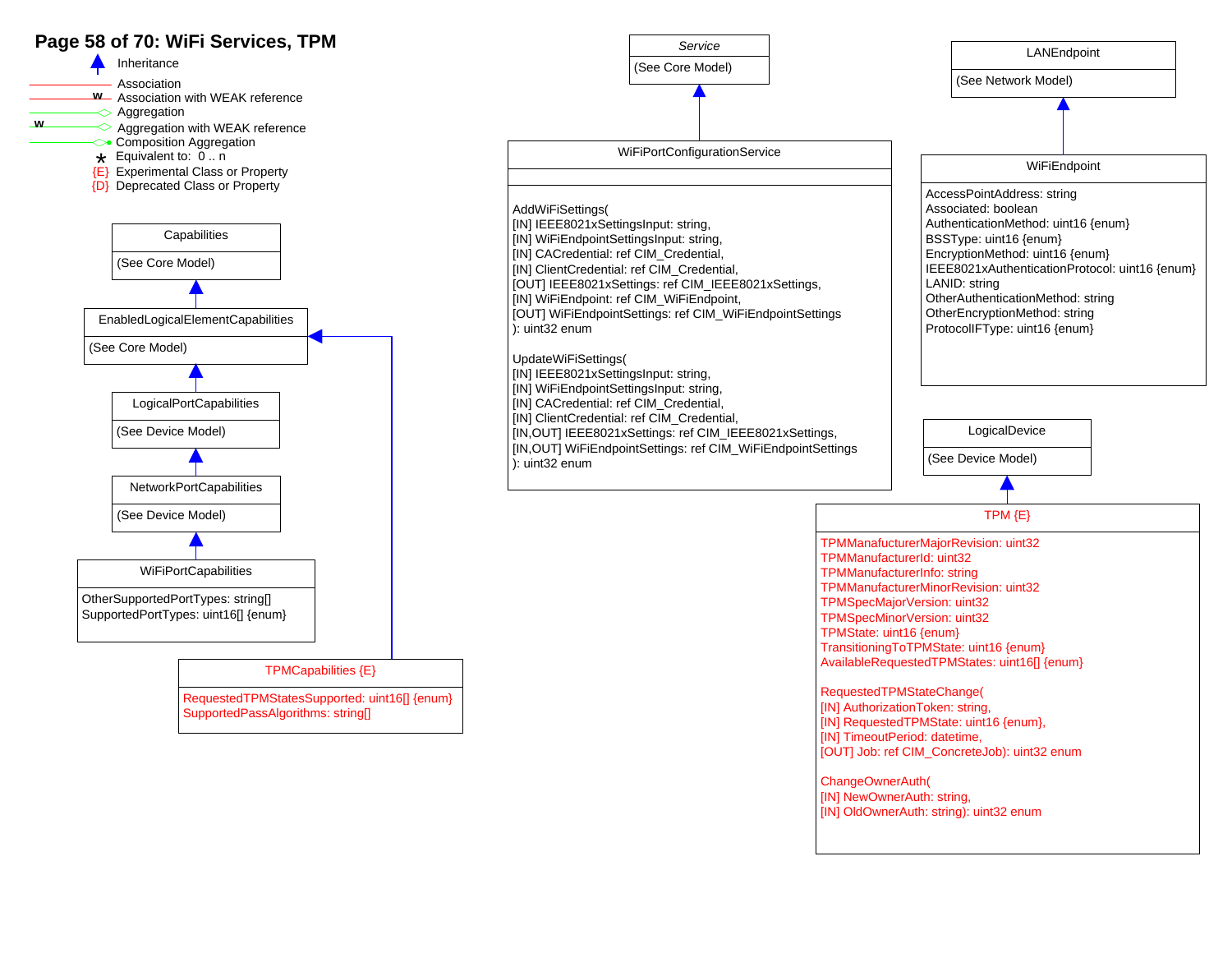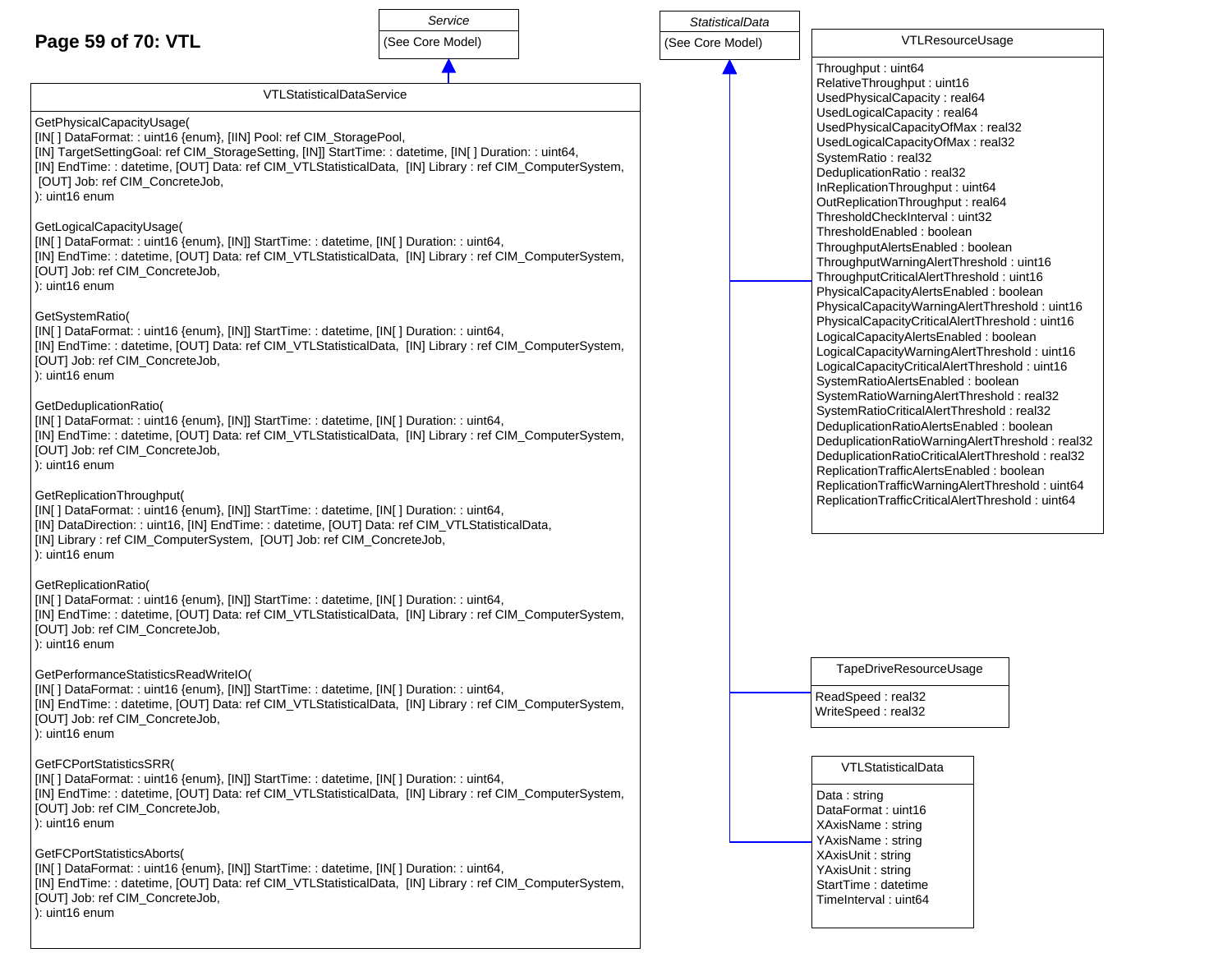## **Page 59 of 70: VTL**



*StatisticalData*

VTLResourceUsage

VTLStatisticalDataService

### GetPhysicalCapacityUsage(

[IN[ ] DataFormat: : uint16 {enum}, [IIN] Pool: ref CIM\_StoragePool, [IN] TargetSettingGoal: ref CIM\_StorageSetting, [IN]] StartTime: : datetime, [IN[ ] Duration: : uint64, [IN] EndTime: : datetime, [OUT] Data: ref CIM\_VTLStatisticalData, [IN] Library : ref CIM\_ComputerSystem, [OUT] Job: ref CIM\_ConcreteJob, ): uint16 enum

#### GetLogicalCapacityUsage(

[IN[ ] DataFormat: : uint16 {enum}, [IN]] StartTime: : datetime, [IN[ ] Duration: : uint64,

[IN] EndTime: : datetime, [OUT] Data: ref CIM\_VTLStatisticalData, [IN] Library : ref CIM\_ComputerSystem, [OUT] Job: ref CIM\_ConcreteJob,

): uint16 enum

### GetSystemRatio(

[IN[ ] DataFormat: : uint16 {enum}, [IN]] StartTime: : datetime, [IN[ ] Duration: : uint64, [IN] EndTime: : datetime, [OUT] Data: ref CIM\_VTLStatisticalData, [IN] Library : ref CIM\_ComputerSystem, [OUT] Job: ref CIM\_ConcreteJob, ): uint16 enum

### GetDeduplicationRatio(

[IN[ ] DataFormat: : uint16 {enum}, [IN]] StartTime: : datetime, [IN[ ] Duration: : uint64, [IN] EndTime: : datetime, [OUT] Data: ref CIM\_VTLStatisticalData, [IN] Library : ref CIM\_ComputerSystem, [OUT] Job: ref CIM\_ConcreteJob, ): uint16 enum

### GetReplicationThroughput(

[IN[ ] DataFormat: : uint16 {enum}, [IN]] StartTime: : datetime, [IN[ ] Duration: : uint64, [IN] DataDirection: : uint16, [IN] EndTime: : datetime, [OUT] Data: ref CIM\_VTLStatisticalData, [IN] Library : ref CIM\_ComputerSystem, [OUT] Job: ref CIM\_ConcreteJob, ): uint16 enum

### GetReplicationRatio(

[IN[ ] DataFormat: : uint16 {enum}, [IN]] StartTime: : datetime, [IN[ ] Duration: : uint64, [IN] EndTime: : datetime, [OUT] Data: ref CIM\_VTLStatisticalData, [IN] Library : ref CIM\_ComputerSystem, [OUT] Job: ref CIM\_ConcreteJob, ): uint16 enum

### GetPerformanceStatisticsReadWriteIO(

[IN[ ] DataFormat: : uint16 {enum}, [IN]] StartTime: : datetime, [IN[ ] Duration: : uint64, [IN] EndTime: : datetime, [OUT] Data: ref CIM\_VTLStatisticalData, [IN] Library : ref CIM\_ComputerSystem, [OUT] Job: ref CIM\_ConcreteJob, ): uint16 enum

GetFCPortStatisticsSRR( [IN[ ] DataFormat: : uint16 {enum}, [IN]] StartTime: : datetime, [IN[ ] Duration: : uint64, [IN] EndTime: : datetime, [OUT] Data: ref CIM\_VTLStatisticalData, [IN] Library : ref CIM\_ComputerSystem, [OUT] Job: ref CIM\_ConcreteJob, ): uint16 enum

### GetFCPortStatisticsAborts(

[IN[ ] DataFormat: : uint16 {enum}, [IN]] StartTime: : datetime, [IN[ ] Duration: : uint64, [IN] EndTime: : datetime, [OUT] Data: ref CIM\_VTLStatisticalData, [IN] Library : ref CIM\_ComputerSystem, [OUT] Job: ref CIM\_ConcreteJob, ): uint16 enum

Throughput : uint64 RelativeThroughput : uint16 UsedPhysicalCapacity : real64 UsedLogicalCapacity : real64 UsedPhysicalCapacityOfMax : real32 UsedLogicalCapacityOfMax : real32 SystemRatio : real32 DeduplicationRatio : real32 InReplicationThroughput : uint64 OutReplicationThroughput : real64 ThresholdCheckInterval : uint32 ThresholdEnabled : boolean ThroughputAlertsEnabled : boolean ThroughputWarningAlertThreshold : uint16 ThroughputCriticalAlertThreshold : uint16 PhysicalCapacityAlertsEnabled : boolean PhysicalCapacityWarningAlertThreshold : uint16 PhysicalCapacityCriticalAlertThreshold : uint16 LogicalCapacityAlertsEnabled : boolean LogicalCapacityWarningAlertThreshold : uint16 LogicalCapacityCriticalAlertThreshold : uint16 SystemRatioAlertsEnabled : boolean SystemRatioWarningAlertThreshold : real32 SystemRatioCriticalAlertThreshold : real32 DeduplicationRatioAlertsEnabled : boolean DeduplicationRatioWarningAlertThreshold : real32 DeduplicationRatioCriticalAlertThreshold : real32 ReplicationTrafficAlertsEnabled : boolean ReplicationTrafficWarningAlertThreshold : uint64 ReplicationTrafficCriticalAlertThreshold : uint64

TapeDriveResourceUsage

ReadSpeed : real32 WriteSpeed : real32

### VTLStatisticalData

Data : string DataFormat : uint16 XAxisName : string YAxisName : string XAxisUnit : string YAxisUnit : string StartTime : datetime TimeInterval : uint64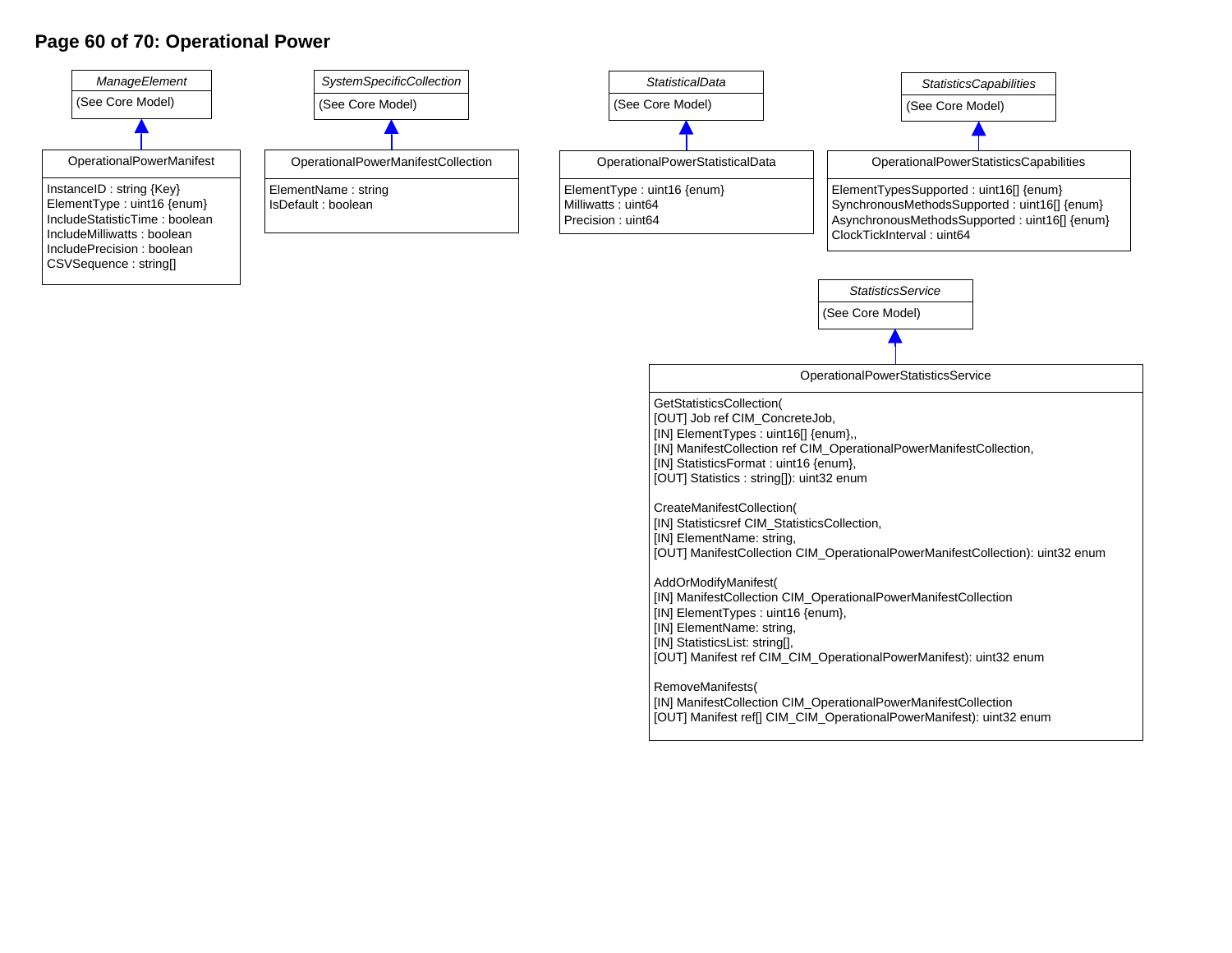### **Page 60 of 70: Operational Power**



- [IN] ElementName: string,
- [IN] StatisticsList: string[],
- [OUT] Manifest ref CIM\_CIM\_OperationalPowerManifest): uint32 enum

RemoveManifests(

- [IN] ManifestCollection CIM\_OperationalPowerManifestCollection
- [OUT] Manifest ref[] CIM\_CIM\_OperationalPowerManifest): uint32 enum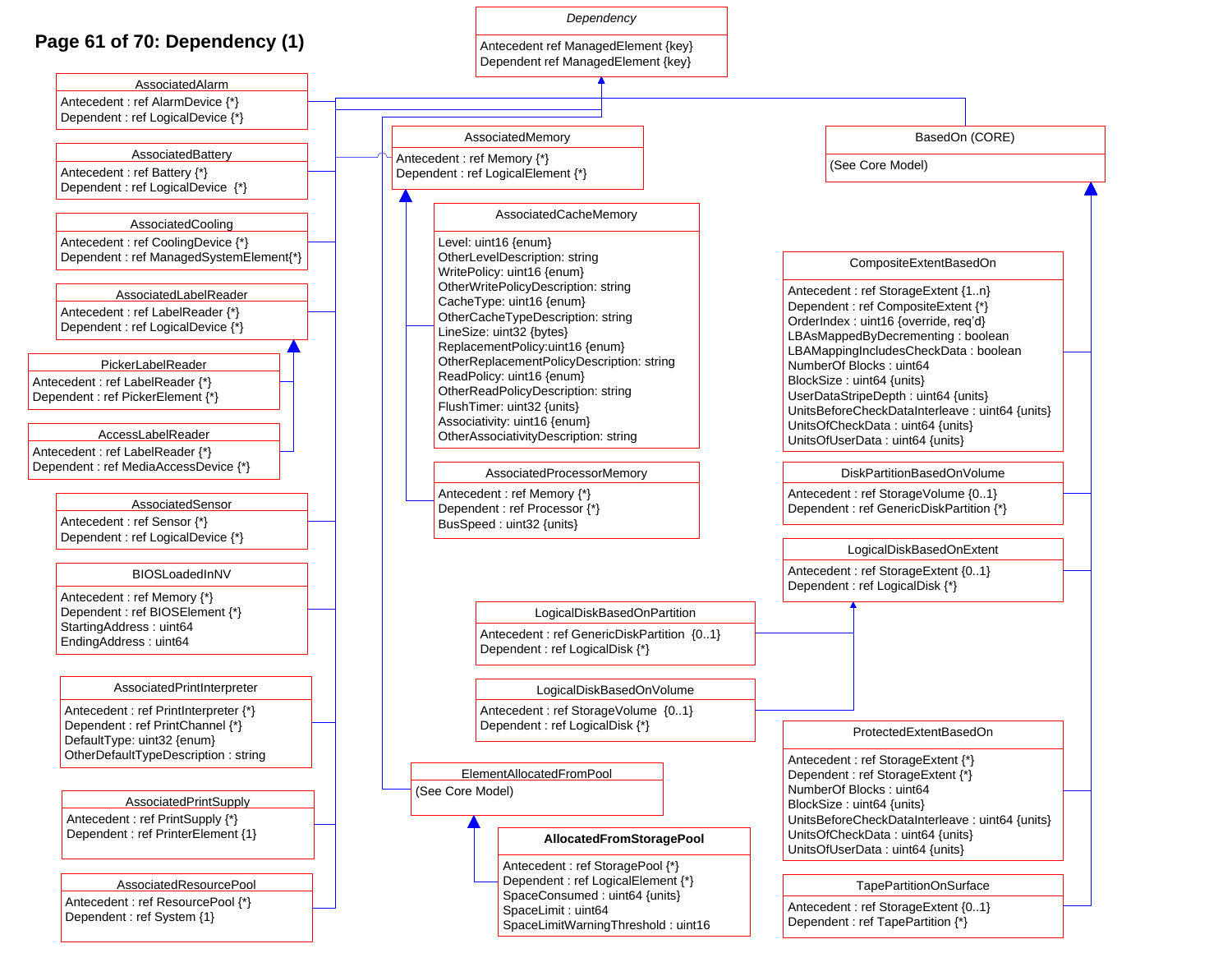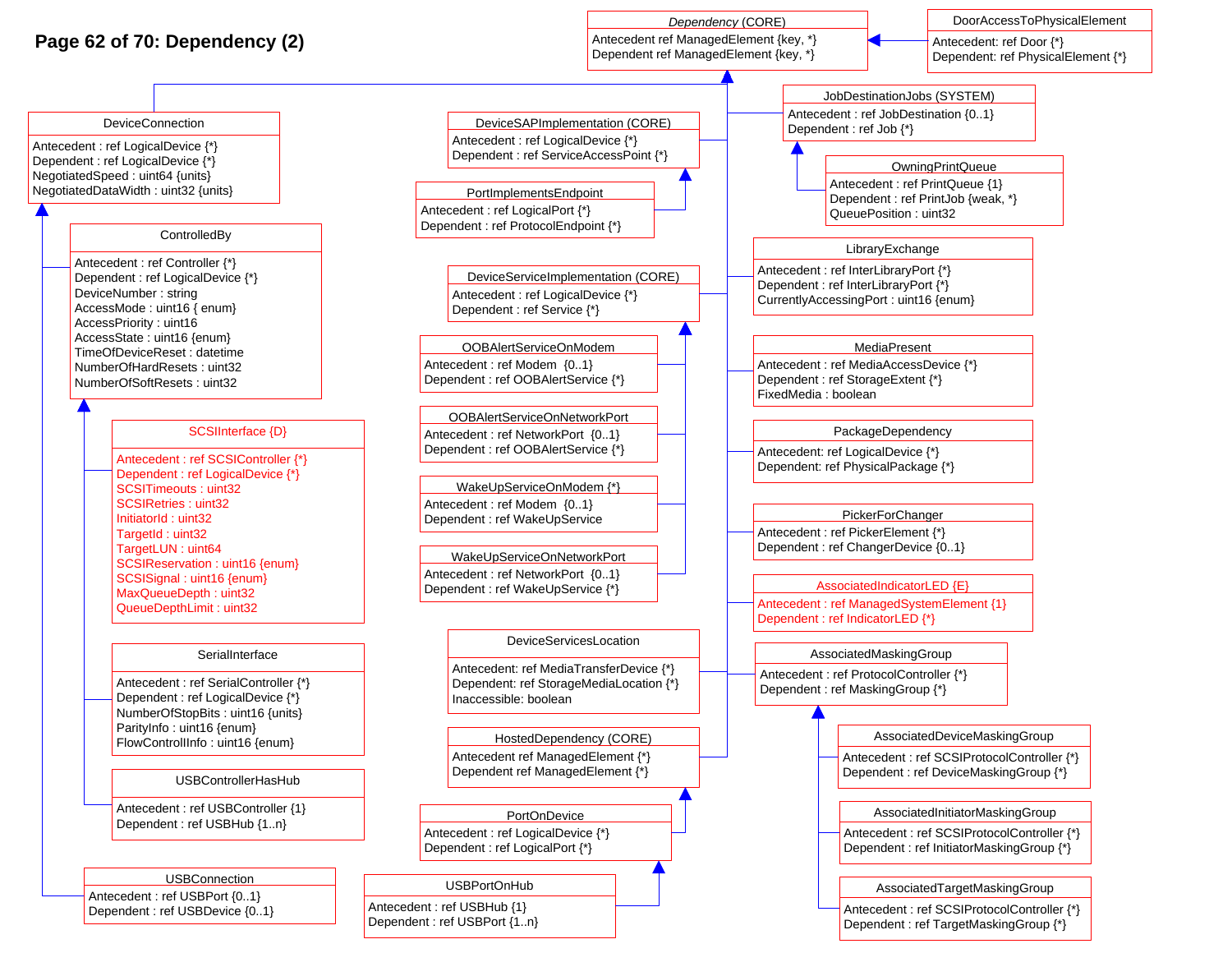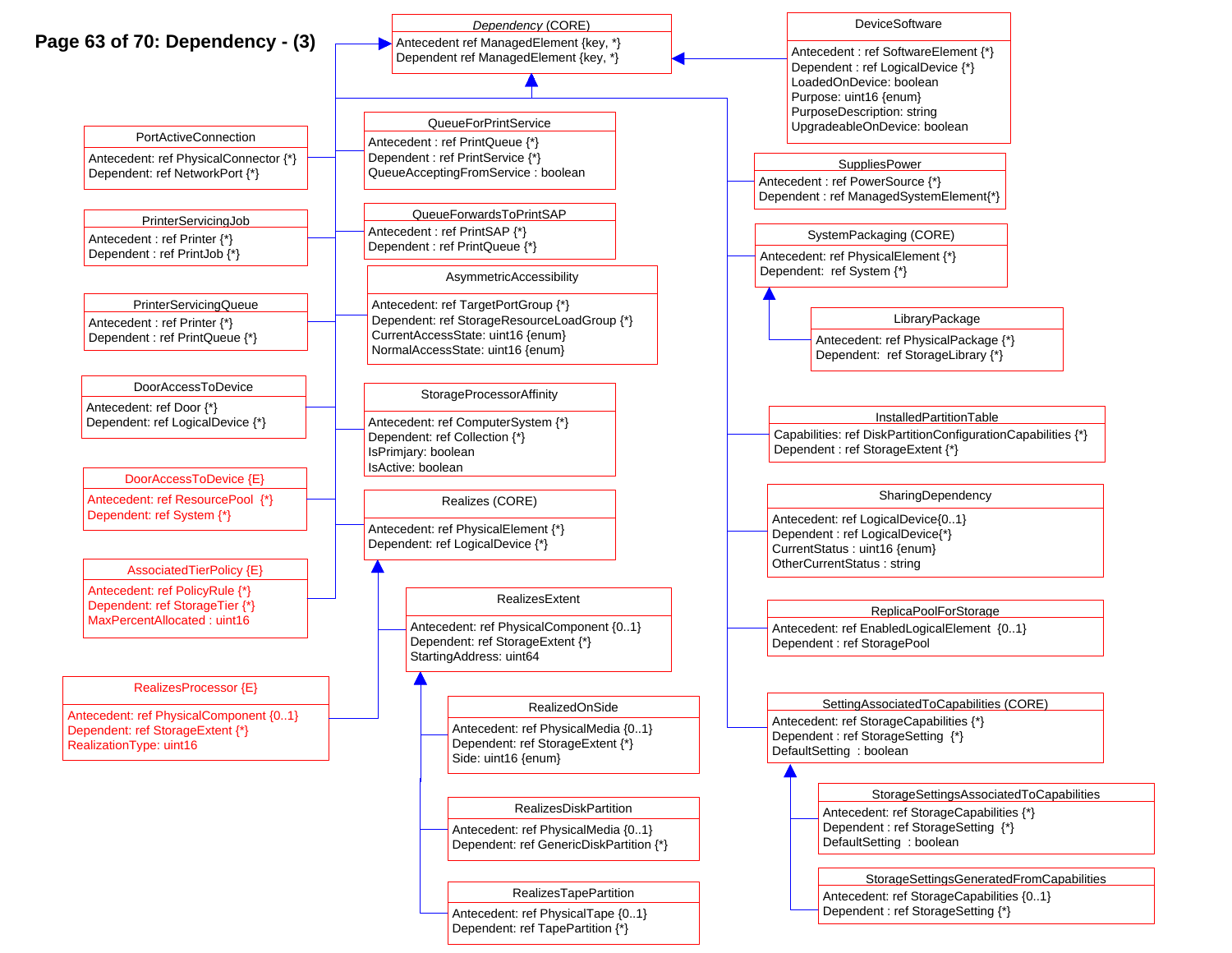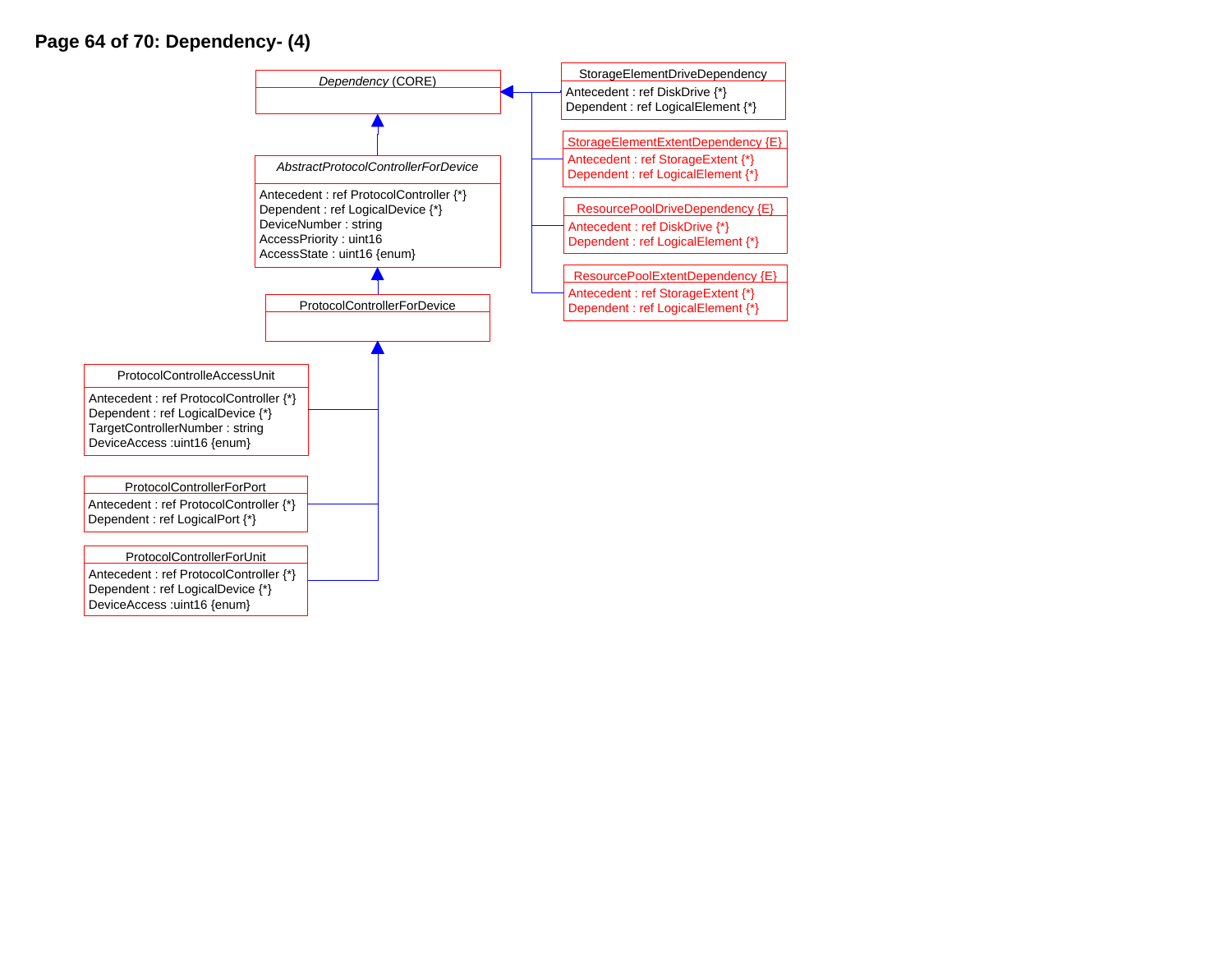## **Page 64 of 70: Dependency- (4)**

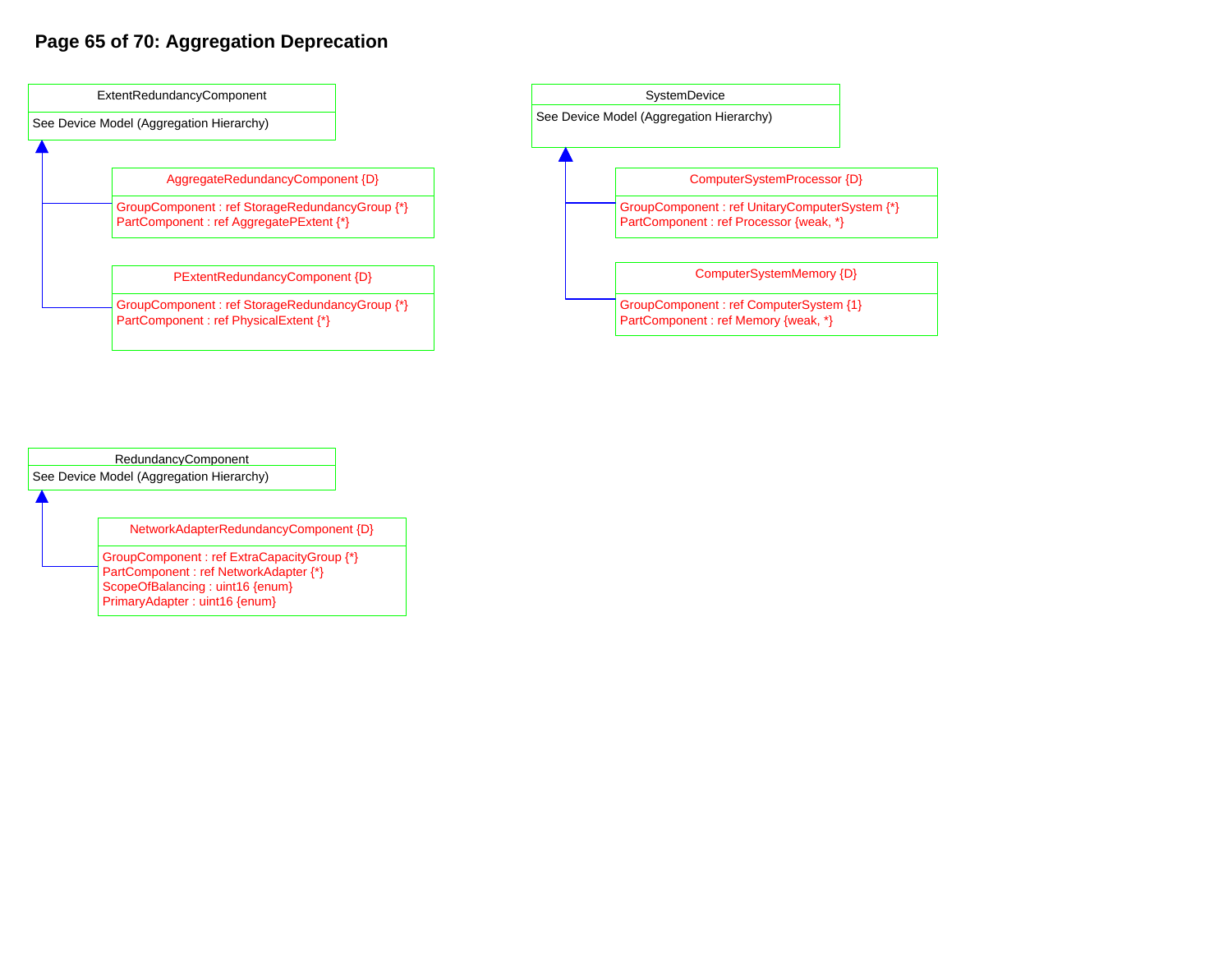## **Page 65 of 70: Aggregation Deprecation**





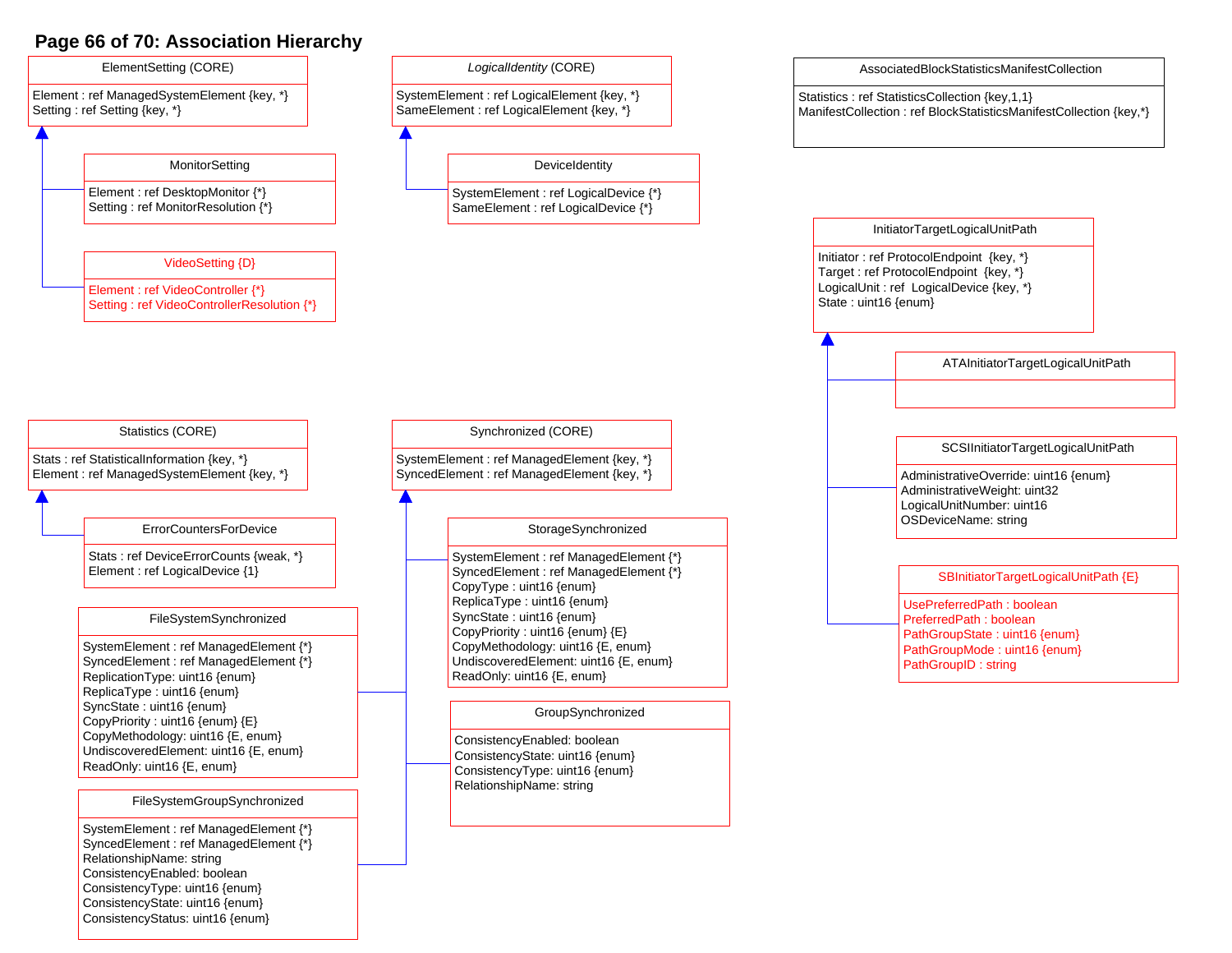## **Page 66 of 70: Association Hierarchy**

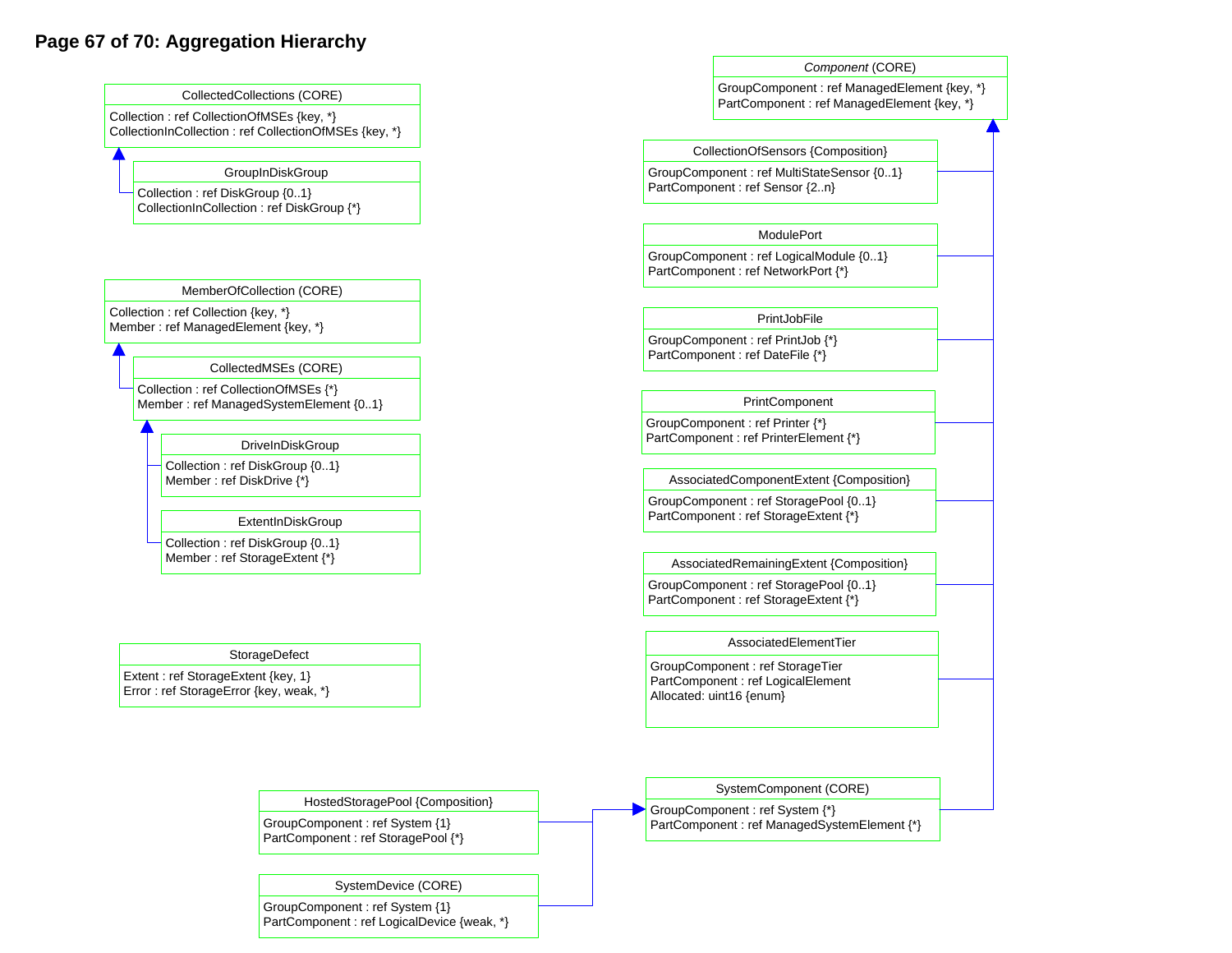## **Page 67 of 70: Aggregation Hierarchy**



PartComponent : ref LogicalDevice {weak, \*}

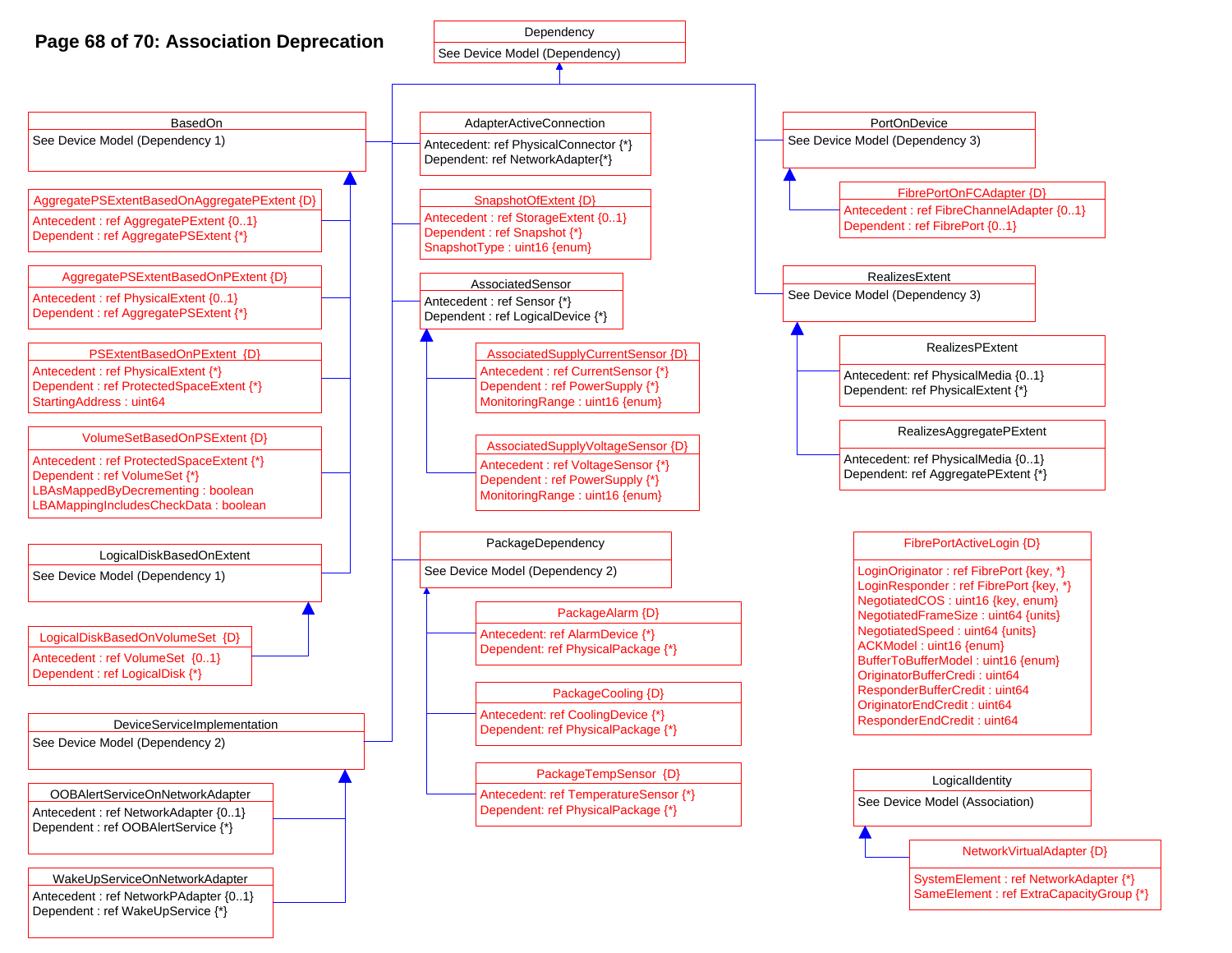## **Page 68 of 70: Association Deprecation**

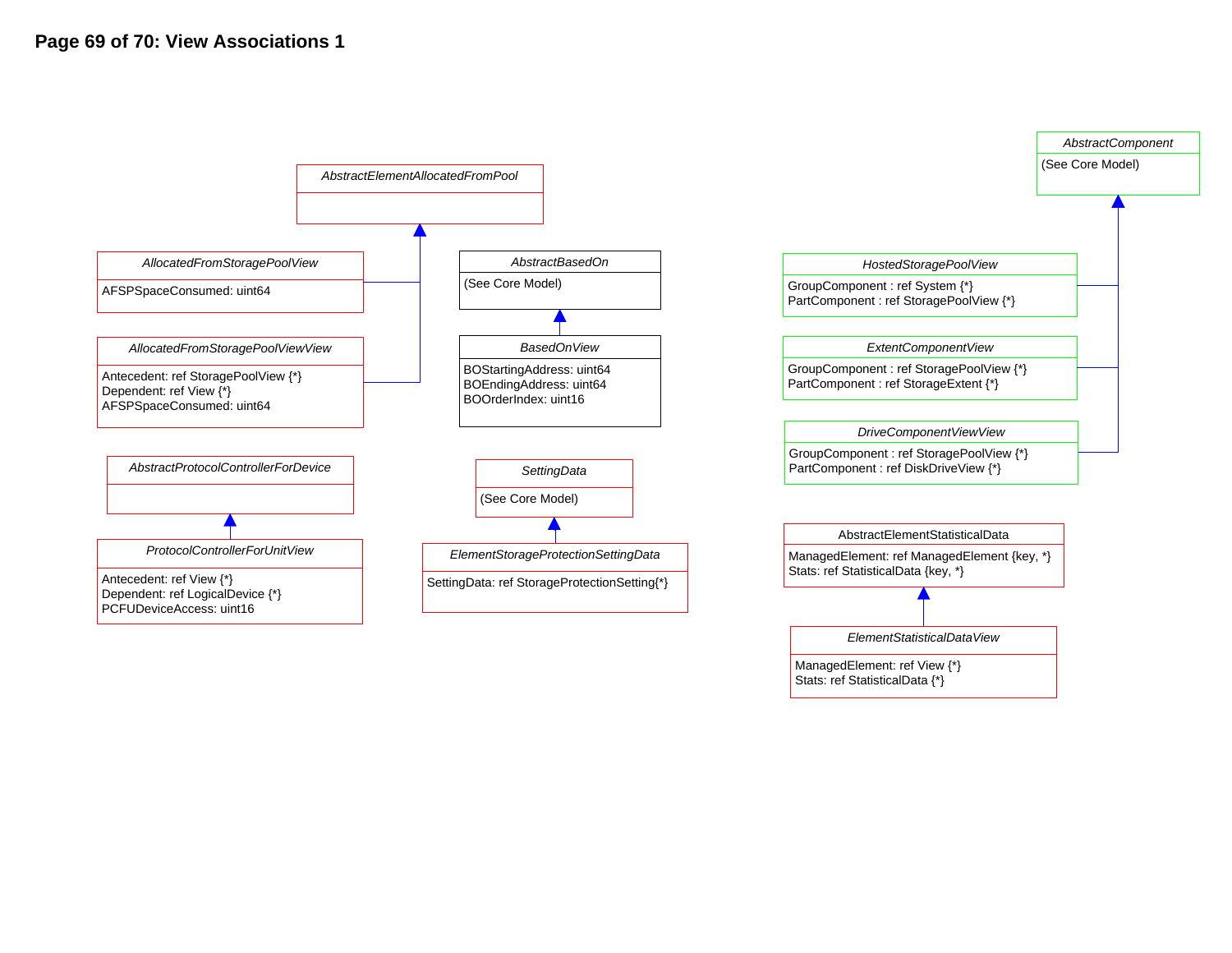

ManagedElement: ref View {\*} Stats: ref StatisticalData {\*}